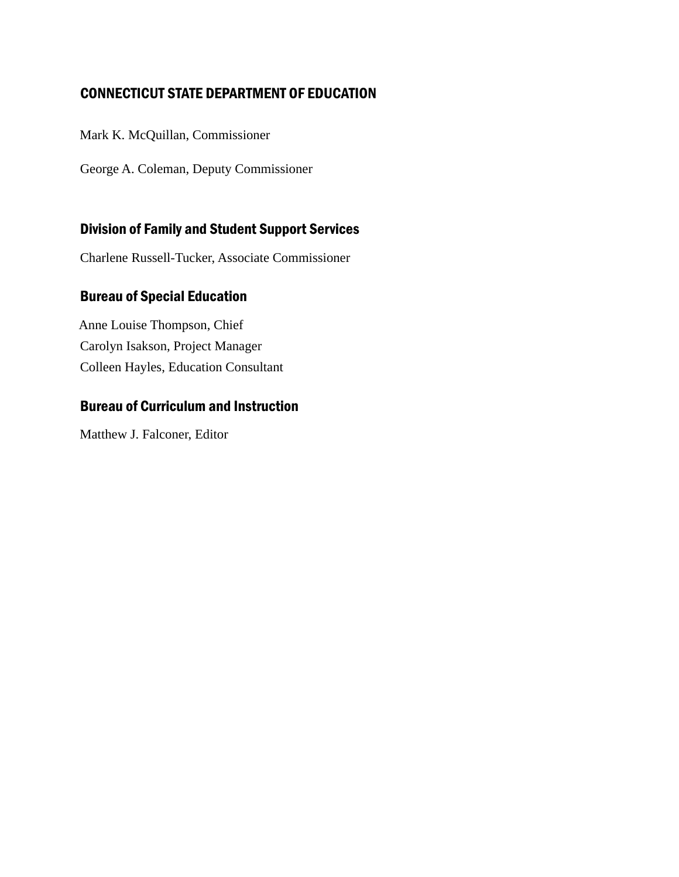### Connecticut State Department of Education

Mark K. McQuillan, Commissioner

George A. Coleman, Deputy Commissioner

### Division of Family and Student Support Services

Charlene Russell-Tucker, Associate Commissioner

### Bureau of Special Education

Anne Louise Thompson, Chief Carolyn Isakson, Project Manager Colleen Hayles, Education Consultant

### Bureau of Curriculum and Instruction

Matthew J. Falconer, Editor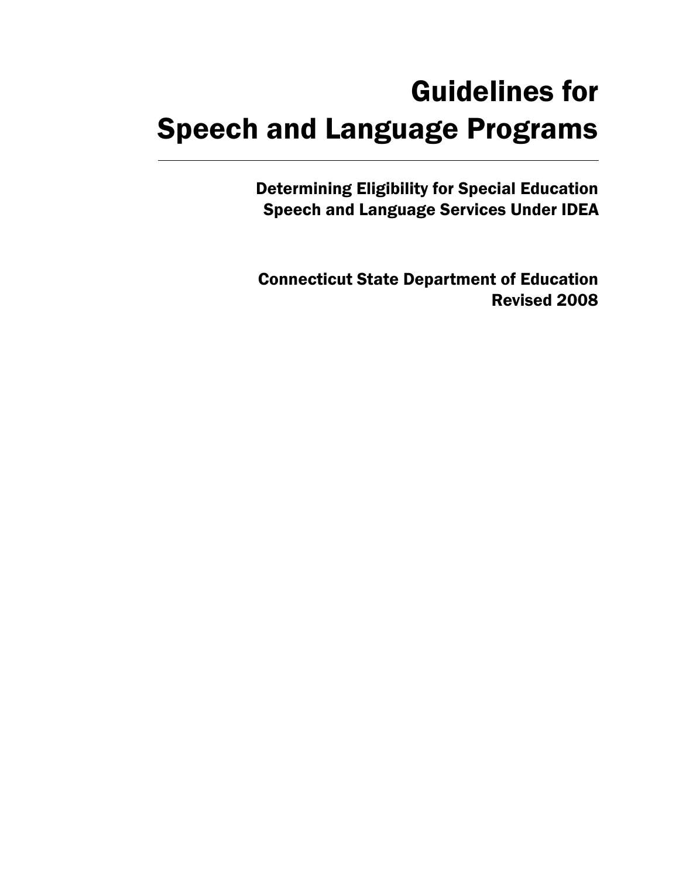# Guidelines for Speech and Language Programs

Determining Eligibility for Special Education Speech and Language Services Under IDEA

Connecticut State Department of Education Revised 2008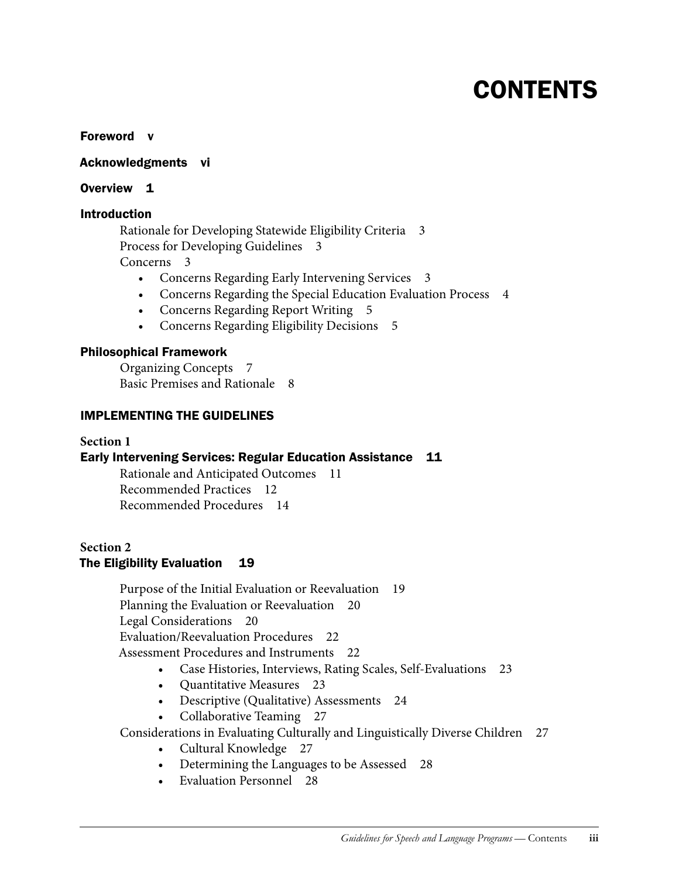# **CONTENTS**

Foreword v

Acknowledgments vi

#### Overview 1

### Introduction

Rationale for Developing Statewide Eligibility Criteria 3 Process for Developing Guidelines 3 Concerns 3

- Concerns Regarding Early Intervening Services 3
- Concerns Regarding the Special Education Evaluation Process 4
- • Concerns Regarding Report Writing 5
- Concerns Regarding Eligibility Decisions 5

### Philosophical Framework

Organizing Concepts 7 Basic Premises and Rationale 8

### IMPLEMENTING THE GUIDELINES

### **Section 1**

### Early Intervening Services: Regular Education Assistance 11

Rationale and Anticipated Outcomes 11 Recommended Practices 12 Recommended Procedures 14

### **Section 2** The Eligibility Evaluation 19

Purpose of the Initial Evaluation or Reevaluation 19 Planning the Evaluation or Reevaluation 20 Legal Considerations 20 Evaluation/Reevaluation Procedures 22 Assessment Procedures and Instruments 22

- Case Histories, Interviews, Rating Scales, Self-Evaluations 23
- Quantitative Measures 23
- Descriptive (Qualitative) Assessments 24
- Collaborative Teaming 27

Considerations in Evaluating Culturally and Linguistically Diverse Children 27

- Cultural Knowledge 27
- Determining the Languages to be Assessed 28
- Evaluation Personnel 28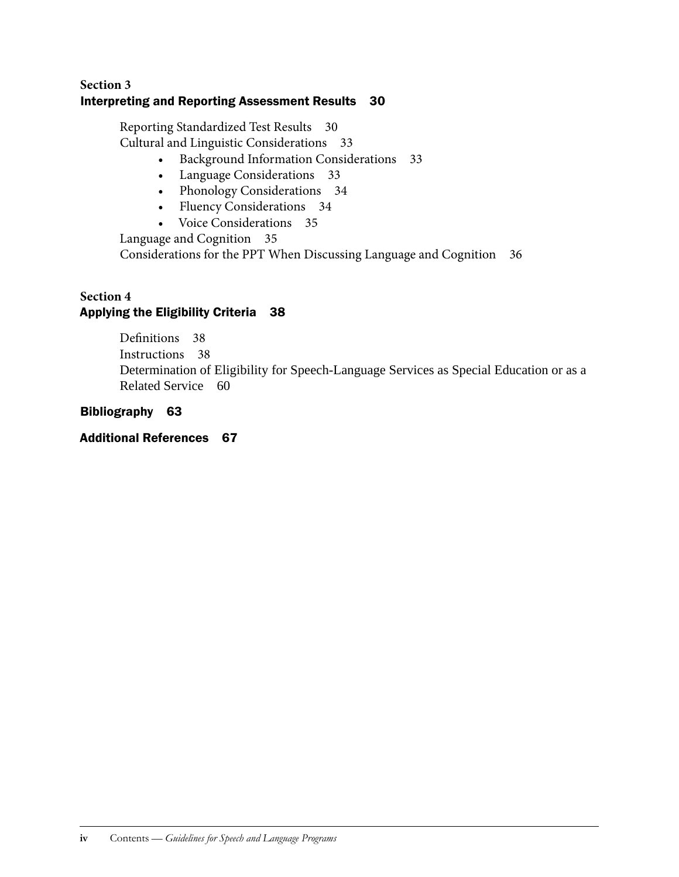### **Section 3** Interpreting and Reporting Assessment Results 30

Reporting Standardized Test Results 30 Cultural and Linguistic Considerations 33

- • Background Information Considerations 33
- Language Considerations 33
- Phonology Considerations 34
- Fluency Considerations 34
- • Voice Considerations 35

Language and Cognition 35

Considerations for the PPT When Discussing Language and Cognition 36

### **Section 4** Applying the Eligibility Criteria 38

Definitions 38 Instructions 38 Determination of Eligibility for Speech-Language Services as Special Education or as a Related Service 60

### Bibliography 63

### Additional References 67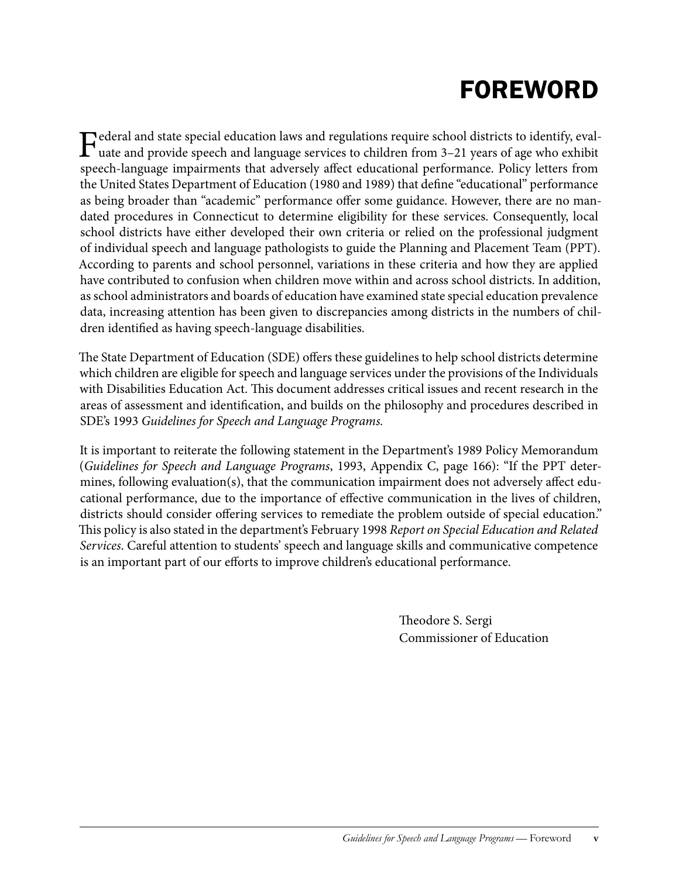# **FOREWORD**

Federal and state special education laws and regulations require school districts to identify, eval-<br>uate and provide speech and language services to children from 3–21 years of age who exhibit speech-language impairments that adversely affect educational performance. Policy letters from the United States Department of Education (1980 and 1989) that define "educational" performance as being broader than "academic" performance offer some guidance. However, there are no mandated procedures in Connecticut to determine eligibility for these services. Consequently, local school districts have either developed their own criteria or relied on the professional judgment of individual speech and language pathologists to guide the Planning and Placement Team (PPT). According to parents and school personnel, variations in these criteria and how they are applied have contributed to confusion when children move within and across school districts. In addition, as school administrators and boards of education have examined state special education prevalence data, increasing attention has been given to discrepancies among districts in the numbers of children identified as having speech-language disabilities.

The State Department of Education (SDE) offers these guidelines to help school districts determine which children are eligible for speech and language services under the provisions of the Individuals with Disabilities Education Act. This document addresses critical issues and recent research in the areas of assessment and identification, and builds on the philosophy and procedures described in SDE's 1993 *Guidelines for Speech and Language Programs.*

It is important to reiterate the following statement in the Department's 1989 Policy Memorandum (*Guidelines for Speech and Language Programs*, 1993, Appendix C, page 166): "If the PPT determines, following evaluation(s), that the communication impairment does not adversely affect educational performance, due to the importance of effective communication in the lives of children, districts should consider offering services to remediate the problem outside of special education." This policy is also stated in the department's February 1998 *Report on Special Education and Related Services*. Careful attention to students' speech and language skills and communicative competence is an important part of our efforts to improve children's educational performance.

> Theodore S. Sergi Commissioner of Education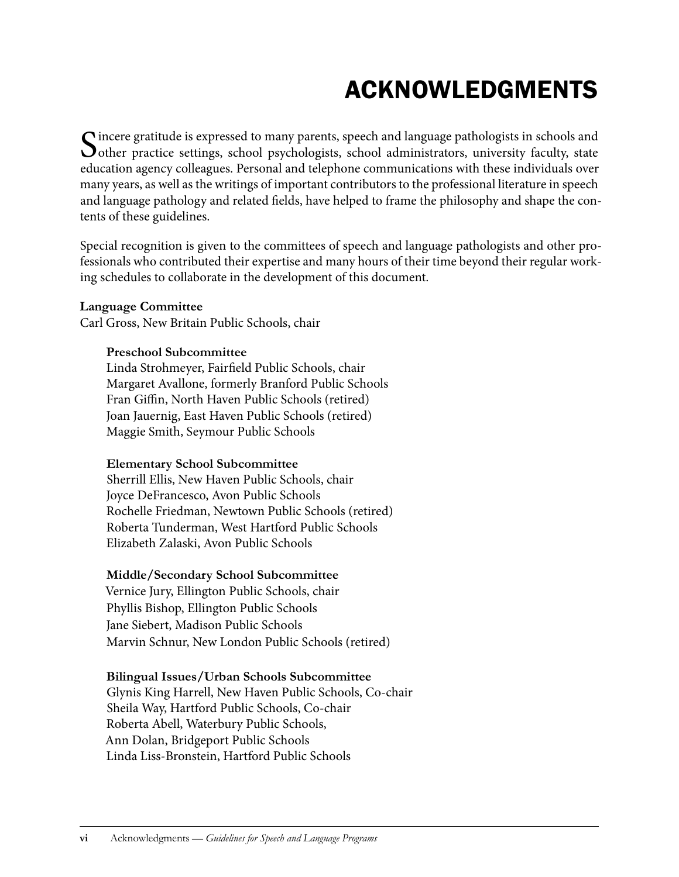# Acknowledgments

Sincere gratitude is expressed to many parents, speech and language pathologists in schools and other practice settings, school psychologists, school administrators, university faculty, state education agency colleagues. Personal and telephone communications with these individuals over many years, as well as the writings of important contributors to the professional literature in speech and language pathology and related fields, have helped to frame the philosophy and shape the contents of these guidelines.

Special recognition is given to the committees of speech and language pathologists and other professionals who contributed their expertise and many hours of their time beyond their regular working schedules to collaborate in the development of this document.

### **Language Committee**

Carl Gross, New Britain Public Schools, chair

### **Preschool Subcommittee**

Linda Strohmeyer, Fairfield Public Schools, chair Margaret Avallone, formerly Branford Public Schools Fran Giffin, North Haven Public Schools (retired) Joan Jauernig, East Haven Public Schools (retired) Maggie Smith, Seymour Public Schools

### **Elementary School Subcommittee**

Sherrill Ellis, New Haven Public Schools, chair Joyce DeFrancesco, Avon Public Schools Rochelle Friedman, Newtown Public Schools (retired) Roberta Tunderman, West Hartford Public Schools Elizabeth Zalaski, Avon Public Schools

### **Middle/Secondary School Subcommittee**

Vernice Jury, Ellington Public Schools, chair Phyllis Bishop, Ellington Public Schools Jane Siebert, Madison Public Schools Marvin Schnur, New London Public Schools (retired)

### **Bilingual Issues/Urban Schools Subcommittee**

Glynis King Harrell, New Haven Public Schools, Co-chair Sheila Way, Hartford Public Schools, Co-chair Roberta Abell, Waterbury Public Schools, Ann Dolan, Bridgeport Public Schools Linda Liss-Bronstein, Hartford Public Schools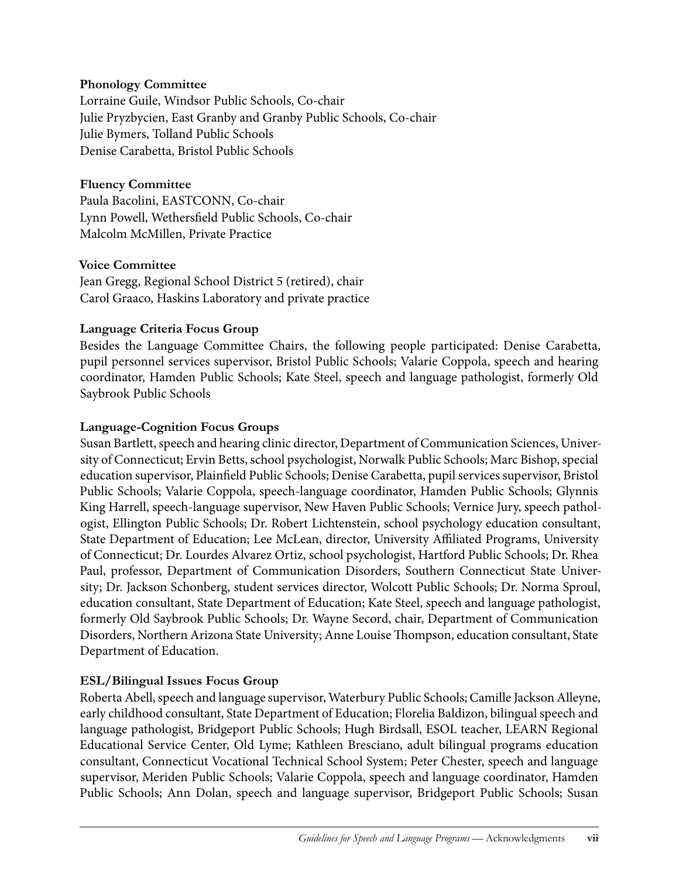### **Phonology Committee**

Lorraine Guile, Windsor Public Schools, Co-chair Julie Pryzbycien, East Granby and Granby Public Schools, Co-chair Julie Bymers, Tolland Public Schools Denise Carabetta, Bristol Public Schools

### **Fluency Committee**

Paula Bacolini, EASTCONN, Co-chair Lynn Powell, Wethersfield Public Schools, Co-chair Malcolm McMillen, Private Practice

### **Voice Committee**

Jean Gregg, Regional School District 5 (retired), chair Carol Graaco, Haskins Laboratory and private practice

### **Language Criteria Focus Group**

Besides the Language Committee Chairs, the following people participated: Denise Carabetta, pupil personnel services supervisor, Bristol Public Schools; Valarie Coppola, speech and hearing coordinator, Hamden Public Schools; Kate Steel, speech and language pathologist, formerly Old Saybrook Public Schools

### **Language-Cognition Focus Groups**

Susan Bartlett, speech and hearing clinic director, Department of Communication Sciences, University of Connecticut; Ervin Betts, school psychologist, Norwalk Public Schools; Marc Bishop, special education supervisor, Plainfield Public Schools; Denise Carabetta, pupil services supervisor, Bristol Public Schools; Valarie Coppola, speech-language coordinator, Hamden Public Schools; Glynnis King Harrell, speech-language supervisor, New Haven Public Schools; Vernice Jury, speech pathologist, Ellington Public Schools; Dr. Robert Lichtenstein, school psychology education consultant, State Department of Education; Lee McLean, director, University Affiliated Programs, University of Connecticut; Dr. Lourdes Alvarez Ortiz, school psychologist, Hartford Public Schools; Dr. Rhea Paul, professor, Department of Communication Disorders, Southern Connecticut State University; Dr. Jackson Schonberg, student services director, Wolcott Public Schools; Dr. Norma Sproul, education consultant, State Department of Education; Kate Steel, speech and language pathologist, formerly Old Saybrook Public Schools; Dr. Wayne Secord, chair, Department of Communication Disorders, Northern Arizona State University; Anne Louise Thompson, education consultant, State Department of Education.

### **ESL/Bilingual Issues Focus Group**

Roberta Abell, speech and language supervisor, Waterbury Public Schools; Camille Jackson Alleyne, early childhood consultant, State Department of Education; Florelia Baldizon, bilingual speech and language pathologist, Bridgeport Public Schools; Hugh Birdsall, ESOL teacher, LEARN Regional Educational Service Center, Old Lyme; Kathleen Bresciano, adult bilingual programs education consultant, Connecticut Vocational Technical School System; Peter Chester, speech and language supervisor, Meriden Public Schools; Valarie Coppola, speech and language coordinator, Hamden Public Schools; Ann Dolan, speech and language supervisor, Bridgeport Public Schools; Susan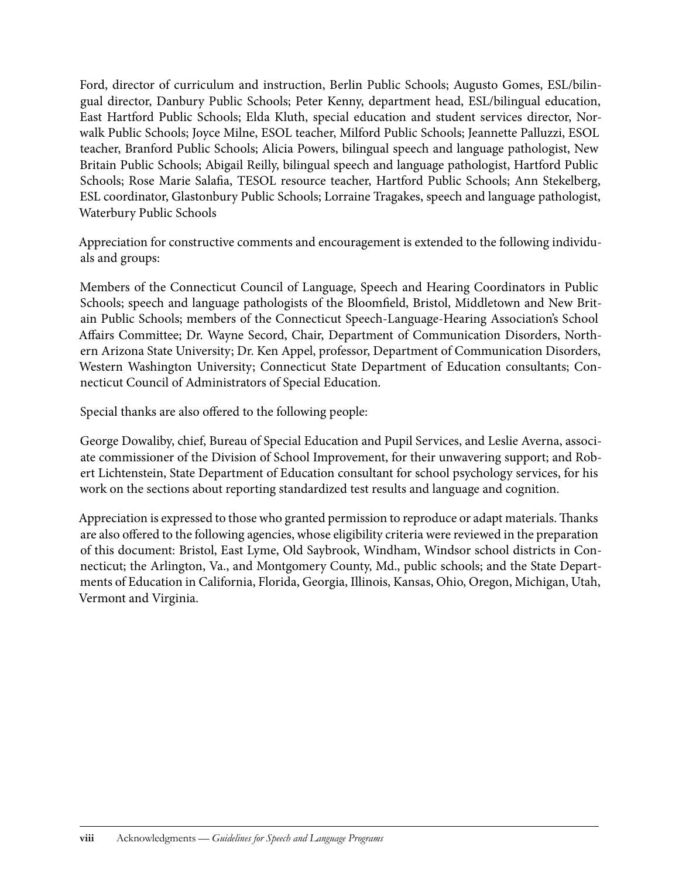Ford, director of curriculum and instruction, Berlin Public Schools; Augusto Gomes, ESL/bilingual director, Danbury Public Schools; Peter Kenny, department head, ESL/bilingual education, East Hartford Public Schools; Elda Kluth, special education and student services director, Norwalk Public Schools; Joyce Milne, ESOL teacher, Milford Public Schools; Jeannette Palluzzi, ESOL teacher, Branford Public Schools; Alicia Powers, bilingual speech and language pathologist, New Britain Public Schools; Abigail Reilly, bilingual speech and language pathologist, Hartford Public Schools; Rose Marie Salafia, TESOL resource teacher, Hartford Public Schools; Ann Stekelberg, ESL coordinator, Glastonbury Public Schools; Lorraine Tragakes, speech and language pathologist, Waterbury Public Schools

Appreciation for constructive comments and encouragement is extended to the following individuals and groups:

Members of the Connecticut Council of Language, Speech and Hearing Coordinators in Public Schools; speech and language pathologists of the Bloomfield, Bristol, Middletown and New Britain Public Schools; members of the Connecticut Speech-Language-Hearing Association's School Affairs Committee; Dr. Wayne Secord, Chair, Department of Communication Disorders, Northern Arizona State University; Dr. Ken Appel, professor, Department of Communication Disorders, Western Washington University; Connecticut State Department of Education consultants; Connecticut Council of Administrators of Special Education.

Special thanks are also offered to the following people:

George Dowaliby, chief, Bureau of Special Education and Pupil Services, and Leslie Averna, associate commissioner of the Division of School Improvement, for their unwavering support; and Robert Lichtenstein, State Department of Education consultant for school psychology services, for his work on the sections about reporting standardized test results and language and cognition.

Appreciation is expressed to those who granted permission to reproduce or adapt materials. Thanks are also offered to the following agencies, whose eligibility criteria were reviewed in the preparation of this document: Bristol, East Lyme, Old Saybrook, Windham, Windsor school districts in Connecticut; the Arlington, Va., and Montgomery County, Md., public schools; and the State Departments of Education in California, Florida, Georgia, Illinois, Kansas, Ohio, Oregon, Michigan, Utah, Vermont and Virginia.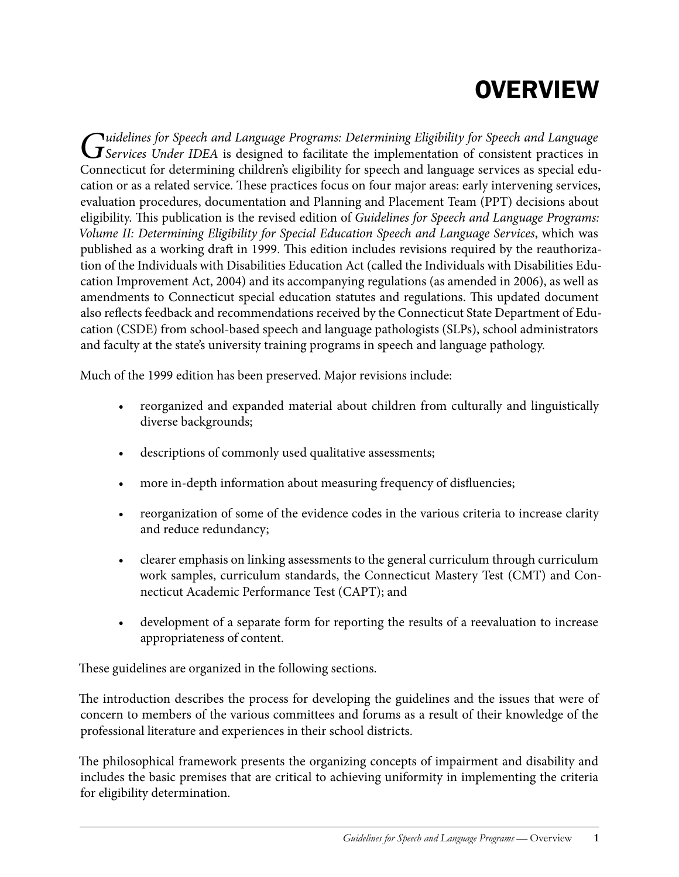# **OVERVIEW**

*Guidelines for Speech and Language Programs: Determining Eligibility for Speech and Language*<br> *Services Under IDEA* is designed to facilitate the implementation of consistent practices in Connecticut for determining children's eligibility for speech and language services as special education or as a related service. These practices focus on four major areas: early intervening services, evaluation procedures, documentation and Planning and Placement Team (PPT) decisions about eligibility. This publication is the revised edition of *Guidelines for Speech and Language Programs: Volume II: Determining Eligibility for Special Education Speech and Language Services*, which was published as a working draft in 1999. This edition includes revisions required by the reauthorization of the Individuals with Disabilities Education Act (called the Individuals with Disabilities Education Improvement Act, 2004) and its accompanying regulations (as amended in 2006), as well as amendments to Connecticut special education statutes and regulations. This updated document also reflects feedback and recommendations received by the Connecticut State Department of Education (CSDE) from school-based speech and language pathologists (SLPs), school administrators and faculty at the state's university training programs in speech and language pathology.

Much of the 1999 edition has been preserved. Major revisions include:

- reorganized and expanded material about children from culturally and linguistically diverse backgrounds;
- • descriptions of commonly used qualitative assessments;
- more in-depth information about measuring frequency of disfluencies;
- reorganization of some of the evidence codes in the various criteria to increase clarity and reduce redundancy;
- clearer emphasis on linking assessments to the general curriculum through curriculum work samples, curriculum standards, the Connecticut Mastery Test (CMT) and Connecticut Academic Performance Test (CAPT); and
- development of a separate form for reporting the results of a reevaluation to increase appropriateness of content.

These guidelines are organized in the following sections.

The introduction describes the process for developing the guidelines and the issues that were of concern to members of the various committees and forums as a result of their knowledge of the professional literature and experiences in their school districts.

The philosophical framework presents the organizing concepts of impairment and disability and includes the basic premises that are critical to achieving uniformity in implementing the criteria for eligibility determination.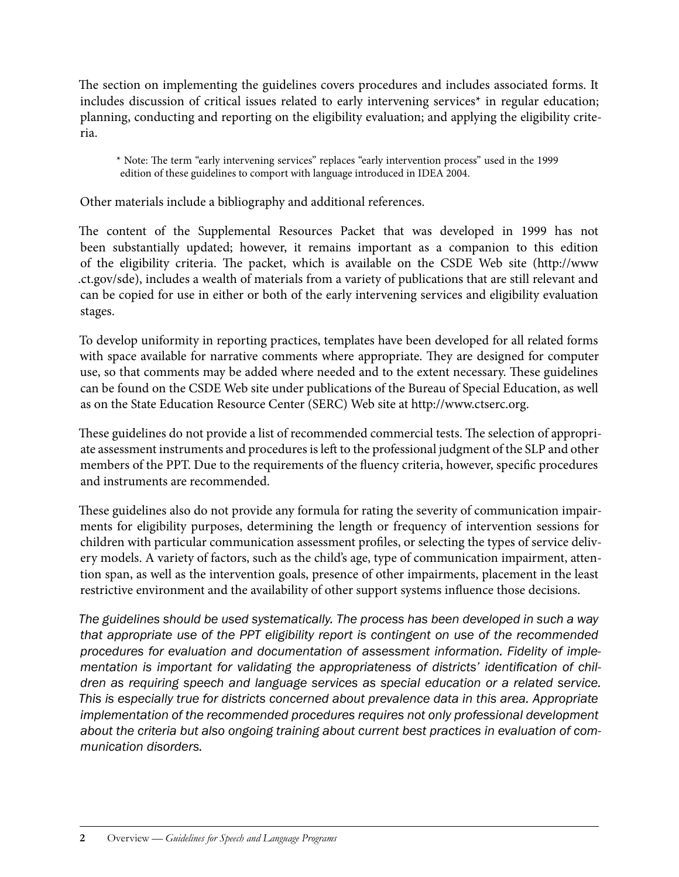The section on implementing the guidelines covers procedures and includes associated forms. It includes discussion of critical issues related to early intervening services\* in regular education; planning, conducting and reporting on the eligibility evaluation; and applying the eligibility criteria.

\* Note: The term "early intervening services" replaces "early intervention process" used in the 1999 edition of these guidelines to comport with language introduced in IDEA 2004.

Other materials include a bibliography and additional references.

The content of the Supplemental Resources Packet that was developed in 1999 has not been substantially updated; however, it remains important as a companion to this edition of the eligibility criteria. The packet, which is available on the CSDE Web site (http://www .ct.gov/sde), includes a wealth of materials from a variety of publications that are still relevant and can be copied for use in either or both of the early intervening services and eligibility evaluation stages.

To develop uniformity in reporting practices, templates have been developed for all related forms with space available for narrative comments where appropriate. They are designed for computer use, so that comments may be added where needed and to the extent necessary. These guidelines can be found on the CSDE Web site under publications of the Bureau of Special Education, as well as on the State Education Resource Center (SERC) Web site at http://www.ctserc.org.

These guidelines do not provide a list of recommended commercial tests. The selection of appropriate assessment instruments and procedures is left to the professional judgment of the SLP and other members of the PPT. Due to the requirements of the fluency criteria, however, specific procedures and instruments are recommended.

These guidelines also do not provide any formula for rating the severity of communication impairments for eligibility purposes, determining the length or frequency of intervention sessions for children with particular communication assessment profiles, or selecting the types of service delivery models. A variety of factors, such as the child's age, type of communication impairment, attention span, as well as the intervention goals, presence of other impairments, placement in the least restrictive environment and the availability of other support systems influence those decisions.

*The guidelines should be used systematically. The process has been developed in such a way that appropriate use of the PPT eligibility report is contingent on use of the recommended procedures for evaluation and documentation of assessment information. Fidelity of implementation is important for validating the appropriateness of districts' identification of children as requiring speech and language services as special education or a related service. This is especially true for districts concerned about prevalence data in this area. Appropriate implementation of the recommended procedures requires not only professional development about the criteria but also ongoing training about current best practices in evaluation of communication disorders.*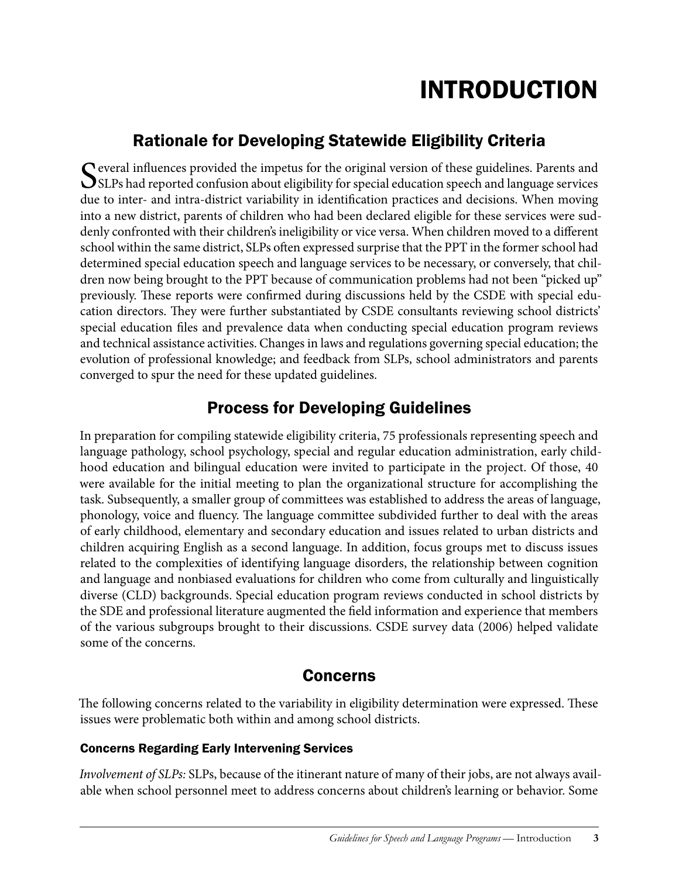# Introduction

# Rationale for Developing Statewide Eligibility Criteria

Several influences provided the impetus for the original version of these guidelines. Parents and SLPs had reported confusion about eligibility for special education speech and language services due to inter- and intra-district variability in identification practices and decisions. When moving into a new district, parents of children who had been declared eligible for these services were suddenly confronted with their children's ineligibility or vice versa. When children moved to a different school within the same district, SLPs often expressed surprise that the PPT in the former school had determined special education speech and language services to be necessary, or conversely, that children now being brought to the PPT because of communication problems had not been "picked up" previously. These reports were confirmed during discussions held by the CSDE with special education directors. They were further substantiated by CSDE consultants reviewing school districts' special education files and prevalence data when conducting special education program reviews and technical assistance activities. Changes in laws and regulations governing special education; the evolution of professional knowledge; and feedback from SLPs, school administrators and parents converged to spur the need for these updated guidelines.

## Process for Developing Guidelines

In preparation for compiling statewide eligibility criteria, 75 professionals representing speech and language pathology, school psychology, special and regular education administration, early childhood education and bilingual education were invited to participate in the project. Of those, 40 were available for the initial meeting to plan the organizational structure for accomplishing the task. Subsequently, a smaller group of committees was established to address the areas of language, phonology, voice and fluency. The language committee subdivided further to deal with the areas of early childhood, elementary and secondary education and issues related to urban districts and children acquiring English as a second language. In addition, focus groups met to discuss issues related to the complexities of identifying language disorders, the relationship between cognition and language and nonbiased evaluations for children who come from culturally and linguistically diverse (CLD) backgrounds. Special education program reviews conducted in school districts by the SDE and professional literature augmented the field information and experience that members of the various subgroups brought to their discussions. CSDE survey data (2006) helped validate some of the concerns.

## Concerns

The following concerns related to the variability in eligibility determination were expressed. These issues were problematic both within and among school districts.

### Concerns Regarding Early Intervening Services

*Involvement of SLPs:* SLPs, because of the itinerant nature of many of their jobs, are not always available when school personnel meet to address concerns about children's learning or behavior. Some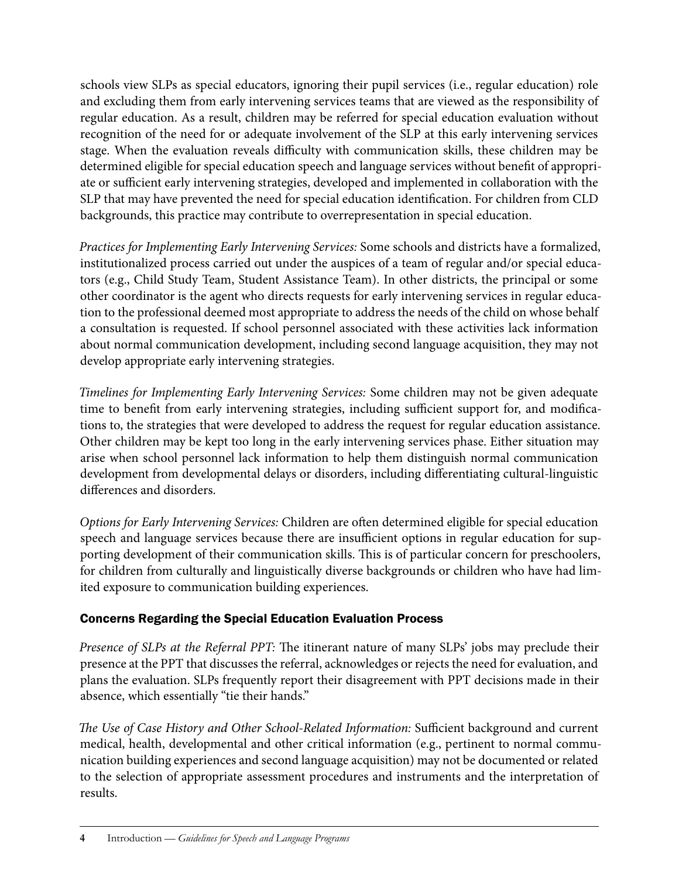schools view SLPs as special educators, ignoring their pupil services (i.e., regular education) role and excluding them from early intervening services teams that are viewed as the responsibility of regular education. As a result, children may be referred for special education evaluation without recognition of the need for or adequate involvement of the SLP at this early intervening services stage. When the evaluation reveals difficulty with communication skills, these children may be determined eligible for special education speech and language services without benefit of appropriate or sufficient early intervening strategies, developed and implemented in collaboration with the SLP that may have prevented the need for special education identification. For children from CLD backgrounds, this practice may contribute to overrepresentation in special education.

*Practices for Implementing Early Intervening Services:* Some schools and districts have a formalized, institutionalized process carried out under the auspices of a team of regular and/or special educators (e.g., Child Study Team, Student Assistance Team). In other districts, the principal or some other coordinator is the agent who directs requests for early intervening services in regular education to the professional deemed most appropriate to address the needs of the child on whose behalf a consultation is requested. If school personnel associated with these activities lack information about normal communication development, including second language acquisition, they may not develop appropriate early intervening strategies.

*Timelines for Implementing Early Intervening Services:* Some children may not be given adequate time to benefit from early intervening strategies, including sufficient support for, and modifications to, the strategies that were developed to address the request for regular education assistance. Other children may be kept too long in the early intervening services phase. Either situation may arise when school personnel lack information to help them distinguish normal communication development from developmental delays or disorders, including differentiating cultural-linguistic differences and disorders.

*Options for Early Intervening Services:* Children are often determined eligible for special education speech and language services because there are insufficient options in regular education for supporting development of their communication skills. This is of particular concern for preschoolers, for children from culturally and linguistically diverse backgrounds or children who have had limited exposure to communication building experiences.

### Concerns Regarding the Special Education Evaluation Process

*Presence of SLPs at the Referral PPT:* The itinerant nature of many SLPs' jobs may preclude their presence at the PPT that discusses the referral, acknowledges or rejects the need for evaluation, and plans the evaluation. SLPs frequently report their disagreement with PPT decisions made in their absence, which essentially "tie their hands."

*The Use of Case History and Other School-Related Information:* Sufficient background and current medical, health, developmental and other critical information (e.g., pertinent to normal communication building experiences and second language acquisition) may not be documented or related to the selection of appropriate assessment procedures and instruments and the interpretation of results.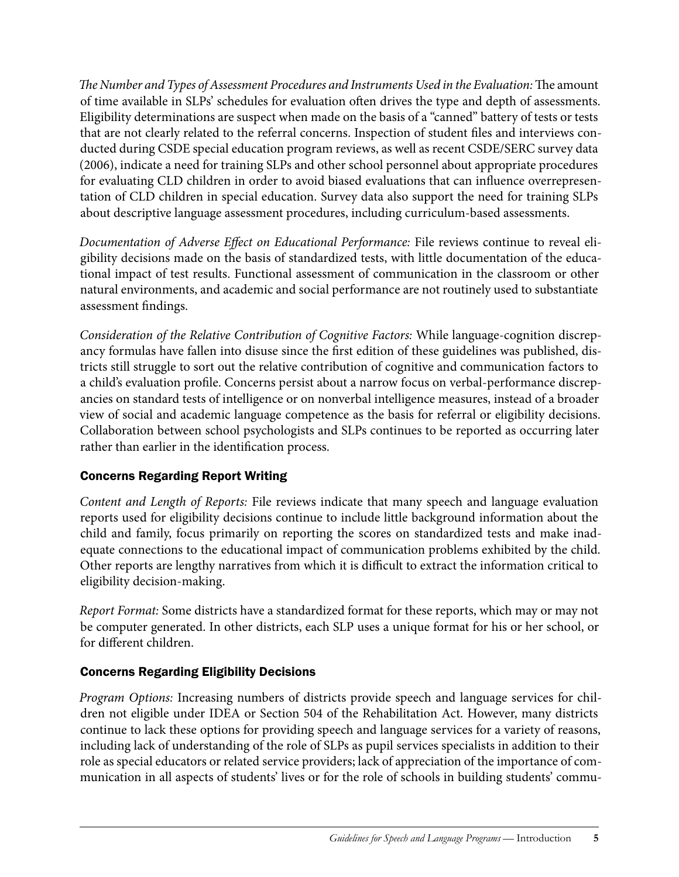*The Number and Types of Assessment Procedures and Instruments Used in the Evaluation:* The amount of time available in SLPs' schedules for evaluation often drives the type and depth of assessments. Eligibility determinations are suspect when made on the basis of a "canned" battery of tests or tests that are not clearly related to the referral concerns. Inspection of student files and interviews conducted during CSDE special education program reviews, as well as recent CSDE/SERC survey data (2006), indicate a need for training SLPs and other school personnel about appropriate procedures for evaluating CLD children in order to avoid biased evaluations that can influence overrepresentation of CLD children in special education. Survey data also support the need for training SLPs about descriptive language assessment procedures, including curriculum-based assessments.

*Documentation of Adverse Effect on Educational Performance:* File reviews continue to reveal eligibility decisions made on the basis of standardized tests, with little documentation of the educational impact of test results. Functional assessment of communication in the classroom or other natural environments, and academic and social performance are not routinely used to substantiate assessment findings.

*Consideration of the Relative Contribution of Cognitive Factors:* While language-cognition discrepancy formulas have fallen into disuse since the first edition of these guidelines was published, districts still struggle to sort out the relative contribution of cognitive and communication factors to a child's evaluation profile. Concerns persist about a narrow focus on verbal-performance discrepancies on standard tests of intelligence or on nonverbal intelligence measures, instead of a broader view of social and academic language competence as the basis for referral or eligibility decisions. Collaboration between school psychologists and SLPs continues to be reported as occurring later rather than earlier in the identification process.

### Concerns Regarding Report Writing

*Content and Length of Reports:* File reviews indicate that many speech and language evaluation reports used for eligibility decisions continue to include little background information about the child and family, focus primarily on reporting the scores on standardized tests and make inadequate connections to the educational impact of communication problems exhibited by the child. Other reports are lengthy narratives from which it is difficult to extract the information critical to eligibility decision-making.

*Report Format:* Some districts have a standardized format for these reports, which may or may not be computer generated. In other districts, each SLP uses a unique format for his or her school, or for different children.

### Concerns Regarding Eligibility Decisions

*Program Options:* Increasing numbers of districts provide speech and language services for children not eligible under IDEA or Section 504 of the Rehabilitation Act. However, many districts continue to lack these options for providing speech and language services for a variety of reasons, including lack of understanding of the role of SLPs as pupil services specialists in addition to their role as special educators or related service providers; lack of appreciation of the importance of communication in all aspects of students' lives or for the role of schools in building students' commu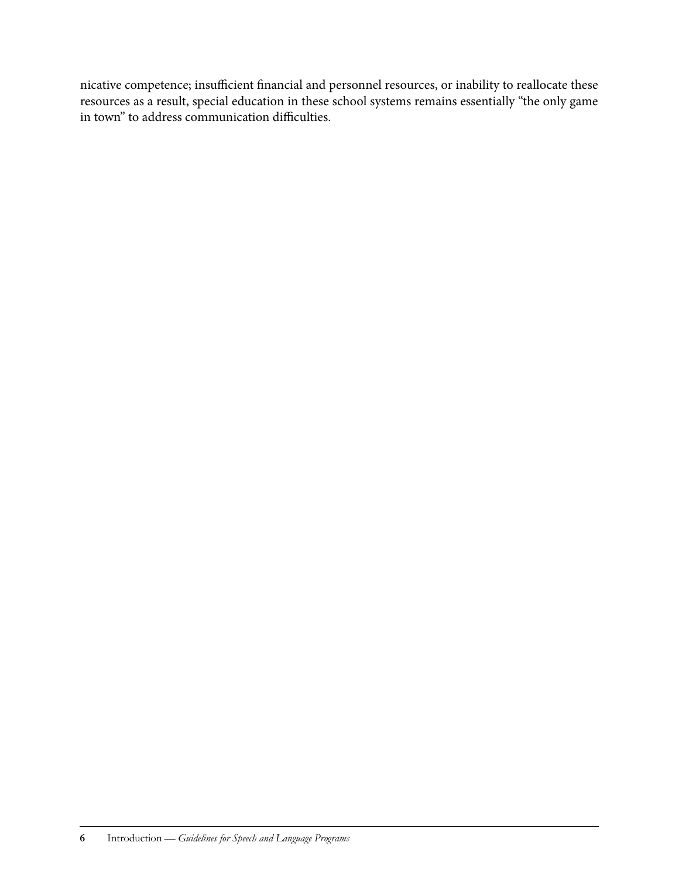nicative competence; insufficient financial and personnel resources, or inability to reallocate these resources as a result, special education in these school systems remains essentially "the only game in town" to address communication difficulties.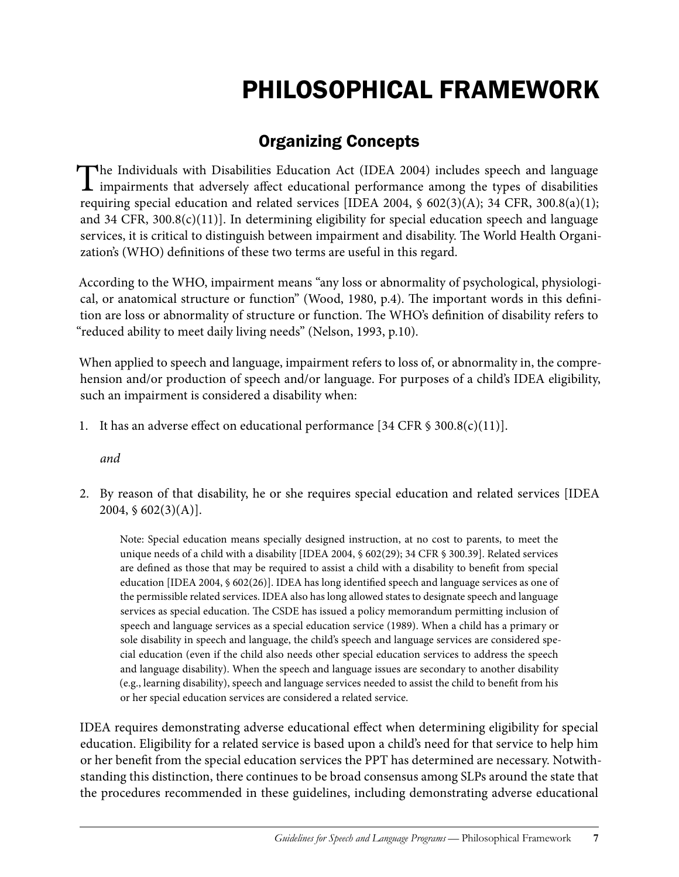# Philosophical Framework

# Organizing Concepts

The Individuals with Disabilities Education Act (IDEA 2004) includes speech and language  $\perp$  impairments that adversely affect educational performance among the types of disabilities requiring special education and related services [IDEA 2004,  $\S$  602(3)(A); 34 CFR, 300.8(a)(1); and 34 CFR, 300.8(c)(11)]. In determining eligibility for special education speech and language services, it is critical to distinguish between impairment and disability. The World Health Organization's (WHO) definitions of these two terms are useful in this regard.

According to the WHO, impairment means "any loss or abnormality of psychological, physiological, or anatomical structure or function" (Wood, 1980, p.4). The important words in this definition are loss or abnormality of structure or function. The WHO's definition of disability refers to "reduced ability to meet daily living needs" (Nelson, 1993, p.10).

When applied to speech and language, impairment refers to loss of, or abnormality in, the comprehension and/or production of speech and/or language. For purposes of a child's IDEA eligibility, such an impairment is considered a disability when:

1. It has an adverse effect on educational performance [34 CFR  $\$$  300.8(c)(11)].

*and*

2. By reason of that disability, he or she requires special education and related services [IDEA  $2004, \, \S \, 602(3)(A)$ .

Note: Special education means specially designed instruction, at no cost to parents, to meet the unique needs of a child with a disability [IDEA 2004, § 602(29); 34 CFR § 300.39]. Related services are defined as those that may be required to assist a child with a disability to benefit from special education [IDEA 2004, § 602(26)]. IDEA has long identified speech and language services as one of the permissible related services. IDEA also has long allowed states to designate speech and language services as special education. The CSDE has issued a policy memorandum permitting inclusion of speech and language services as a special education service (1989). When a child has a primary or sole disability in speech and language, the child's speech and language services are considered special education (even if the child also needs other special education services to address the speech and language disability). When the speech and language issues are secondary to another disability (e.g., learning disability), speech and language services needed to assist the child to benefit from his or her special education services are considered a related service.

IDEA requires demonstrating adverse educational effect when determining eligibility for special education. Eligibility for a related service is based upon a child's need for that service to help him or her benefit from the special education services the PPT has determined are necessary. Notwithstanding this distinction, there continues to be broad consensus among SLPs around the state that the procedures recommended in these guidelines, including demonstrating adverse educational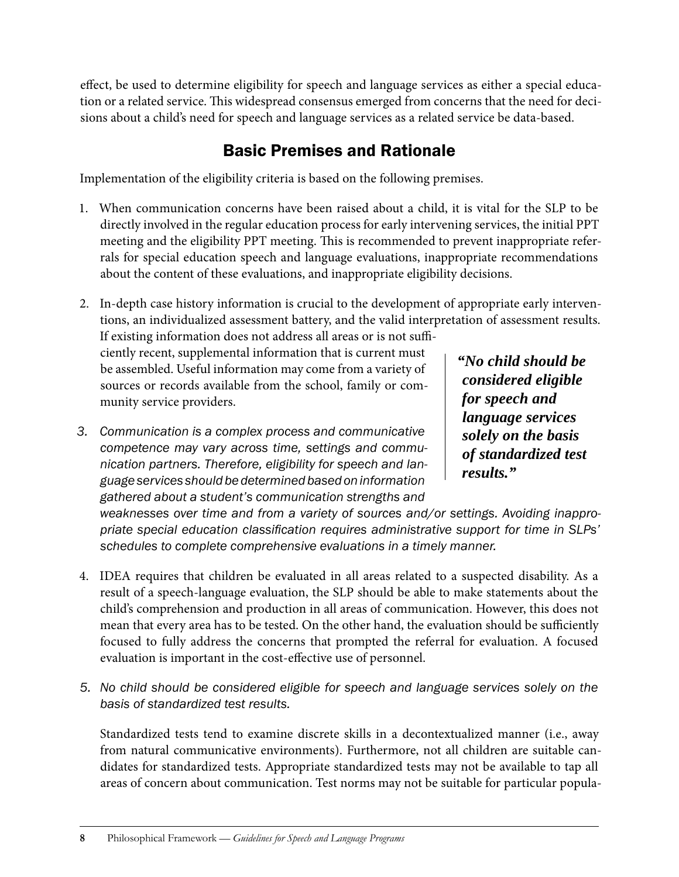effect, be used to determine eligibility for speech and language services as either a special education or a related service. This widespread consensus emerged from concerns that the need for decisions about a child's need for speech and language services as a related service be data-based.

## Basic Premises and Rationale

Implementation of the eligibility criteria is based on the following premises.

- 1. When communication concerns have been raised about a child, it is vital for the SLP to be directly involved in the regular education process for early intervening services, the initial PPT meeting and the eligibility PPT meeting. This is recommended to prevent inappropriate referrals for special education speech and language evaluations, inappropriate recommendations about the content of these evaluations, and inappropriate eligibility decisions.
- 2. In-depth case history information is crucial to the development of appropriate early interventions, an individualized assessment battery, and the valid interpretation of assessment results.

If existing information does not address all areas or is not sufficiently recent, supplemental information that is current must be assembled. Useful information may come from a variety of sources or records available from the school, family or community service providers.

*3. Communication is a complex process and communicative competence may vary across time, settings and communication partners. Therefore, eligibility for speech and language services should be determined based on information gathered about a student's communication strengths and* 

*"No child should be considered eligible for speech and language services solely on the basis of standardized test results."*

*weaknesses over time and from a variety of sources and/or settings. Avoiding inappropriate special education classification requires administrative support for time in SLPs' schedules to complete comprehensive evaluations in a timely manner.*

- 4. IDEA requires that children be evaluated in all areas related to a suspected disability. As a result of a speech-language evaluation, the SLP should be able to make statements about the child's comprehension and production in all areas of communication. However, this does not mean that every area has to be tested. On the other hand, the evaluation should be sufficiently focused to fully address the concerns that prompted the referral for evaluation. A focused evaluation is important in the cost-effective use of personnel.
- *5. No child should be considered eligible for speech and language services solely on the basis of standardized test results.*

Standardized tests tend to examine discrete skills in a decontextualized manner (i.e., away from natural communicative environments). Furthermore, not all children are suitable candidates for standardized tests. Appropriate standardized tests may not be available to tap all areas of concern about communication. Test norms may not be suitable for particular popula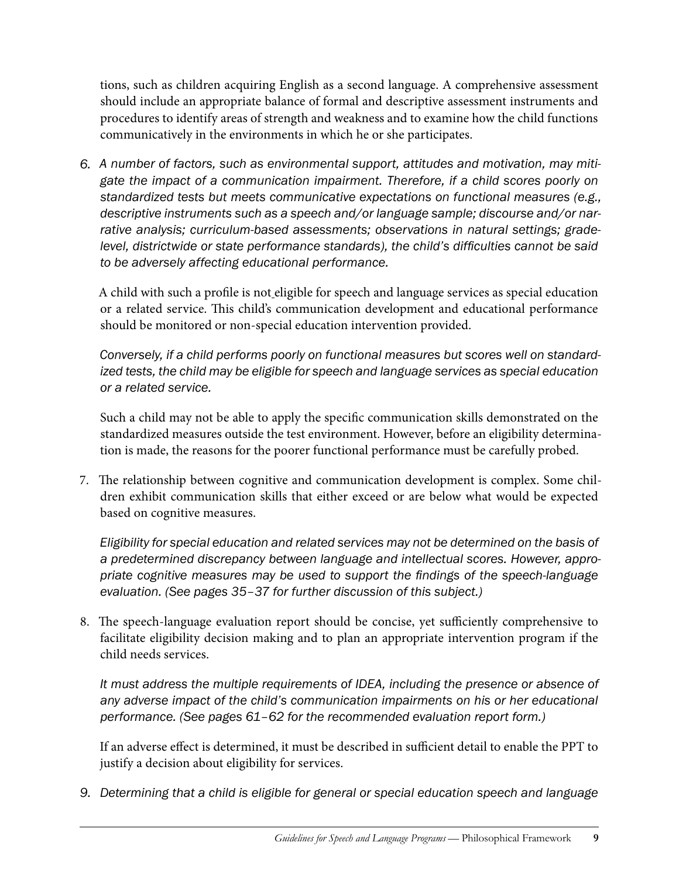tions, such as children acquiring English as a second language. A comprehensive assessment should include an appropriate balance of formal and descriptive assessment instruments and procedures to identify areas of strength and weakness and to examine how the child functions communicatively in the environments in which he or she participates.

*6. A number of factors, such as environmental support, attitudes and motivation, may mitigate the impact of a communication impairment. Therefore, if a child scores poorly on standardized tests but meets communicative expectations on functional measures (e.g., descriptive instruments such as a speech and/or language sample; discourse and/or narrative analysis; curriculum-based assessments; observations in natural settings; gradelevel, districtwide or state performance standards), the child's difficulties cannot be said to be adversely affecting educational performance.* 

A child with such a profile is not eligible for speech and language services as special education or a related service. This child's communication development and educational performance should be monitored or non-special education intervention provided.

*Conversely, if a child performs poorly on functional measures but scores well on standardized tests, the child may be eligible for speech and language services as special education or a related service.*

Such a child may not be able to apply the specific communication skills demonstrated on the standardized measures outside the test environment. However, before an eligibility determination is made, the reasons for the poorer functional performance must be carefully probed.

7. The relationship between cognitive and communication development is complex. Some children exhibit communication skills that either exceed or are below what would be expected based on cognitive measures.

*Eligibility for special education and related services may not be determined on the basis of a predetermined discrepancy between language and intellectual scores. However, appropriate cognitive measures may be used to support the findings of the speech-language evaluation. (See pages 35–37 for further discussion of this subject.)*

8. The speech-language evaluation report should be concise, yet sufficiently comprehensive to facilitate eligibility decision making and to plan an appropriate intervention program if the child needs services.

*It must address the multiple requirements of IDEA, including the presence or absence of*  any adverse impact of the child's communication impairments on his or her educational *performance. (See pages 61–62 for the recommended evaluation report form.)* 

If an adverse effect is determined, it must be described in sufficient detail to enable the PPT to justify a decision about eligibility for services.

*9. Determining that a child is eligible for general or special education speech and language*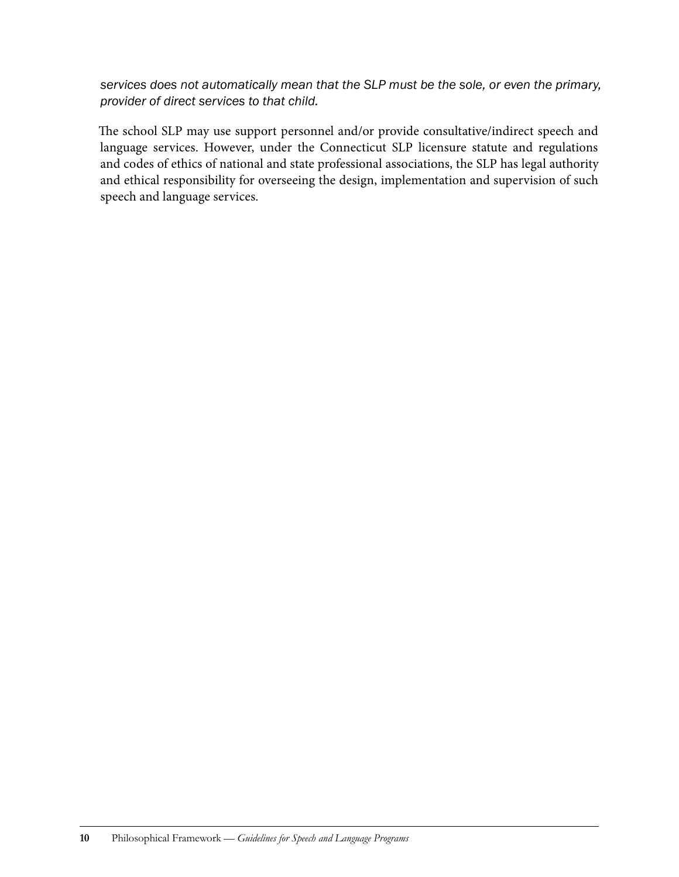*services does not automatically mean that the SLP must be the sole, or even the primary, provider of direct services to that child.* 

The school SLP may use support personnel and/or provide consultative/indirect speech and language services. However, under the Connecticut SLP licensure statute and regulations and codes of ethics of national and state professional associations, the SLP has legal authority and ethical responsibility for overseeing the design, implementation and supervision of such speech and language services.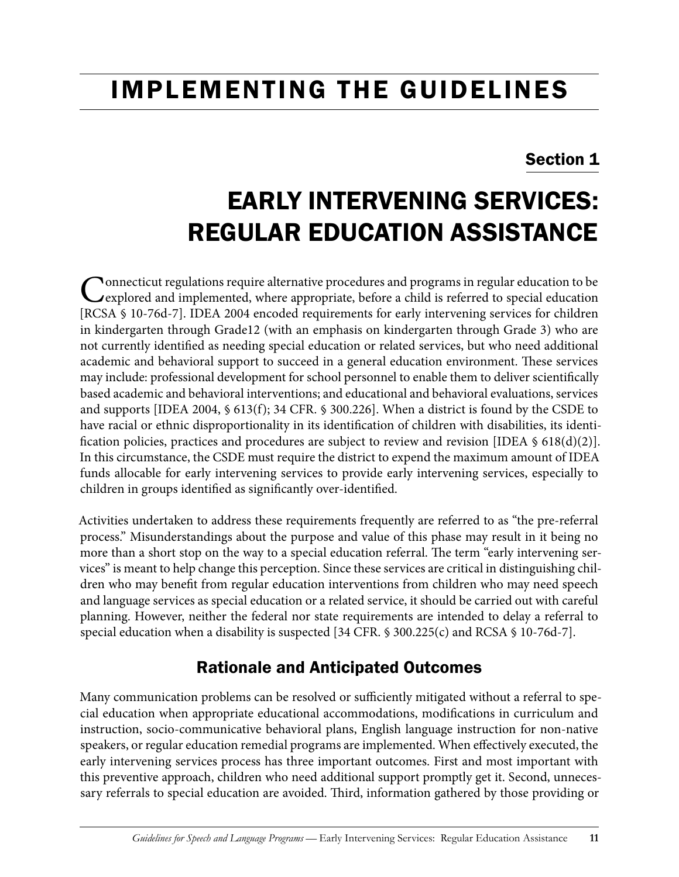# IMPLEMENTING THE GUIDELINES

## Section 1

# Early Intervening Services: Regular Education Assistance

Connecticut regulations require alternative procedures and programs in regular education to be explored and implemented, where appropriate, before a child is referred to special education [RCSA § 10-76d-7]. IDEA 2004 encoded requirements for early intervening services for children in kindergarten through Grade12 (with an emphasis on kindergarten through Grade 3) who are not currently identified as needing special education or related services, but who need additional academic and behavioral support to succeed in a general education environment. These services may include: professional development for school personnel to enable them to deliver scientifically based academic and behavioral interventions; and educational and behavioral evaluations, services and supports [IDEA 2004, § 613(f); 34 CFR. § 300.226]. When a district is found by the CSDE to have racial or ethnic disproportionality in its identification of children with disabilities, its identification policies, practices and procedures are subject to review and revision [IDEA  $\S$  618(d)(2)]. In this circumstance, the CSDE must require the district to expend the maximum amount of IDEA funds allocable for early intervening services to provide early intervening services, especially to children in groups identified as significantly over-identified.

Activities undertaken to address these requirements frequently are referred to as "the pre-referral process." Misunderstandings about the purpose and value of this phase may result in it being no more than a short stop on the way to a special education referral. The term "early intervening services" is meant to help change this perception. Since these services are critical in distinguishing children who may benefit from regular education interventions from children who may need speech and language services as special education or a related service, it should be carried out with careful planning. However, neither the federal nor state requirements are intended to delay a referral to special education when a disability is suspected [34 CFR. § 300.225(c) and RCSA § 10-76d-7].

## Rationale and Anticipated Outcomes

Many communication problems can be resolved or sufficiently mitigated without a referral to special education when appropriate educational accommodations, modifications in curriculum and instruction, socio-communicative behavioral plans, English language instruction for non-native speakers, or regular education remedial programs are implemented. When effectively executed, the early intervening services process has three important outcomes. First and most important with this preventive approach, children who need additional support promptly get it. Second, unnecessary referrals to special education are avoided. Third, information gathered by those providing or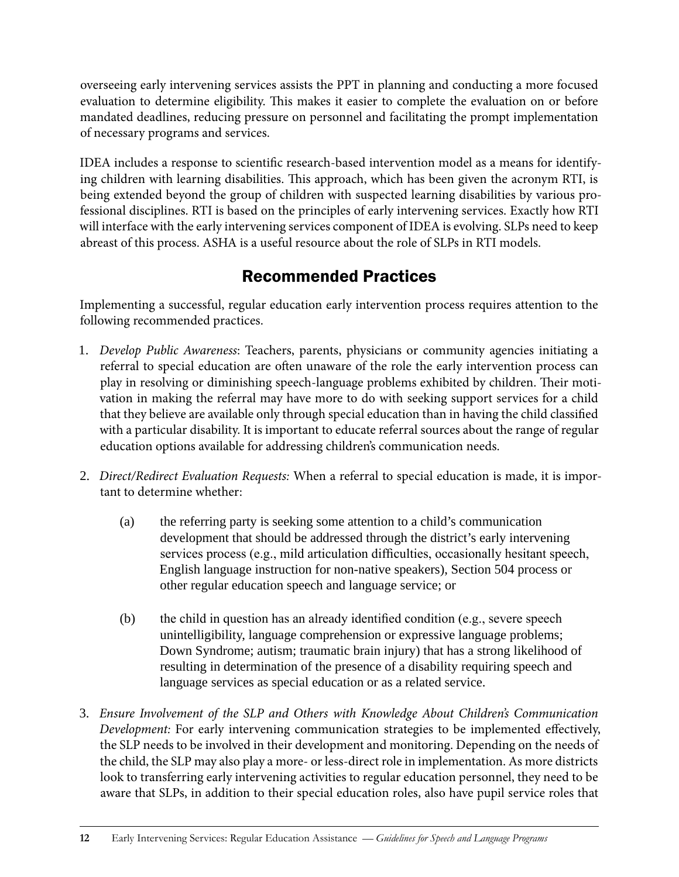overseeing early intervening services assists the PPT in planning and conducting a more focused evaluation to determine eligibility. This makes it easier to complete the evaluation on or before mandated deadlines, reducing pressure on personnel and facilitating the prompt implementation of necessary programs and services.

IDEA includes a response to scientific research-based intervention model as a means for identifying children with learning disabilities. This approach, which has been given the acronym RTI, is being extended beyond the group of children with suspected learning disabilities by various professional disciplines. RTI is based on the principles of early intervening services. Exactly how RTI will interface with the early intervening services component of IDEA is evolving. SLPs need to keep abreast of this process. ASHA is a useful resource about the role of SLPs in RTI models.

## Recommended Practices

Implementing a successful, regular education early intervention process requires attention to the following recommended practices.

- 1. *Develop Public Awareness*: Teachers, parents, physicians or community agencies initiating a referral to special education are often unaware of the role the early intervention process can play in resolving or diminishing speech-language problems exhibited by children. Their motivation in making the referral may have more to do with seeking support services for a child that they believe are available only through special education than in having the child classified with a particular disability. It is important to educate referral sources about the range of regular education options available for addressing children's communication needs.
- 2. *Direct/Redirect Evaluation Requests:* When a referral to special education is made, it is important to determine whether:
	- (a) the referring party is seeking some attention to a child's communication development that should be addressed through the district's early intervening services process (e.g., mild articulation difficulties, occasionally hesitant speech, English language instruction for non-native speakers), Section 504 process or other regular education speech and language service; or
	- (b) the child in question has an already identified condition (e.g., severe speech unintelligibility, language comprehension or expressive language problems; Down Syndrome; autism; traumatic brain injury) that has a strong likelihood of resulting in determination of the presence of a disability requiring speech and language services as special education or as a related service.
- 3. *Ensure Involvement of the SLP and Others with Knowledge About Children's Communication Development:* For early intervening communication strategies to be implemented effectively, the SLP needs to be involved in their development and monitoring. Depending on the needs of the child, the SLP may also play a more- or less-direct role in implementation. As more districts look to transferring early intervening activities to regular education personnel, they need to be aware that SLPs, in addition to their special education roles, also have pupil service roles that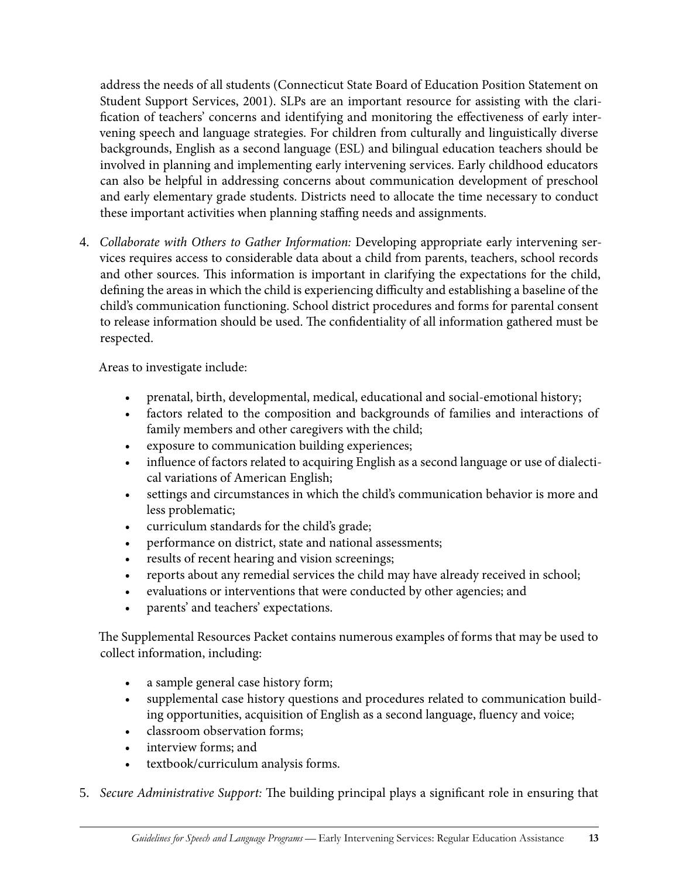address the needs of all students (Connecticut State Board of Education Position Statement on Student Support Services, 2001). SLPs are an important resource for assisting with the clarification of teachers' concerns and identifying and monitoring the effectiveness of early intervening speech and language strategies. For children from culturally and linguistically diverse backgrounds, English as a second language (ESL) and bilingual education teachers should be involved in planning and implementing early intervening services. Early childhood educators can also be helpful in addressing concerns about communication development of preschool and early elementary grade students. Districts need to allocate the time necessary to conduct these important activities when planning staffing needs and assignments.

4. *Collaborate with Others to Gather Information:* Developing appropriate early intervening services requires access to considerable data about a child from parents, teachers, school records and other sources. This information is important in clarifying the expectations for the child, defining the areas in which the child is experiencing difficulty and establishing a baseline of the child's communication functioning. School district procedures and forms for parental consent to release information should be used. The confidentiality of all information gathered must be respected.

Areas to investigate include:

- prenatal, birth, developmental, medical, educational and social-emotional history;
- factors related to the composition and backgrounds of families and interactions of family members and other caregivers with the child;
- exposure to communication building experiences;
- influence of factors related to acquiring English as a second language or use of dialectical variations of American English;
- settings and circumstances in which the child's communication behavior is more and less problematic;
- curriculum standards for the child's grade;
- performance on district, state and national assessments;
- results of recent hearing and vision screenings;
- reports about any remedial services the child may have already received in school;
- • evaluations or interventions that were conducted by other agencies; and
- parents' and teachers' expectations.

The Supplemental Resources Packet contains numerous examples of forms that may be used to collect information, including:

- a sample general case history form;
- supplemental case history questions and procedures related to communication building opportunities, acquisition of English as a second language, fluency and voice;
- classroom observation forms;
- interview forms; and
- textbook/curriculum analysis forms.
- 5. *Secure Administrative Support:* The building principal plays a significant role in ensuring that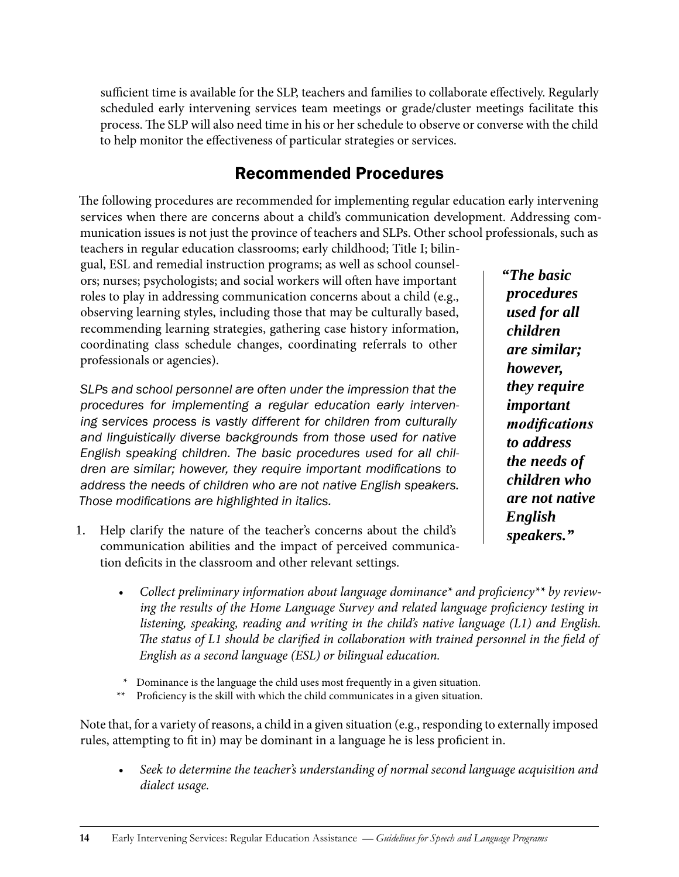sufficient time is available for the SLP, teachers and families to collaborate effectively. Regularly scheduled early intervening services team meetings or grade/cluster meetings facilitate this process. The SLP will also need time in his or her schedule to observe or converse with the child to help monitor the effectiveness of particular strategies or services.

## Recommended Procedures

The following procedures are recommended for implementing regular education early intervening services when there are concerns about a child's communication development. Addressing communication issues is not just the province of teachers and SLPs. Other school professionals, such as

teachers in regular education classrooms; early childhood; Title I; bilingual, ESL and remedial instruction programs; as well as school counselors; nurses; psychologists; and social workers will often have important roles to play in addressing communication concerns about a child (e.g., observing learning styles, including those that may be culturally based, recommending learning strategies, gathering case history information, coordinating class schedule changes, coordinating referrals to other professionals or agencies).

*SLPs and school personnel are often under the impression that the procedures for implementing a regular education early intervening services process is vastly different for children from culturally and linguistically diverse backgrounds from those used for native English speaking children. The basic procedures used for all children are similar; however, they require important modifications to address the needs of children who are not native English speakers. Those modifications are highlighted in italics.*

1. Help clarify the nature of the teacher's concerns about the child's communication abilities and the impact of perceived communication deficits in the classroom and other relevant settings.

*"The basic procedures used for all children are similar; however, they require important modifications to address the needs of children who are not native English speakers."*

- Collect preliminary information about language dominance<sup>\*</sup> and proficiency<sup>\*\*</sup> by review*ing the results of the Home Language Survey and related language proficiency testing in listening, speaking, reading and writing in the child's native language (L1) and English.*  The status of L1 should be clarified in collaboration with trained personnel in the field of *English as a second language (ESL) or bilingual education.*
- *\** Dominance is the language the child uses most frequently in a given situation.
- Proficiency is the skill with which the child communicates in a given situation.

Note that, for a variety of reasons, a child in a given situation (e.g., responding to externally imposed rules, attempting to fit in) may be dominant in a language he is less proficient in.

Seek to determine the teacher's understanding of normal second language acquisition and *dialect usage.*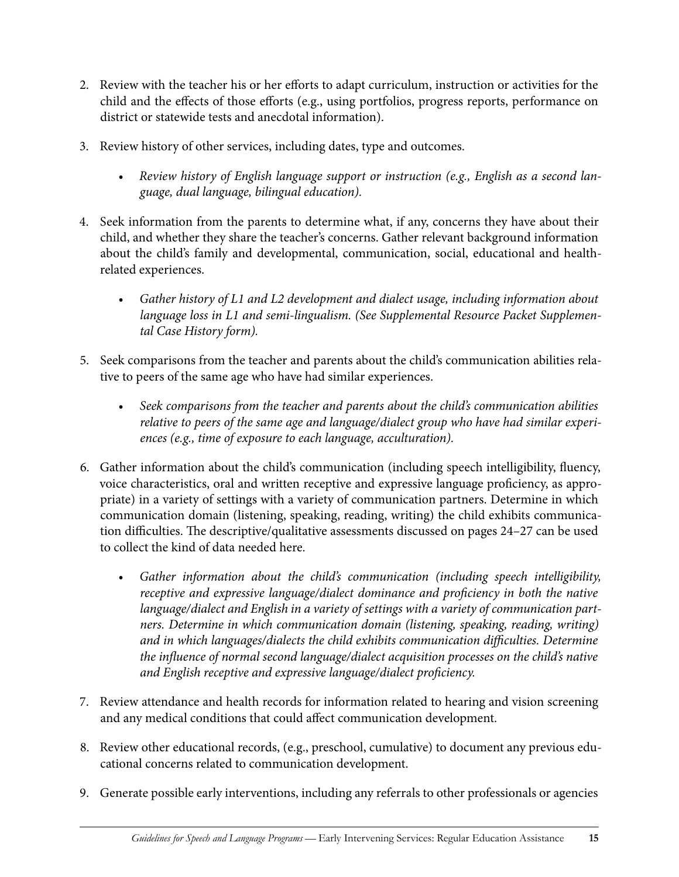- 2. Review with the teacher his or her efforts to adapt curriculum, instruction or activities for the child and the effects of those efforts (e.g., using portfolios, progress reports, performance on district or statewide tests and anecdotal information).
- 3. Review history of other services, including dates, type and outcomes.
	- Review history of English language support or instruction (e.g., English as a second lan*guage, dual language, bilingual education).*
- 4. Seek information from the parents to determine what, if any, concerns they have about their child, and whether they share the teacher's concerns. Gather relevant background information about the child's family and developmental, communication, social, educational and healthrelated experiences.
	- Gather history of L1 and L2 development and dialect usage, including information about *language loss in L1 and semi-lingualism. (See Supplemental Resource Packet Supplemental Case History form).*
- 5. Seek comparisons from the teacher and parents about the child's communication abilities relative to peers of the same age who have had similar experiences.
	- *• Seek comparisons from the teacher and parents about the child's communication abilities relative to peers of the same age and language/dialect group who have had similar experiences (e.g., time of exposure to each language, acculturation).*
- 6. Gather information about the child's communication (including speech intelligibility, fluency, voice characteristics, oral and written receptive and expressive language proficiency, as appropriate) in a variety of settings with a variety of communication partners. Determine in which communication domain (listening, speaking, reading, writing) the child exhibits communication difficulties. The descriptive/qualitative assessments discussed on pages 24–27 can be used to collect the kind of data needed here.
	- *• Gather information about the child's communication (including speech intelligibility, receptive and expressive language/dialect dominance and proficiency in both the native language/dialect and English in a variety of settings with a variety of communication partners. Determine in which communication domain (listening, speaking, reading, writing) and in which languages/dialects the child exhibits communication difficulties. Determine the influence of normal second language/dialect acquisition processes on the child's native and English receptive and expressive language/dialect proficiency.*
- 7. Review attendance and health records for information related to hearing and vision screening and any medical conditions that could affect communication development.
- 8. Review other educational records, (e.g., preschool, cumulative) to document any previous educational concerns related to communication development.
- 9. Generate possible early interventions, including any referrals to other professionals or agencies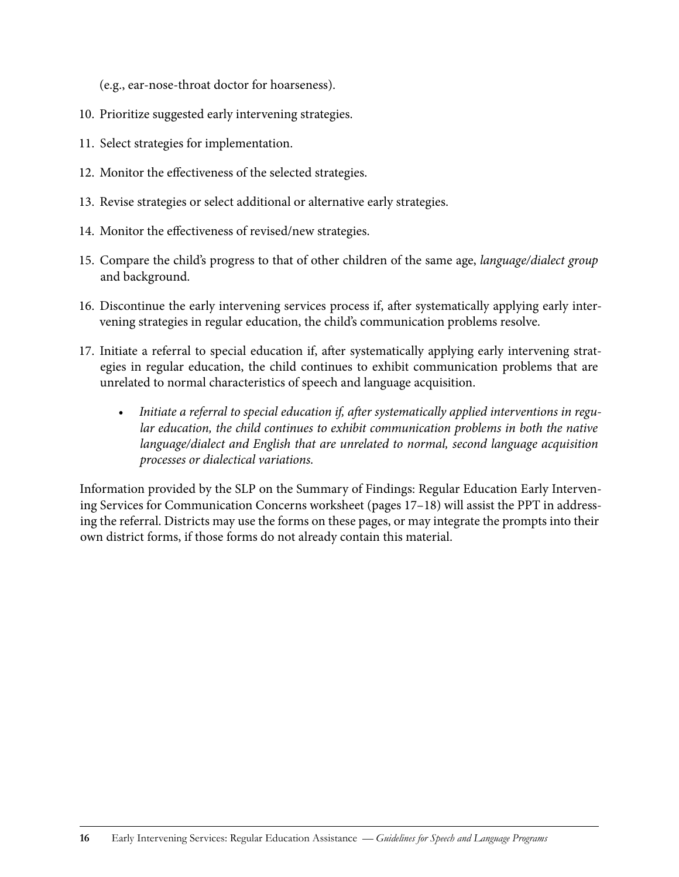(e.g., ear-nose-throat doctor for hoarseness).

- 10. Prioritize suggested early intervening strategies.
- 11. Select strategies for implementation.
- 12. Monitor the effectiveness of the selected strategies.
- 13. Revise strategies or select additional or alternative early strategies.
- 14. Monitor the effectiveness of revised/new strategies.
- 15. Compare the child's progress to that of other children of the same age, *language/dialect group* and background.
- 16. Discontinue the early intervening services process if, after systematically applying early intervening strategies in regular education, the child's communication problems resolve.
- 17. Initiate a referral to special education if, after systematically applying early intervening strategies in regular education, the child continues to exhibit communication problems that are unrelated to normal characteristics of speech and language acquisition.
	- Initiate a referral to special education if, after systematically applied interventions in regu*lar education, the child continues to exhibit communication problems in both the native language/dialect and English that are unrelated to normal, second language acquisition processes or dialectical variations.*

Information provided by the SLP on the Summary of Findings: Regular Education Early Intervening Services for Communication Concerns worksheet (pages 17–18) will assist the PPT in addressing the referral. Districts may use the forms on these pages, or may integrate the prompts into their own district forms, if those forms do not already contain this material.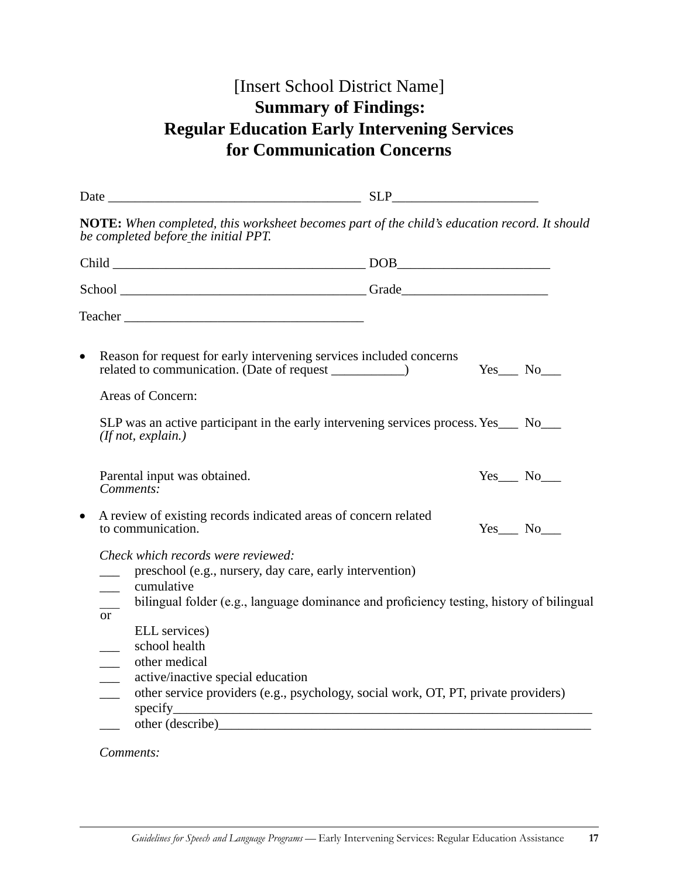## [Insert School District Name] **Summary of Findings: Regular Education Early Intervening Services for Communication Concerns**

|                                                                     | be completed before the initial PPT.                                                                        | NOTE: When completed, this worksheet becomes part of the child's education record. It should                                                                                                                                   |  |                   |  |  |
|---------------------------------------------------------------------|-------------------------------------------------------------------------------------------------------------|--------------------------------------------------------------------------------------------------------------------------------------------------------------------------------------------------------------------------------|--|-------------------|--|--|
|                                                                     |                                                                                                             |                                                                                                                                                                                                                                |  |                   |  |  |
|                                                                     |                                                                                                             | School Grade Contact Contact Contact Contact Contact Contact Contact Contact Contact Contact Contact Contact Contact Contact Contact Contact Contact Contact Contact Contact Contact Contact Contact Contact Contact Contact C |  |                   |  |  |
|                                                                     |                                                                                                             |                                                                                                                                                                                                                                |  |                   |  |  |
| $\bullet$                                                           |                                                                                                             | Reason for request for early intervening services included concerns                                                                                                                                                            |  | $Yes$ No $\_\_$   |  |  |
|                                                                     | Areas of Concern:                                                                                           |                                                                                                                                                                                                                                |  |                   |  |  |
|                                                                     | (If not, explain.)                                                                                          | SLP was an active participant in the early intervening services process. Yes___ No___                                                                                                                                          |  |                   |  |  |
|                                                                     | Parental input was obtained.<br>Comments:                                                                   |                                                                                                                                                                                                                                |  | $Yes$ No $\qquad$ |  |  |
|                                                                     | A review of existing records indicated areas of concern related<br>to communication.                        |                                                                                                                                                                                                                                |  | $Yes$ No $\qquad$ |  |  |
| $\overline{\phantom{a}}$<br>or                                      | Check which records were reviewed:<br>preschool (e.g., nursery, day care, early intervention)<br>cumulative | bilingual folder (e.g., language dominance and proficiency testing, history of bilingual                                                                                                                                       |  |                   |  |  |
| $\overline{\phantom{a}}$<br>$\overline{\phantom{a}}$<br>an<br>Lihat | ELL services)<br>school health<br>other medical<br>active/inactive special education<br>specify_            | other service providers (e.g., psychology, social work, OT, PT, private providers)                                                                                                                                             |  |                   |  |  |
|                                                                     |                                                                                                             |                                                                                                                                                                                                                                |  |                   |  |  |

### *Comments:*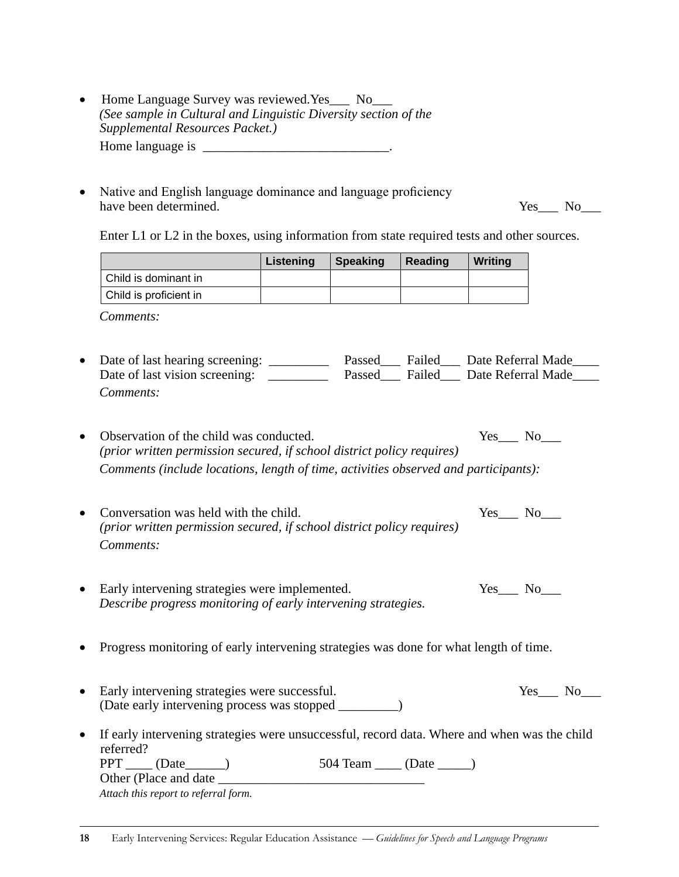- Home Language Survey was reviewed.Yes\_\_\_ No\_\_\_ *(See sample in Cultural and Linguistic Diversity section of the Supplemental Resources Packet.)* Home language is \_\_\_\_\_\_\_\_\_\_\_\_\_\_\_\_\_\_\_\_\_\_\_\_\_\_\_\_.
- Native and English language dominance and language proficiency have been determined. Yes\_\_\_ No\_\_\_

Enter L1 or L2 in the boxes, using information from state required tests and other sources.

|                                                                                                                              | <b>Listening</b> | <b>Speaking</b> | <b>Reading</b> | Writing                                  |
|------------------------------------------------------------------------------------------------------------------------------|------------------|-----------------|----------------|------------------------------------------|
| Child is dominant in                                                                                                         |                  |                 |                |                                          |
| Child is proficient in                                                                                                       |                  |                 |                |                                          |
| Comments:                                                                                                                    |                  |                 |                |                                          |
| Date of last hearing screening: ____________ Passed____ Failed____ Date Referral Made__                                      |                  |                 |                |                                          |
| Date of last vision screening: _________                                                                                     |                  |                 |                | Passed___ Failed___ Date Referral Made__ |
| Comments:                                                                                                                    |                  |                 |                |                                          |
| Observation of the child was conducted.                                                                                      |                  |                 |                | $Yes$ No $\_\_$                          |
| (prior written permission secured, if school district policy requires)                                                       |                  |                 |                |                                          |
| Comments (include locations, length of time, activities observed and participants):                                          |                  |                 |                |                                          |
| Conversation was held with the child.<br>(prior written permission secured, if school district policy requires)<br>Comments: |                  |                 |                | Yes No                                   |
| Early intervening strategies were implemented.<br>Describe progress monitoring of early intervening strategies.              |                  |                 |                | $Yes$ No $\_\_$                          |
| Progress monitoring of early intervening strategies was done for what length of time.                                        |                  |                 |                |                                          |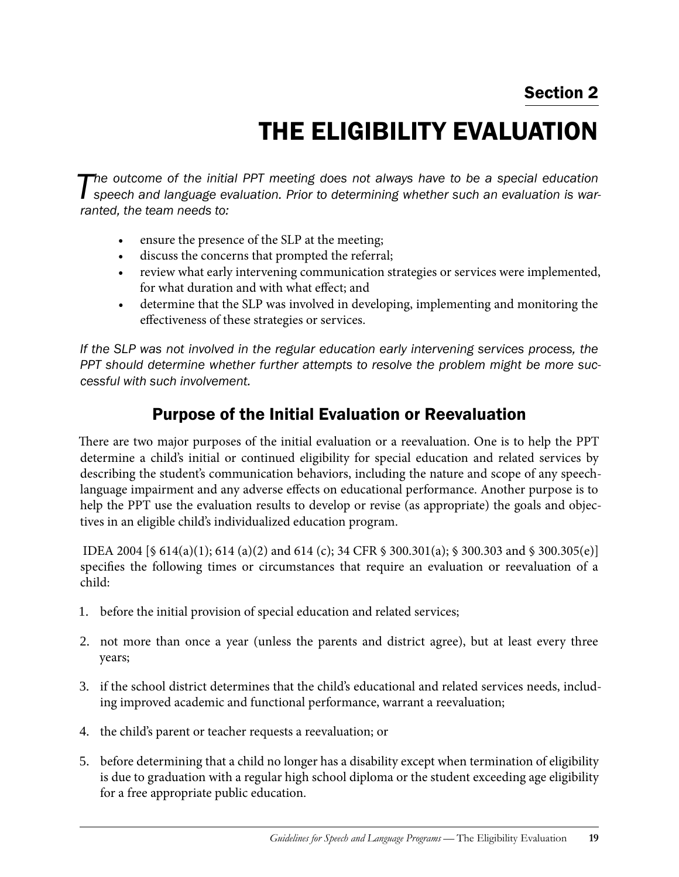# The Eligibility Evaluation

**The outcome of the initial PPT meeting does not always have to be a special education speech and language evaluation. Prior to determining whether such an evaluation is war***ranted, the team needs to:*

- ensure the presence of the SLP at the meeting;
- • discuss the concerns that prompted the referral;
- • review what early intervening communication strategies or services were implemented, for what duration and with what effect; and
- determine that the SLP was involved in developing, implementing and monitoring the effectiveness of these strategies or services.

*If the SLP was not involved in the regular education early intervening services process, the PPT should determine whether further attempts to resolve the problem might be more successful with such involvement.*

## Purpose of the Initial Evaluation or Reevaluation

There are two major purposes of the initial evaluation or a reevaluation. One is to help the PPT determine a child's initial or continued eligibility for special education and related services by describing the student's communication behaviors, including the nature and scope of any speechlanguage impairment and any adverse effects on educational performance. Another purpose is to help the PPT use the evaluation results to develop or revise (as appropriate) the goals and objectives in an eligible child's individualized education program.

 IDEA 2004 [§ 614(a)(1); 614 (a)(2) and 614 (c); 34 CFR § 300.301(a); § 300.303 and § 300.305(e)] specifies the following times or circumstances that require an evaluation or reevaluation of a child:

- 1. before the initial provision of special education and related services;
- 2. not more than once a year (unless the parents and district agree), but at least every three years;
- 3. if the school district determines that the child's educational and related services needs, including improved academic and functional performance, warrant a reevaluation;
- 4. the child's parent or teacher requests a reevaluation; or
- 5. before determining that a child no longer has a disability except when termination of eligibility is due to graduation with a regular high school diploma or the student exceeding age eligibility for a free appropriate public education.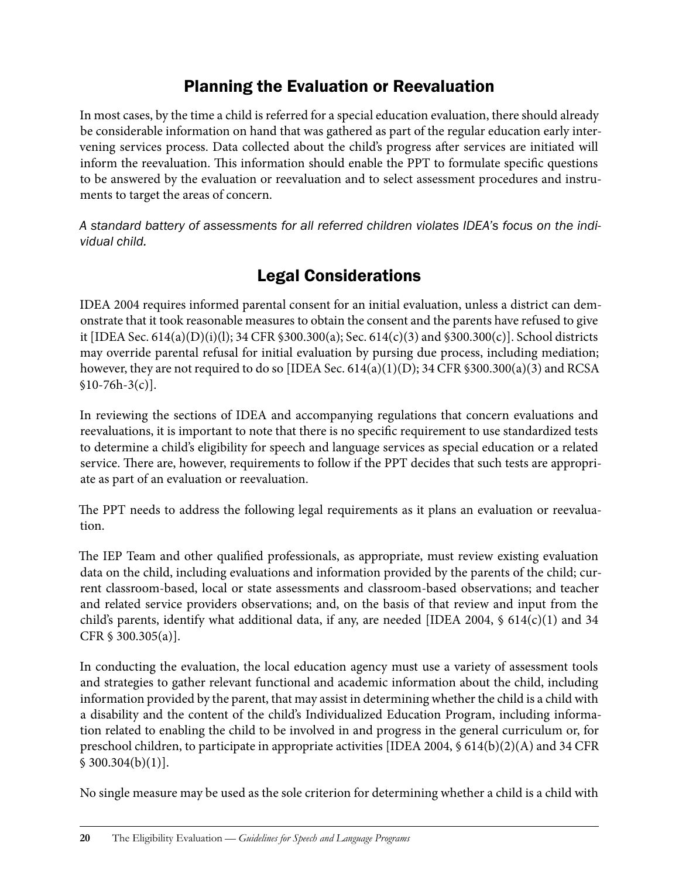## Planning the Evaluation or Reevaluation

In most cases, by the time a child is referred for a special education evaluation, there should already be considerable information on hand that was gathered as part of the regular education early intervening services process. Data collected about the child's progress after services are initiated will inform the reevaluation. This information should enable the PPT to formulate specific questions to be answered by the evaluation or reevaluation and to select assessment procedures and instruments to target the areas of concern.

*A standard battery of assessments for all referred children violates IDEA's focus on the individual child.*

# Legal Considerations

IDEA 2004 requires informed parental consent for an initial evaluation, unless a district can demonstrate that it took reasonable measures to obtain the consent and the parents have refused to give it [IDEA Sec. 614(a)(D)(i)(l); 34 CFR §300.300(a); Sec. 614(c)(3) and §300.300(c)]. School districts may override parental refusal for initial evaluation by pursing due process, including mediation; however, they are not required to do so [IDEA Sec.  $614(a)(1)(D)$ ; 34 CFR  $$300.300(a)(3)$  and RCSA  $$10-76h-3(c)$ ].

In reviewing the sections of IDEA and accompanying regulations that concern evaluations and reevaluations, it is important to note that there is no specific requirement to use standardized tests to determine a child's eligibility for speech and language services as special education or a related service. There are, however, requirements to follow if the PPT decides that such tests are appropriate as part of an evaluation or reevaluation.

The PPT needs to address the following legal requirements as it plans an evaluation or reevaluation.

The IEP Team and other qualified professionals, as appropriate, must review existing evaluation data on the child, including evaluations and information provided by the parents of the child; current classroom-based, local or state assessments and classroom-based observations; and teacher and related service providers observations; and, on the basis of that review and input from the child's parents, identify what additional data, if any, are needed [IDEA 2004, § 614(c)(1) and 34 CFR § 300.305(a)].

In conducting the evaluation, the local education agency must use a variety of assessment tools and strategies to gather relevant functional and academic information about the child, including information provided by the parent, that may assist in determining whether the child is a child with a disability and the content of the child's Individualized Education Program, including information related to enabling the child to be involved in and progress in the general curriculum or, for preschool children, to participate in appropriate activities [IDEA 2004, § 614(b)(2)(A) and 34 CFR  $$300.304(b)(1)].$ 

No single measure may be used as the sole criterion for determining whether a child is a child with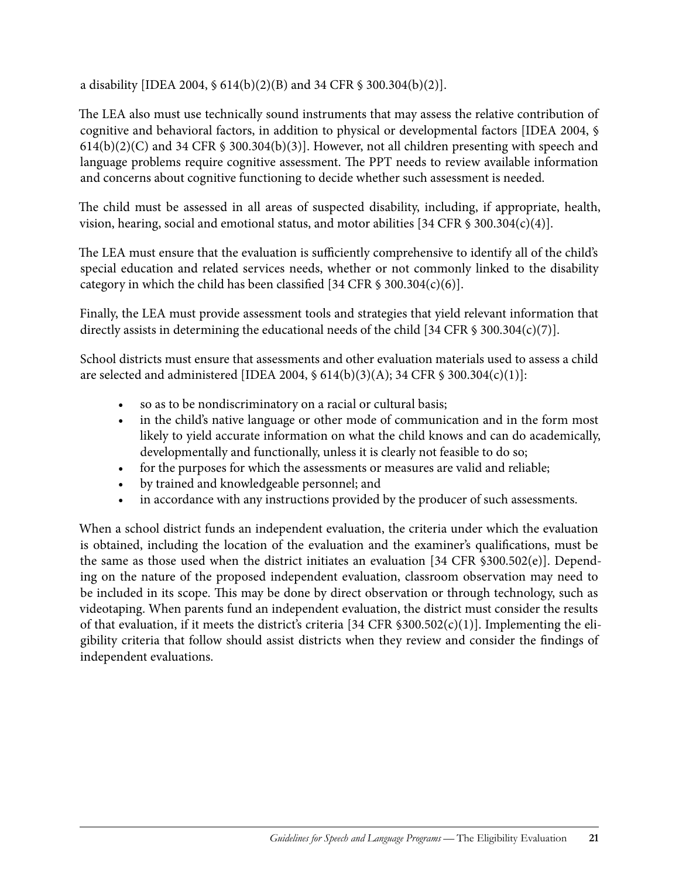a disability [IDEA 2004, § 614(b)(2)(B) and 34 CFR § 300.304(b)(2)].

The LEA also must use technically sound instruments that may assess the relative contribution of cognitive and behavioral factors, in addition to physical or developmental factors [IDEA 2004, §  $614(b)(2)(C)$  and 34 CFR § 300.304(b)(3)]. However, not all children presenting with speech and language problems require cognitive assessment. The PPT needs to review available information and concerns about cognitive functioning to decide whether such assessment is needed.

The child must be assessed in all areas of suspected disability, including, if appropriate, health, vision, hearing, social and emotional status, and motor abilities [34 CFR  $\frac{1}{9}$  300.304(c)(4)].

The LEA must ensure that the evaluation is sufficiently comprehensive to identify all of the child's special education and related services needs, whether or not commonly linked to the disability category in which the child has been classified [34 CFR  $\frac{1}{9}$  300.304(c)(6)].

Finally, the LEA must provide assessment tools and strategies that yield relevant information that directly assists in determining the educational needs of the child [34 CFR § 300.304(c)(7)].

School districts must ensure that assessments and other evaluation materials used to assess a child are selected and administered [IDEA 2004, § 614(b)(3)(A); 34 CFR § 300.304(c)(1)]:

- so as to be nondiscriminatory on a racial or cultural basis;
- in the child's native language or other mode of communication and in the form most likely to yield accurate information on what the child knows and can do academically, developmentally and functionally, unless it is clearly not feasible to do so;
- for the purposes for which the assessments or measures are valid and reliable;
- by trained and knowledgeable personnel; and
- in accordance with any instructions provided by the producer of such assessments.

When a school district funds an independent evaluation, the criteria under which the evaluation is obtained, including the location of the evaluation and the examiner's qualifications, must be the same as those used when the district initiates an evaluation [34 CFR §300.502(e)]. Depending on the nature of the proposed independent evaluation, classroom observation may need to be included in its scope. This may be done by direct observation or through technology, such as videotaping. When parents fund an independent evaluation, the district must consider the results of that evaluation, if it meets the district's criteria [34 CFR §300.502(c)(1)]. Implementing the eligibility criteria that follow should assist districts when they review and consider the findings of independent evaluations.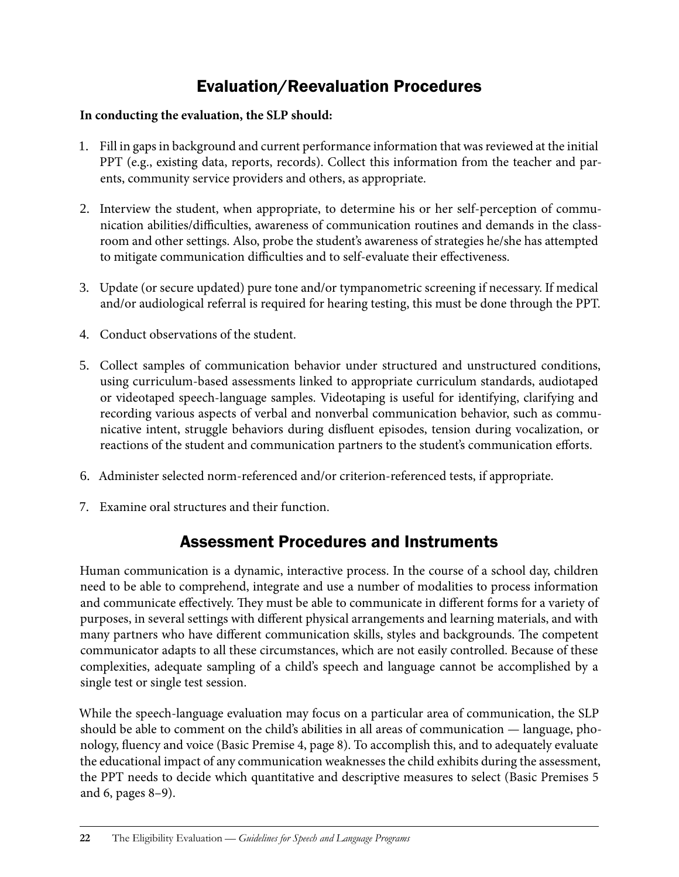## Evaluation/Reevaluation Procedures

### **In conducting the evaluation, the SLP should:**

- 1. Fill in gaps in background and current performance information that was reviewed at the initial PPT (e.g., existing data, reports, records). Collect this information from the teacher and parents, community service providers and others, as appropriate.
- 2. Interview the student, when appropriate, to determine his or her self-perception of communication abilities/difficulties, awareness of communication routines and demands in the classroom and other settings. Also, probe the student's awareness of strategies he/she has attempted to mitigate communication difficulties and to self-evaluate their effectiveness.
- 3. Update (or secure updated) pure tone and/or tympanometric screening if necessary. If medical and/or audiological referral is required for hearing testing, this must be done through the PPT.
- 4. Conduct observations of the student.
- 5. Collect samples of communication behavior under structured and unstructured conditions, using curriculum-based assessments linked to appropriate curriculum standards, audiotaped or videotaped speech-language samples. Videotaping is useful for identifying, clarifying and recording various aspects of verbal and nonverbal communication behavior, such as communicative intent, struggle behaviors during disfluent episodes, tension during vocalization, or reactions of the student and communication partners to the student's communication efforts.
- 6. Administer selected norm-referenced and/or criterion-referenced tests, if appropriate.
- 7. Examine oral structures and their function.

## Assessment Procedures and Instruments

Human communication is a dynamic, interactive process. In the course of a school day, children need to be able to comprehend, integrate and use a number of modalities to process information and communicate effectively. They must be able to communicate in different forms for a variety of purposes, in several settings with different physical arrangements and learning materials, and with many partners who have different communication skills, styles and backgrounds. The competent communicator adapts to all these circumstances, which are not easily controlled. Because of these complexities, adequate sampling of a child's speech and language cannot be accomplished by a single test or single test session.

While the speech-language evaluation may focus on a particular area of communication, the SLP should be able to comment on the child's abilities in all areas of communication — language, phonology, fluency and voice (Basic Premise 4, page 8). To accomplish this, and to adequately evaluate the educational impact of any communication weaknesses the child exhibits during the assessment, the PPT needs to decide which quantitative and descriptive measures to select (Basic Premises 5 and 6, pages 8–9).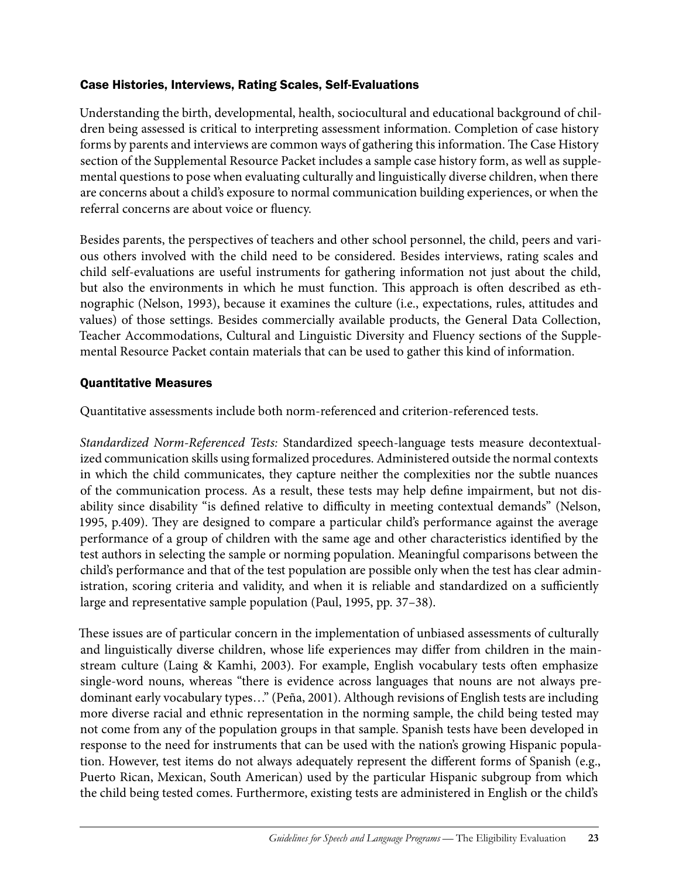### Case Histories, Interviews, Rating Scales, Self-Evaluations

Understanding the birth, developmental, health, sociocultural and educational background of children being assessed is critical to interpreting assessment information. Completion of case history forms by parents and interviews are common ways of gathering this information. The Case History section of the Supplemental Resource Packet includes a sample case history form, as well as supplemental questions to pose when evaluating culturally and linguistically diverse children, when there are concerns about a child's exposure to normal communication building experiences, or when the referral concerns are about voice or fluency.

Besides parents, the perspectives of teachers and other school personnel, the child, peers and various others involved with the child need to be considered. Besides interviews, rating scales and child self-evaluations are useful instruments for gathering information not just about the child, but also the environments in which he must function. This approach is often described as ethnographic (Nelson, 1993), because it examines the culture (i.e., expectations, rules, attitudes and values) of those settings. Besides commercially available products, the General Data Collection, Teacher Accommodations, Cultural and Linguistic Diversity and Fluency sections of the Supplemental Resource Packet contain materials that can be used to gather this kind of information.

### Quantitative Measures

Quantitative assessments include both norm-referenced and criterion-referenced tests.

*Standardized Norm-Referenced Tests:* Standardized speech-language tests measure decontextualized communication skills using formalized procedures. Administered outside the normal contexts in which the child communicates, they capture neither the complexities nor the subtle nuances of the communication process. As a result, these tests may help define impairment, but not disability since disability "is defined relative to difficulty in meeting contextual demands" (Nelson, 1995, p.409). They are designed to compare a particular child's performance against the average performance of a group of children with the same age and other characteristics identified by the test authors in selecting the sample or norming population. Meaningful comparisons between the child's performance and that of the test population are possible only when the test has clear administration, scoring criteria and validity, and when it is reliable and standardized on a sufficiently large and representative sample population (Paul, 1995, pp. 37–38).

These issues are of particular concern in the implementation of unbiased assessments of culturally and linguistically diverse children, whose life experiences may differ from children in the mainstream culture (Laing & Kamhi, 2003). For example, English vocabulary tests often emphasize single-word nouns, whereas "there is evidence across languages that nouns are not always predominant early vocabulary types…" (Peña, 2001). Although revisions of English tests are including more diverse racial and ethnic representation in the norming sample, the child being tested may not come from any of the population groups in that sample. Spanish tests have been developed in response to the need for instruments that can be used with the nation's growing Hispanic population. However, test items do not always adequately represent the different forms of Spanish (e.g., Puerto Rican, Mexican, South American) used by the particular Hispanic subgroup from which the child being tested comes. Furthermore, existing tests are administered in English or the child's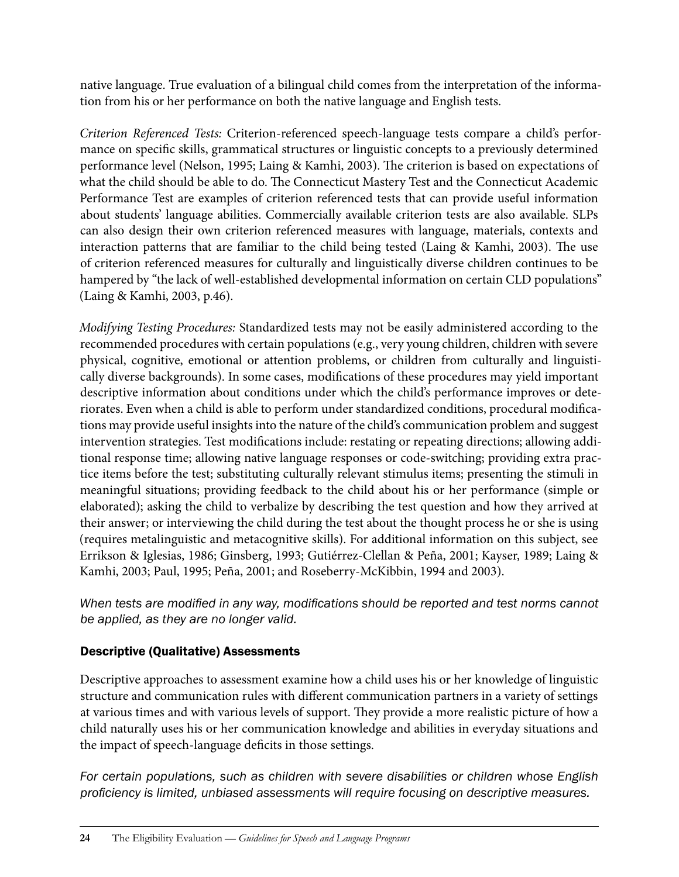native language. True evaluation of a bilingual child comes from the interpretation of the information from his or her performance on both the native language and English tests.

*Criterion Referenced Tests:* Criterion-referenced speech-language tests compare a child's performance on specific skills, grammatical structures or linguistic concepts to a previously determined performance level (Nelson, 1995; Laing & Kamhi, 2003). The criterion is based on expectations of what the child should be able to do. The Connecticut Mastery Test and the Connecticut Academic Performance Test are examples of criterion referenced tests that can provide useful information about students' language abilities. Commercially available criterion tests are also available. SLPs can also design their own criterion referenced measures with language, materials, contexts and interaction patterns that are familiar to the child being tested (Laing & Kamhi, 2003). The use of criterion referenced measures for culturally and linguistically diverse children continues to be hampered by "the lack of well-established developmental information on certain CLD populations" (Laing & Kamhi, 2003, p.46).

*Modifying Testing Procedures:* Standardized tests may not be easily administered according to the recommended procedures with certain populations (e.g., very young children, children with severe physical, cognitive, emotional or attention problems, or children from culturally and linguistically diverse backgrounds). In some cases, modifications of these procedures may yield important descriptive information about conditions under which the child's performance improves or deteriorates. Even when a child is able to perform under standardized conditions, procedural modifications may provide useful insights into the nature of the child's communication problem and suggest intervention strategies. Test modifications include: restating or repeating directions; allowing additional response time; allowing native language responses or code-switching; providing extra practice items before the test; substituting culturally relevant stimulus items; presenting the stimuli in meaningful situations; providing feedback to the child about his or her performance (simple or elaborated); asking the child to verbalize by describing the test question and how they arrived at their answer; or interviewing the child during the test about the thought process he or she is using (requires metalinguistic and metacognitive skills). For additional information on this subject, see Errikson & Iglesias, 1986; Ginsberg, 1993; Gutiérrez-Clellan & Peña, 2001; Kayser, 1989; Laing & Kamhi, 2003; Paul, 1995; Peña, 2001; and Roseberry-McKibbin, 1994 and 2003).

*When tests are modified in any way, modifications should be reported and test norms cannot be applied, as they are no longer valid.*

### Descriptive (Qualitative) Assessments

Descriptive approaches to assessment examine how a child uses his or her knowledge of linguistic structure and communication rules with different communication partners in a variety of settings at various times and with various levels of support. They provide a more realistic picture of how a child naturally uses his or her communication knowledge and abilities in everyday situations and the impact of speech-language deficits in those settings.

*For certain populations, such as children with severe disabilities or children whose English proficiency is limited, unbiased assessments will require focusing on descriptive measures.*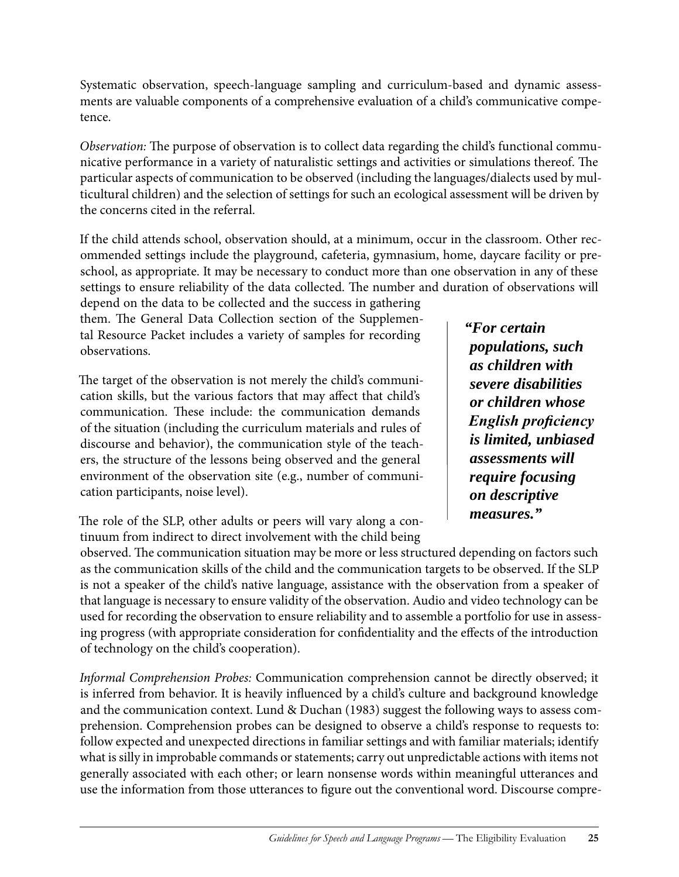Systematic observation, speech-language sampling and curriculum-based and dynamic assessments are valuable components of a comprehensive evaluation of a child's communicative competence.

*Observation:* The purpose of observation is to collect data regarding the child's functional communicative performance in a variety of naturalistic settings and activities or simulations thereof. The particular aspects of communication to be observed (including the languages/dialects used by multicultural children) and the selection of settings for such an ecological assessment will be driven by the concerns cited in the referral.

If the child attends school, observation should, at a minimum, occur in the classroom. Other recommended settings include the playground, cafeteria, gymnasium, home, daycare facility or preschool, as appropriate. It may be necessary to conduct more than one observation in any of these settings to ensure reliability of the data collected. The number and duration of observations will

depend on the data to be collected and the success in gathering them. The General Data Collection section of the Supplemental Resource Packet includes a variety of samples for recording observations.

The target of the observation is not merely the child's communication skills, but the various factors that may affect that child's communication. These include: the communication demands of the situation (including the curriculum materials and rules of discourse and behavior), the communication style of the teachers, the structure of the lessons being observed and the general environment of the observation site (e.g., number of communication participants, noise level).

The role of the SLP, other adults or peers will vary along a continuum from indirect to direct involvement with the child being

*"For certain populations, such as children with severe disabilities or children whose English proficiency is limited, unbiased assessments will require focusing on descriptive measures."*

observed. The communication situation may be more or less structured depending on factors such as the communication skills of the child and the communication targets to be observed. If the SLP is not a speaker of the child's native language, assistance with the observation from a speaker of that language is necessary to ensure validity of the observation. Audio and video technology can be used for recording the observation to ensure reliability and to assemble a portfolio for use in assessing progress (with appropriate consideration for confidentiality and the effects of the introduction of technology on the child's cooperation).

*Informal Comprehension Probes:* Communication comprehension cannot be directly observed; it is inferred from behavior. It is heavily influenced by a child's culture and background knowledge and the communication context. Lund & Duchan (1983) suggest the following ways to assess comprehension. Comprehension probes can be designed to observe a child's response to requests to: follow expected and unexpected directions in familiar settings and with familiar materials; identify what is silly in improbable commands or statements; carry out unpredictable actions with items not generally associated with each other; or learn nonsense words within meaningful utterances and use the information from those utterances to figure out the conventional word. Discourse compre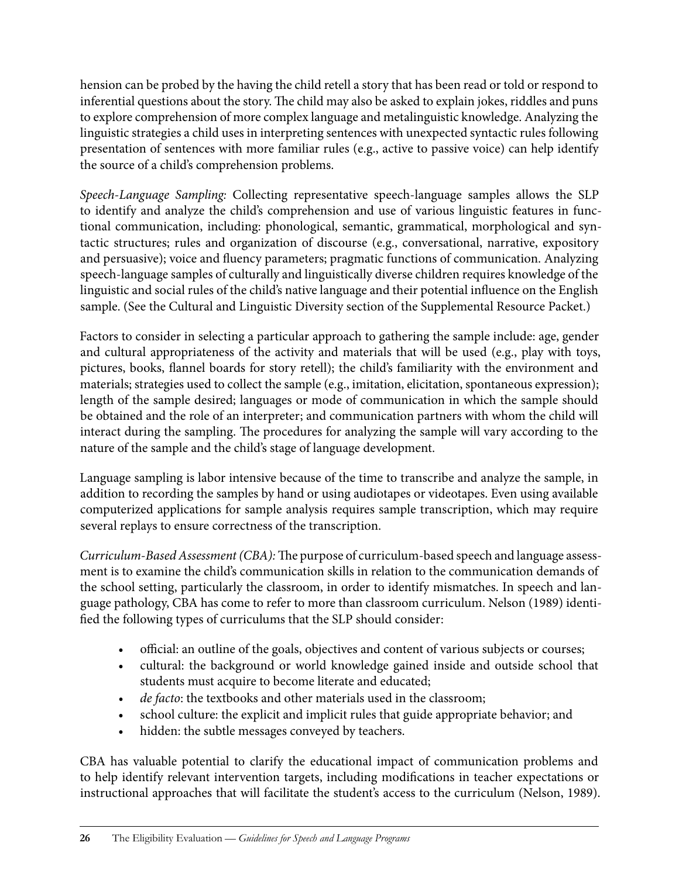hension can be probed by the having the child retell a story that has been read or told or respond to inferential questions about the story. The child may also be asked to explain jokes, riddles and puns to explore comprehension of more complex language and metalinguistic knowledge. Analyzing the linguistic strategies a child uses in interpreting sentences with unexpected syntactic rules following presentation of sentences with more familiar rules (e.g., active to passive voice) can help identify the source of a child's comprehension problems.

*Speech-Language Sampling:* Collecting representative speech-language samples allows the SLP to identify and analyze the child's comprehension and use of various linguistic features in functional communication, including: phonological, semantic, grammatical, morphological and syntactic structures; rules and organization of discourse (e.g., conversational, narrative, expository and persuasive); voice and fluency parameters; pragmatic functions of communication. Analyzing speech-language samples of culturally and linguistically diverse children requires knowledge of the linguistic and social rules of the child's native language and their potential influence on the English sample. (See the Cultural and Linguistic Diversity section of the Supplemental Resource Packet.)

Factors to consider in selecting a particular approach to gathering the sample include: age, gender and cultural appropriateness of the activity and materials that will be used (e.g., play with toys, pictures, books, flannel boards for story retell); the child's familiarity with the environment and materials; strategies used to collect the sample (e.g., imitation, elicitation, spontaneous expression); length of the sample desired; languages or mode of communication in which the sample should be obtained and the role of an interpreter; and communication partners with whom the child will interact during the sampling. The procedures for analyzing the sample will vary according to the nature of the sample and the child's stage of language development.

Language sampling is labor intensive because of the time to transcribe and analyze the sample, in addition to recording the samples by hand or using audiotapes or videotapes. Even using available computerized applications for sample analysis requires sample transcription, which may require several replays to ensure correctness of the transcription.

*Curriculum-Based Assessment (CBA):* The purpose of curriculum-based speech and language assessment is to examine the child's communication skills in relation to the communication demands of the school setting, particularly the classroom, in order to identify mismatches. In speech and language pathology, CBA has come to refer to more than classroom curriculum. Nelson (1989) identified the following types of curriculums that the SLP should consider:

- official: an outline of the goals, objectives and content of various subjects or courses;
- cultural: the background or world knowledge gained inside and outside school that students must acquire to become literate and educated;
- *de facto*: the textbooks and other materials used in the classroom;
- school culture: the explicit and implicit rules that guide appropriate behavior; and
- hidden: the subtle messages conveyed by teachers.

CBA has valuable potential to clarify the educational impact of communication problems and to help identify relevant intervention targets, including modifications in teacher expectations or instructional approaches that will facilitate the student's access to the curriculum (Nelson, 1989).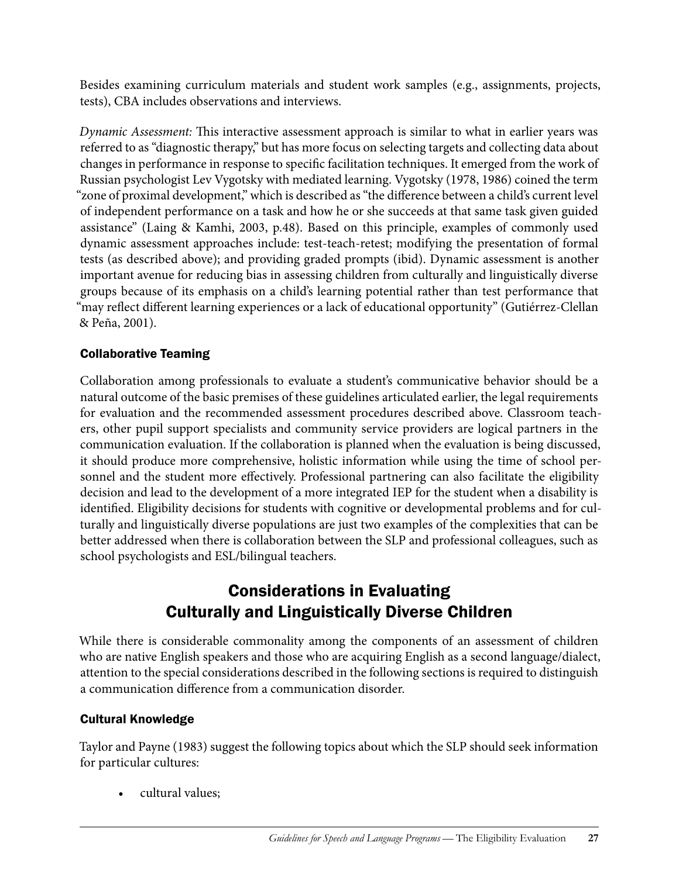Besides examining curriculum materials and student work samples (e.g., assignments, projects, tests), CBA includes observations and interviews.

*Dynamic Assessment:* This interactive assessment approach is similar to what in earlier years was referred to as "diagnostic therapy," but has more focus on selecting targets and collecting data about changes in performance in response to specific facilitation techniques. It emerged from the work of Russian psychologist Lev Vygotsky with mediated learning. Vygotsky (1978, 1986) coined the term "zone of proximal development," which is described as "the difference between a child's current level of independent performance on a task and how he or she succeeds at that same task given guided assistance" (Laing & Kamhi, 2003, p.48). Based on this principle, examples of commonly used dynamic assessment approaches include: test-teach-retest; modifying the presentation of formal tests (as described above); and providing graded prompts (ibid). Dynamic assessment is another important avenue for reducing bias in assessing children from culturally and linguistically diverse groups because of its emphasis on a child's learning potential rather than test performance that "may reflect different learning experiences or a lack of educational opportunity" (Gutiérrez-Clellan & Peña, 2001).

### Collaborative Teaming

Collaboration among professionals to evaluate a student's communicative behavior should be a natural outcome of the basic premises of these guidelines articulated earlier, the legal requirements for evaluation and the recommended assessment procedures described above. Classroom teachers, other pupil support specialists and community service providers are logical partners in the communication evaluation. If the collaboration is planned when the evaluation is being discussed, it should produce more comprehensive, holistic information while using the time of school personnel and the student more effectively. Professional partnering can also facilitate the eligibility decision and lead to the development of a more integrated IEP for the student when a disability is identified. Eligibility decisions for students with cognitive or developmental problems and for culturally and linguistically diverse populations are just two examples of the complexities that can be better addressed when there is collaboration between the SLP and professional colleagues, such as school psychologists and ESL/bilingual teachers.

### Considerations in Evaluating Culturally and Linguistically Diverse Children

While there is considerable commonality among the components of an assessment of children who are native English speakers and those who are acquiring English as a second language/dialect, attention to the special considerations described in the following sections is required to distinguish a communication difference from a communication disorder.

#### Cultural Knowledge

Taylor and Payne (1983) suggest the following topics about which the SLP should seek information for particular cultures:

• cultural values;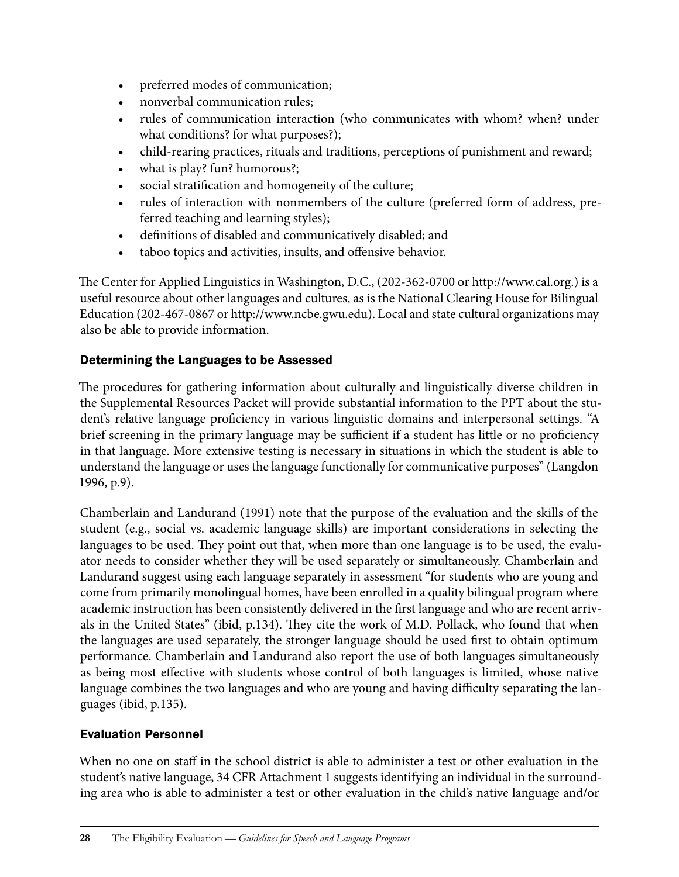- preferred modes of communication;
- nonverbal communication rules;
- rules of communication interaction (who communicates with whom? when? under what conditions? for what purposes?);
- child-rearing practices, rituals and traditions, perceptions of punishment and reward;
- what is play? fun? humorous?;
- social stratification and homogeneity of the culture;
- rules of interaction with nonmembers of the culture (preferred form of address, preferred teaching and learning styles);
- definitions of disabled and communicatively disabled; and
- • taboo topics and activities, insults, and offensive behavior.

The Center for Applied Linguistics in Washington, D.C., (202-362-0700 or http://www.cal.org.) is a useful resource about other languages and cultures, as is the National Clearing House for Bilingual Education (202-467-0867 or http://www.ncbe.gwu.edu). Local and state cultural organizations may also be able to provide information.

### Determining the Languages to be Assessed

The procedures for gathering information about culturally and linguistically diverse children in the Supplemental Resources Packet will provide substantial information to the PPT about the student's relative language proficiency in various linguistic domains and interpersonal settings. "A brief screening in the primary language may be sufficient if a student has little or no proficiency in that language. More extensive testing is necessary in situations in which the student is able to understand the language or uses the language functionally for communicative purposes" (Langdon 1996, p.9).

Chamberlain and Landurand (1991) note that the purpose of the evaluation and the skills of the student (e.g., social vs. academic language skills) are important considerations in selecting the languages to be used. They point out that, when more than one language is to be used, the evaluator needs to consider whether they will be used separately or simultaneously. Chamberlain and Landurand suggest using each language separately in assessment "for students who are young and come from primarily monolingual homes, have been enrolled in a quality bilingual program where academic instruction has been consistently delivered in the first language and who are recent arrivals in the United States" (ibid, p.134). They cite the work of M.D. Pollack, who found that when the languages are used separately, the stronger language should be used first to obtain optimum performance. Chamberlain and Landurand also report the use of both languages simultaneously as being most effective with students whose control of both languages is limited, whose native language combines the two languages and who are young and having difficulty separating the languages (ibid, p.135).

#### Evaluation Personnel

When no one on staff in the school district is able to administer a test or other evaluation in the student's native language, 34 CFR Attachment 1 suggests identifying an individual in the surrounding area who is able to administer a test or other evaluation in the child's native language and/or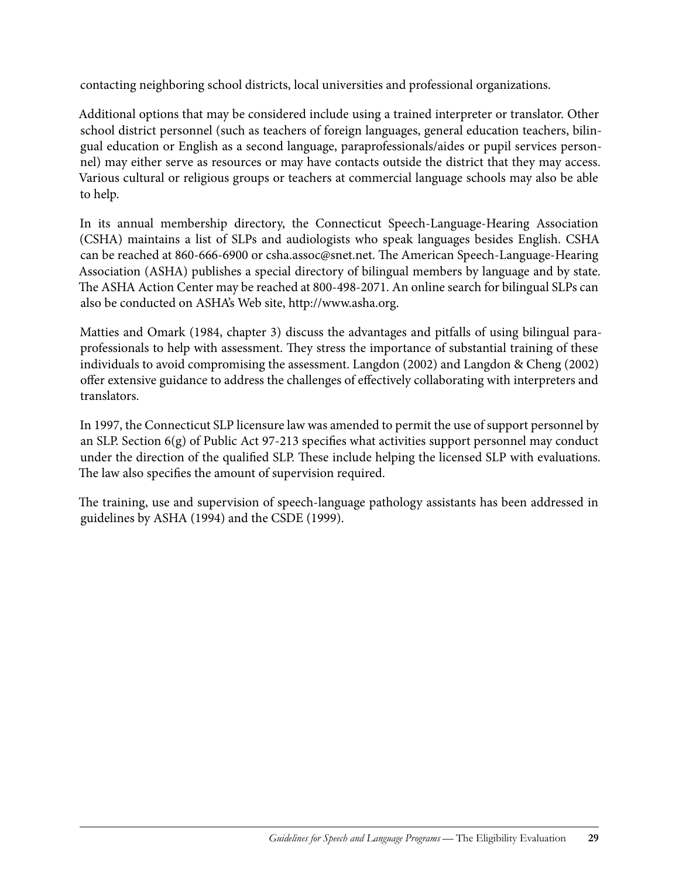contacting neighboring school districts, local universities and professional organizations.

Additional options that may be considered include using a trained interpreter or translator. Other school district personnel (such as teachers of foreign languages, general education teachers, bilingual education or English as a second language, paraprofessionals/aides or pupil services personnel) may either serve as resources or may have contacts outside the district that they may access. Various cultural or religious groups or teachers at commercial language schools may also be able to help.

In its annual membership directory, the Connecticut Speech-Language-Hearing Association (CSHA) maintains a list of SLPs and audiologists who speak languages besides English. CSHA can be reached at 860-666-6900 or csha.assoc@snet.net. The American Speech-Language-Hearing Association (ASHA) publishes a special directory of bilingual members by language and by state. The ASHA Action Center may be reached at 800-498-2071. An online search for bilingual SLPs can also be conducted on ASHA's Web site, http://www.asha.org.

Matties and Omark (1984, chapter 3) discuss the advantages and pitfalls of using bilingual paraprofessionals to help with assessment. They stress the importance of substantial training of these individuals to avoid compromising the assessment. Langdon (2002) and Langdon & Cheng (2002) offer extensive guidance to address the challenges of effectively collaborating with interpreters and translators.

In 1997, the Connecticut SLP licensure law was amended to permit the use of support personnel by an SLP. Section 6(g) of Public Act 97-213 specifies what activities support personnel may conduct under the direction of the qualified SLP. These include helping the licensed SLP with evaluations. The law also specifies the amount of supervision required.

The training, use and supervision of speech-language pathology assistants has been addressed in guidelines by ASHA (1994) and the CSDE (1999).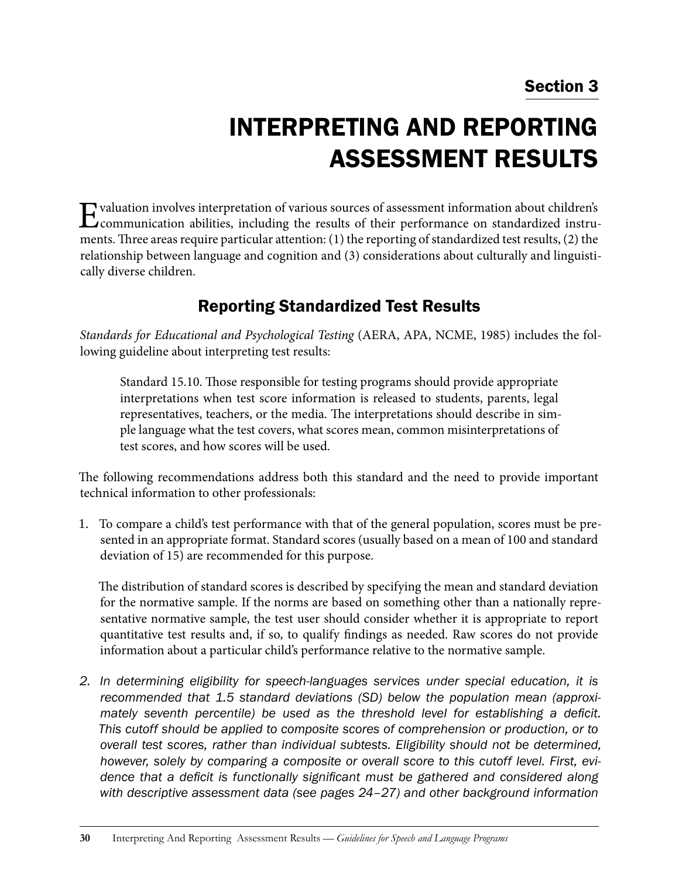### Section 3

# Interpreting and Reporting Assessment Results

Evaluation involves interpretation of various sources of assessment information about children's<br>
communication abilities, including the results of their performance on standardized instruments. Three areas require particular attention: (1) the reporting of standardized test results, (2) the relationship between language and cognition and (3) considerations about culturally and linguistically diverse children.

### Reporting Standardized Test Results

*Standards for Educational and Psychological Testing* (AERA, APA, NCME, 1985) includes the following guideline about interpreting test results:

Standard 15.10. Those responsible for testing programs should provide appropriate interpretations when test score information is released to students, parents, legal representatives, teachers, or the media. The interpretations should describe in simple language what the test covers, what scores mean, common misinterpretations of test scores, and how scores will be used.

The following recommendations address both this standard and the need to provide important technical information to other professionals:

1. To compare a child's test performance with that of the general population, scores must be presented in an appropriate format. Standard scores (usually based on a mean of 100 and standard deviation of 15) are recommended for this purpose.

The distribution of standard scores is described by specifying the mean and standard deviation for the normative sample. If the norms are based on something other than a nationally representative normative sample, the test user should consider whether it is appropriate to report quantitative test results and, if so, to qualify findings as needed. Raw scores do not provide information about a particular child's performance relative to the normative sample.

*2. In determining eligibility for speech-languages services under special education, it is recommended that 1.5 standard deviations (SD) below the population mean (approximately seventh percentile) be used as the threshold level for establishing a deficit. This cutoff should be applied to composite scores of comprehension or production, or to overall test scores, rather than individual subtests. Eligibility should not be determined, however, solely by comparing a composite or overall score to this cutoff level. First, evidence that a deficit is functionally significant must be gathered and considered along with descriptive assessment data (see pages 24–27) and other background information*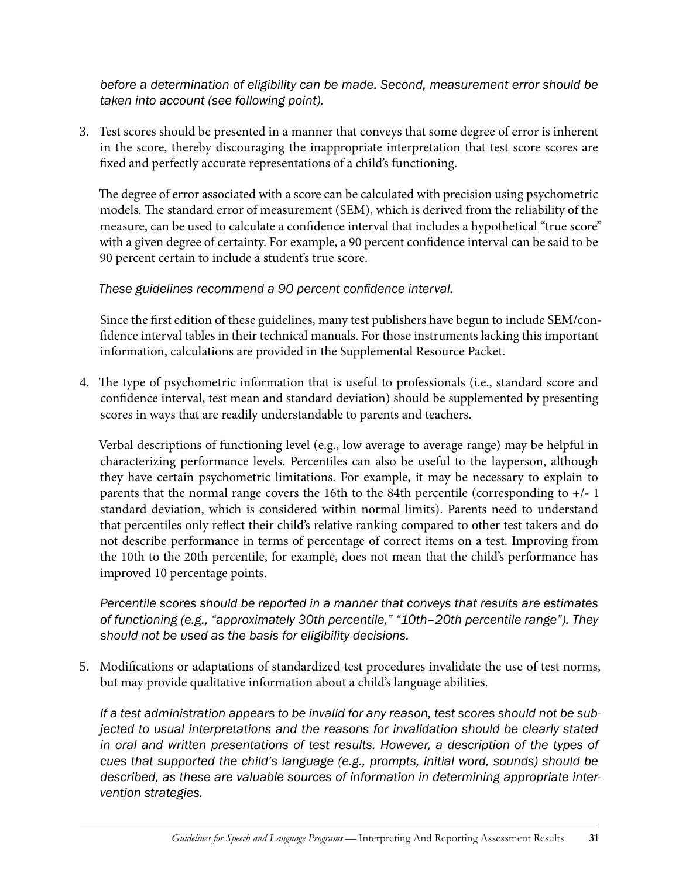*before a determination of eligibility can be made. Second, measurement error should be taken into account (see following point).*

3. Test scores should be presented in a manner that conveys that some degree of error is inherent in the score, thereby discouraging the inappropriate interpretation that test score scores are fixed and perfectly accurate representations of a child's functioning.

The degree of error associated with a score can be calculated with precision using psychometric models. The standard error of measurement (SEM), which is derived from the reliability of the measure, can be used to calculate a confidence interval that includes a hypothetical "true score" with a given degree of certainty. For example, a 90 percent confidence interval can be said to be 90 percent certain to include a student's true score.

### *These guidelines recommend a 90 percent confidence interval.*

Since the first edition of these guidelines, many test publishers have begun to include SEM/confidence interval tables in their technical manuals. For those instruments lacking this important information, calculations are provided in the Supplemental Resource Packet.

4. The type of psychometric information that is useful to professionals (i.e., standard score and confidence interval, test mean and standard deviation) should be supplemented by presenting scores in ways that are readily understandable to parents and teachers.

Verbal descriptions of functioning level (e.g., low average to average range) may be helpful in characterizing performance levels. Percentiles can also be useful to the layperson, although they have certain psychometric limitations. For example, it may be necessary to explain to parents that the normal range covers the 16th to the 84th percentile (corresponding to +/- 1 standard deviation, which is considered within normal limits). Parents need to understand that percentiles only reflect their child's relative ranking compared to other test takers and do not describe performance in terms of percentage of correct items on a test. Improving from the 10th to the 20th percentile, for example, does not mean that the child's performance has improved 10 percentage points.

*Percentile scores should be reported in a manner that conveys that results are estimates of functioning (e.g., "approximately 30th percentile," "10th–20th percentile range"). They should not be used as the basis for eligibility decisions.*

5. Modifications or adaptations of standardized test procedures invalidate the use of test norms, but may provide qualitative information about a child's language abilities.

*If a test administration appears to be invalid for any reason, test scores should not be subjected to usual interpretations and the reasons for invalidation should be clearly stated in oral and written presentations of test results. However, a description of the types of cues that supported the child's language (e.g., prompts, initial word, sounds) should be described, as these are valuable sources of information in determining appropriate intervention strategies.*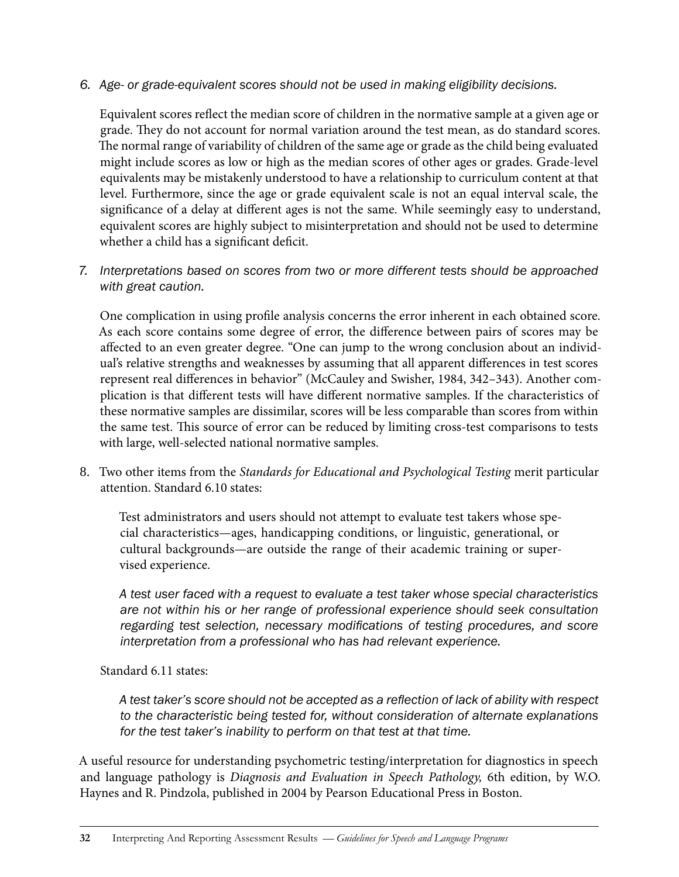#### *6. Age- or grade-equivalent scores should not be used in making eligibility decisions.*

Equivalent scores reflect the median score of children in the normative sample at a given age or grade. They do not account for normal variation around the test mean, as do standard scores. The normal range of variability of children of the same age or grade as the child being evaluated might include scores as low or high as the median scores of other ages or grades. Grade-level equivalents may be mistakenly understood to have a relationship to curriculum content at that level. Furthermore, since the age or grade equivalent scale is not an equal interval scale, the significance of a delay at different ages is not the same. While seemingly easy to understand, equivalent scores are highly subject to misinterpretation and should not be used to determine whether a child has a significant deficit.

*7. Interpretations based on scores from two or more different tests should be approached with great caution.* 

One complication in using profile analysis concerns the error inherent in each obtained score. As each score contains some degree of error, the difference between pairs of scores may be affected to an even greater degree. "One can jump to the wrong conclusion about an individual's relative strengths and weaknesses by assuming that all apparent differences in test scores represent real differences in behavior" (McCauley and Swisher, 1984, 342–343). Another complication is that different tests will have different normative samples. If the characteristics of these normative samples are dissimilar, scores will be less comparable than scores from within the same test. This source of error can be reduced by limiting cross-test comparisons to tests with large, well-selected national normative samples.

8. Two other items from the *Standards for Educational and Psychological Testing* merit particular attention. Standard 6.10 states:

Test administrators and users should not attempt to evaluate test takers whose special characteristics—ages, handicapping conditions, or linguistic, generational, or cultural backgrounds—are outside the range of their academic training or supervised experience.

*A test user faced with a request to evaluate a test taker whose special characteristics are not within his or her range of professional experience should seek consultation regarding test selection, necessary modifications of testing procedures, and score interpretation from a professional who has had relevant experience.*

#### Standard 6.11 states:

*A test taker's score should not be accepted as a reflection of lack of ability with respect to the characteristic being tested for, without consideration of alternate explanations for the test taker's inability to perform on that test at that time.*

A useful resource for understanding psychometric testing/interpretation for diagnostics in speech and language pathology is *Diagnosis and Evaluation in Speech Pathology,* 6th edition, by W.O. Haynes and R. Pindzola, published in 2004 by Pearson Educational Press in Boston.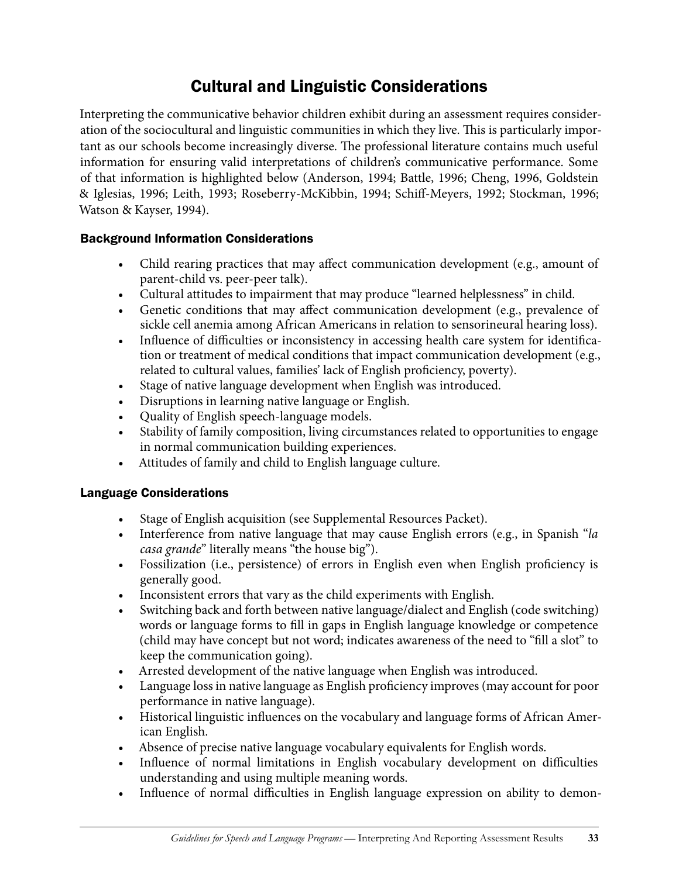### Cultural and Linguistic Considerations

Interpreting the communicative behavior children exhibit during an assessment requires consideration of the sociocultural and linguistic communities in which they live. This is particularly important as our schools become increasingly diverse. The professional literature contains much useful information for ensuring valid interpretations of children's communicative performance. Some of that information is highlighted below (Anderson, 1994; Battle, 1996; Cheng, 1996, Goldstein & Iglesias, 1996; Leith, 1993; Roseberry-McKibbin, 1994; Schiff-Meyers, 1992; Stockman, 1996; Watson & Kayser, 1994).

### Background Information Considerations

- Child rearing practices that may affect communication development (e.g., amount of parent-child vs. peer-peer talk).
- Cultural attitudes to impairment that may produce "learned helplessness" in child.
- Genetic conditions that may affect communication development (e.g., prevalence of sickle cell anemia among African Americans in relation to sensorineural hearing loss).
- Influence of difficulties or inconsistency in accessing health care system for identification or treatment of medical conditions that impact communication development (e.g., related to cultural values, families' lack of English proficiency, poverty).
- Stage of native language development when English was introduced.
- Disruptions in learning native language or English.
- Quality of English speech-language models.
- Stability of family composition, living circumstances related to opportunities to engage in normal communication building experiences.
- • Attitudes of family and child to English language culture.

#### Language Considerations

- Stage of English acquisition (see Supplemental Resources Packet).
- • Interference from native language that may cause English errors (e.g., in Spanish "*la casa grande*" literally means "the house big").
- • Fossilization (i.e., persistence) of errors in English even when English proficiency is generally good.
- • Inconsistent errors that vary as the child experiments with English.
- Switching back and forth between native language/dialect and English (code switching) words or language forms to fill in gaps in English language knowledge or competence (child may have concept but not word; indicates awareness of the need to "fill a slot" to keep the communication going).
- • Arrested development of the native language when English was introduced.
- Language loss in native language as English proficiency improves (may account for poor performance in native language).
- Historical linguistic influences on the vocabulary and language forms of African American English.
- Absence of precise native language vocabulary equivalents for English words.
- Influence of normal limitations in English vocabulary development on difficulties understanding and using multiple meaning words.
- Influence of normal difficulties in English language expression on ability to demon-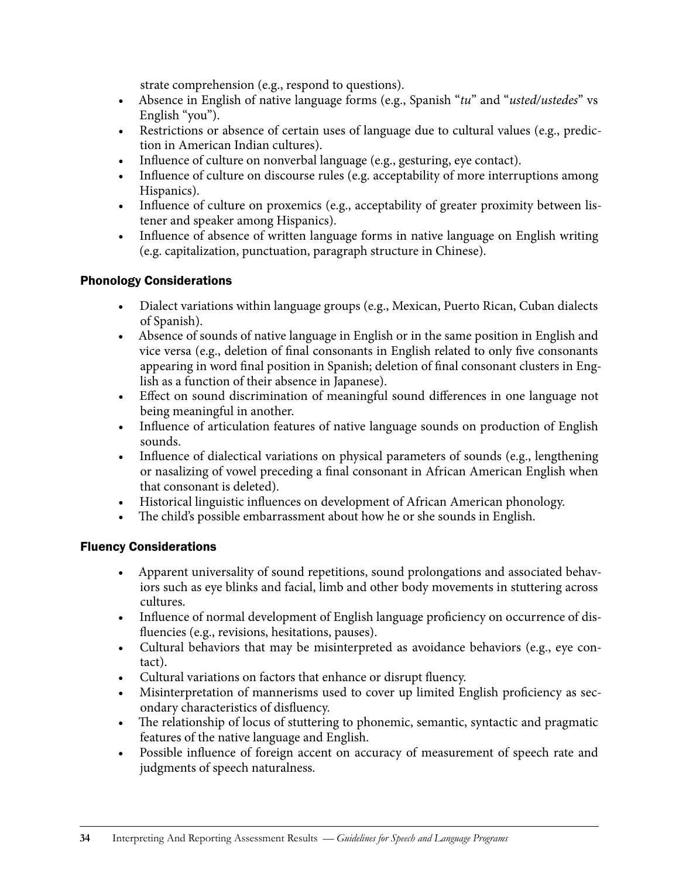strate comprehension (e.g., respond to questions).

- • Absence in English of native language forms (e.g., Spanish "*tu*" and "*usted/ustedes*" vs English "you").
- Restrictions or absence of certain uses of language due to cultural values (e.g., prediction in American Indian cultures).
- • Influence of culture on nonverbal language (e.g., gesturing, eye contact).
- Influence of culture on discourse rules (e.g. acceptability of more interruptions among Hispanics).
- Influence of culture on proxemics (e.g., acceptability of greater proximity between listener and speaker among Hispanics).
- Influence of absence of written language forms in native language on English writing (e.g. capitalization, punctuation, paragraph structure in Chinese).

### Phonology Considerations

- Dialect variations within language groups (e.g., Mexican, Puerto Rican, Cuban dialects of Spanish).
- • Absence of sounds of native language in English or in the same position in English and vice versa (e.g., deletion of final consonants in English related to only five consonants appearing in word final position in Spanish; deletion of final consonant clusters in English as a function of their absence in Japanese).
- Effect on sound discrimination of meaningful sound differences in one language not being meaningful in another.
- Influence of articulation features of native language sounds on production of English sounds.
- Influence of dialectical variations on physical parameters of sounds (e.g., lengthening or nasalizing of vowel preceding a final consonant in African American English when that consonant is deleted).
- • Historical linguistic influences on development of African American phonology.
- The child's possible embarrassment about how he or she sounds in English.

#### Fluency Considerations

- Apparent universality of sound repetitions, sound prolongations and associated behaviors such as eye blinks and facial, limb and other body movements in stuttering across cultures.
- Influence of normal development of English language proficiency on occurrence of disfluencies (e.g., revisions, hesitations, pauses).
- Cultural behaviors that may be misinterpreted as avoidance behaviors (e.g., eye contact).
- Cultural variations on factors that enhance or disrupt fluency.
- Misinterpretation of mannerisms used to cover up limited English proficiency as secondary characteristics of disfluency.
- The relationship of locus of stuttering to phonemic, semantic, syntactic and pragmatic features of the native language and English.
- Possible influence of foreign accent on accuracy of measurement of speech rate and judgments of speech naturalness.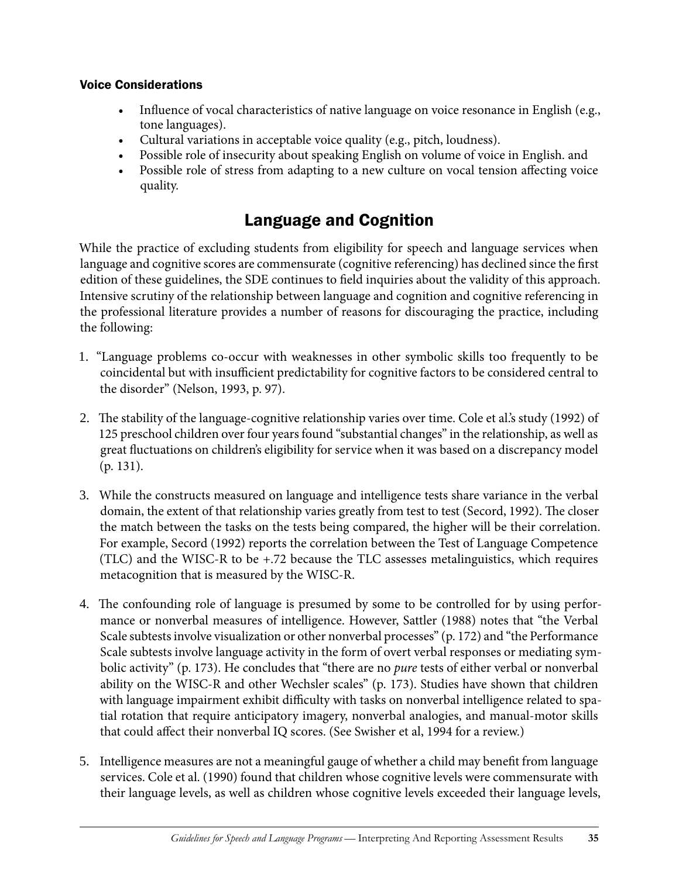#### Voice Considerations

- Influence of vocal characteristics of native language on voice resonance in English (e.g., tone languages).
- Cultural variations in acceptable voice quality (e.g., pitch, loudness).
- Possible role of insecurity about speaking English on volume of voice in English. and
- Possible role of stress from adapting to a new culture on vocal tension affecting voice quality.

### Language and Cognition

While the practice of excluding students from eligibility for speech and language services when language and cognitive scores are commensurate (cognitive referencing) has declined since the first edition of these guidelines, the SDE continues to field inquiries about the validity of this approach. Intensive scrutiny of the relationship between language and cognition and cognitive referencing in the professional literature provides a number of reasons for discouraging the practice, including the following:

- 1. "Language problems co-occur with weaknesses in other symbolic skills too frequently to be coincidental but with insufficient predictability for cognitive factors to be considered central to the disorder" (Nelson, 1993, p. 97).
- 2. The stability of the language-cognitive relationship varies over time. Cole et al.'s study (1992) of 125 preschool children over four years found "substantial changes" in the relationship, as well as great fluctuations on children's eligibility for service when it was based on a discrepancy model (p. 131).
- 3. While the constructs measured on language and intelligence tests share variance in the verbal domain, the extent of that relationship varies greatly from test to test (Secord, 1992). The closer the match between the tasks on the tests being compared, the higher will be their correlation. For example, Secord (1992) reports the correlation between the Test of Language Competence (TLC) and the WISC-R to be +.72 because the TLC assesses metalinguistics, which requires metacognition that is measured by the WISC-R.
- 4. The confounding role of language is presumed by some to be controlled for by using performance or nonverbal measures of intelligence. However, Sattler (1988) notes that "the Verbal Scale subtests involve visualization or other nonverbal processes" (p. 172) and "the Performance Scale subtests involve language activity in the form of overt verbal responses or mediating symbolic activity" (p. 173). He concludes that "there are no *pure* tests of either verbal or nonverbal ability on the WISC-R and other Wechsler scales" (p. 173). Studies have shown that children with language impairment exhibit difficulty with tasks on nonverbal intelligence related to spatial rotation that require anticipatory imagery, nonverbal analogies, and manual-motor skills that could affect their nonverbal IQ scores. (See Swisher et al, 1994 for a review.)
- 5. Intelligence measures are not a meaningful gauge of whether a child may benefit from language services. Cole et al. (1990) found that children whose cognitive levels were commensurate with their language levels, as well as children whose cognitive levels exceeded their language levels,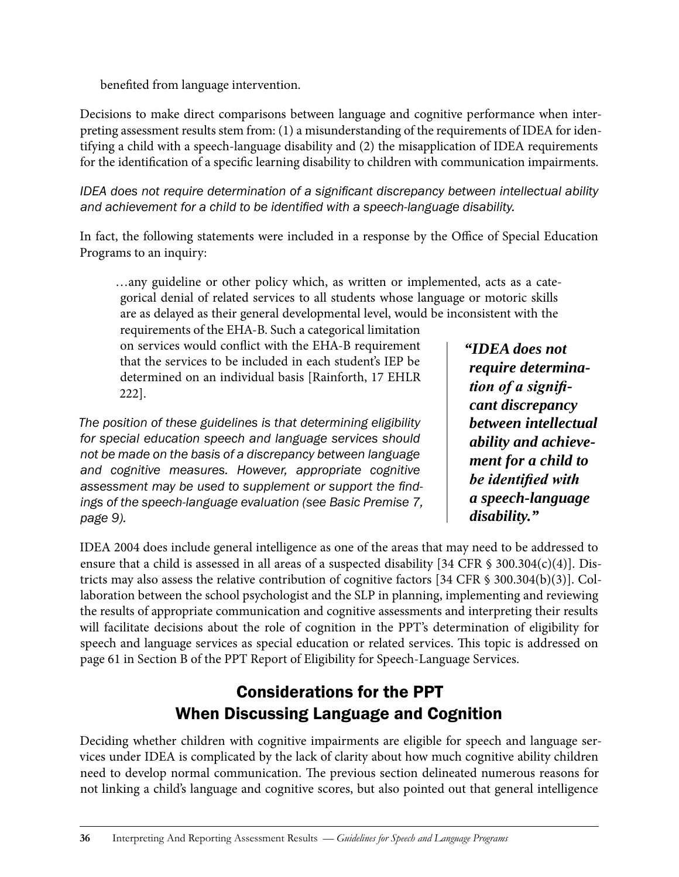benefited from language intervention.

Decisions to make direct comparisons between language and cognitive performance when interpreting assessment results stem from: (1) a misunderstanding of the requirements of IDEA for identifying a child with a speech-language disability and (2) the misapplication of IDEA requirements for the identification of a specific learning disability to children with communication impairments.

*IDEA does not require determination of a significant discrepancy between intellectual ability and achievement for a child to be identified with a speech-language disability.* 

In fact, the following statements were included in a response by the Office of Special Education Programs to an inquiry:

…any guideline or other policy which, as written or implemented, acts as a categorical denial of related services to all students whose language or motoric skills are as delayed as their general developmental level, would be inconsistent with the

requirements of the EHA-B. Such a categorical limitation on services would conflict with the EHA-B requirement that the services to be included in each student's IEP be determined on an individual basis [Rainforth, 17 EHLR 222].

*The position of these guidelines is that determining eligibility for special education speech and language services should not be made on the basis of a discrepancy between language and cognitive measures. However, appropriate cognitive assessment may be used to supplement or support the findings of the speech-language evaluation (see Basic Premise 7, page 9).* 

*"IDEA does not require determination of a significant discrepancy between intellectual ability and achievement for a child to be identified with a speech-language disability."*

IDEA 2004 does include general intelligence as one of the areas that may need to be addressed to ensure that a child is assessed in all areas of a suspected disability [34 CFR  $\frac{1}{5}$  300.304(c)(4)]. Districts may also assess the relative contribution of cognitive factors [34 CFR § 300.304(b)(3)]. Collaboration between the school psychologist and the SLP in planning, implementing and reviewing the results of appropriate communication and cognitive assessments and interpreting their results will facilitate decisions about the role of cognition in the PPT's determination of eligibility for speech and language services as special education or related services. This topic is addressed on page 61 in Section B of the PPT Report of Eligibility for Speech-Language Services.

### Considerations for the PPT When Discussing Language and Cognition

Deciding whether children with cognitive impairments are eligible for speech and language services under IDEA is complicated by the lack of clarity about how much cognitive ability children need to develop normal communication. The previous section delineated numerous reasons for not linking a child's language and cognitive scores, but also pointed out that general intelligence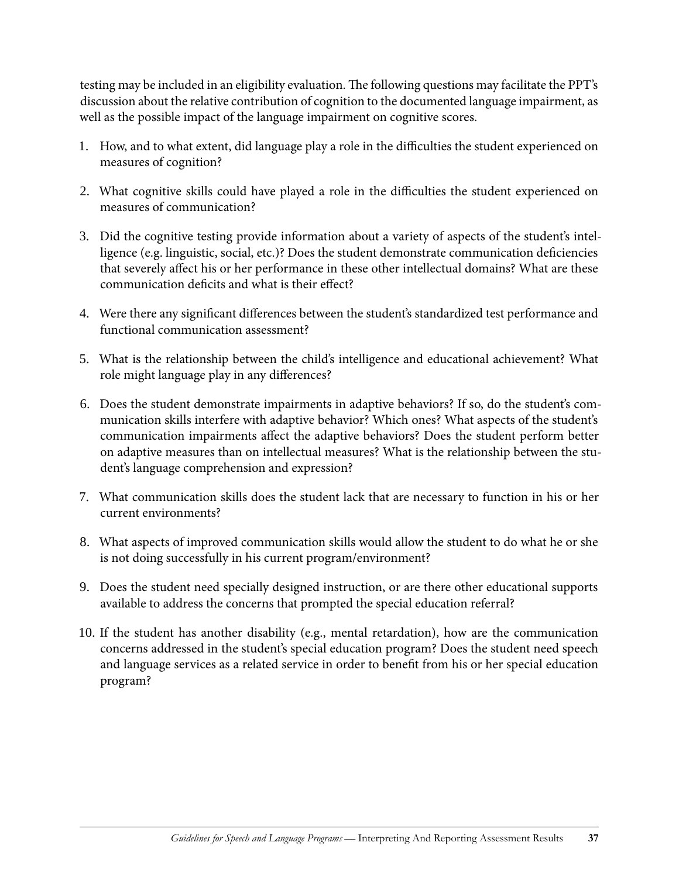testing may be included in an eligibility evaluation. The following questions may facilitate the PPT's discussion about the relative contribution of cognition to the documented language impairment, as well as the possible impact of the language impairment on cognitive scores.

- 1. How, and to what extent, did language play a role in the difficulties the student experienced on measures of cognition?
- 2. What cognitive skills could have played a role in the difficulties the student experienced on measures of communication?
- 3. Did the cognitive testing provide information about a variety of aspects of the student's intelligence (e.g. linguistic, social, etc.)? Does the student demonstrate communication deficiencies that severely affect his or her performance in these other intellectual domains? What are these communication deficits and what is their effect?
- 4. Were there any significant differences between the student's standardized test performance and functional communication assessment?
- 5. What is the relationship between the child's intelligence and educational achievement? What role might language play in any differences?
- 6. Does the student demonstrate impairments in adaptive behaviors? If so, do the student's communication skills interfere with adaptive behavior? Which ones? What aspects of the student's communication impairments affect the adaptive behaviors? Does the student perform better on adaptive measures than on intellectual measures? What is the relationship between the student's language comprehension and expression?
- 7. What communication skills does the student lack that are necessary to function in his or her current environments?
- 8. What aspects of improved communication skills would allow the student to do what he or she is not doing successfully in his current program/environment?
- 9. Does the student need specially designed instruction, or are there other educational supports available to address the concerns that prompted the special education referral?
- 10. If the student has another disability (e.g., mental retardation), how are the communication concerns addressed in the student's special education program? Does the student need speech and language services as a related service in order to benefit from his or her special education program?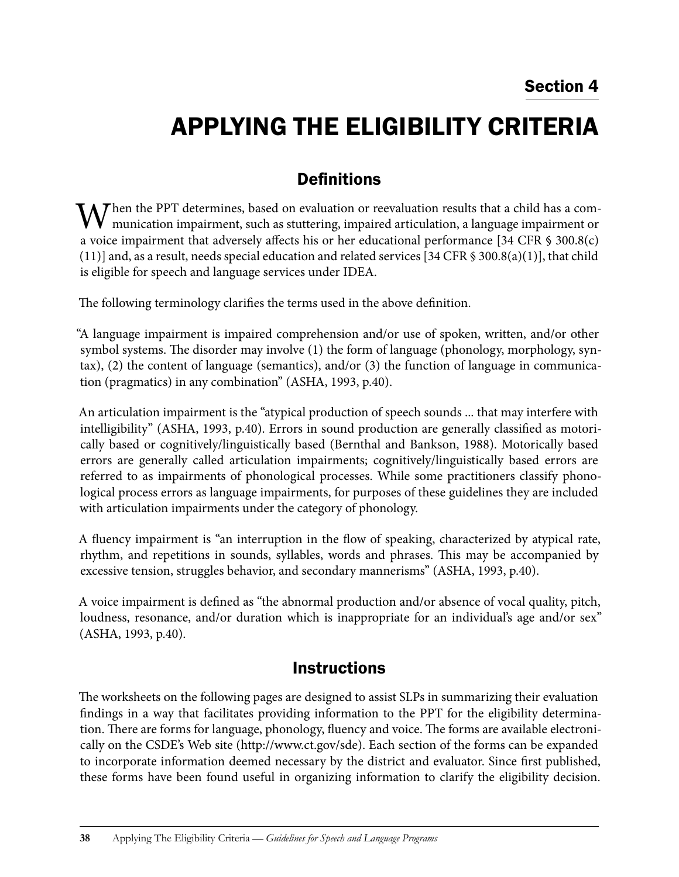# Applying the Eligibility Criteria

### **Definitions**

When the PPT determines, based on evaluation or reevaluation results that a child has a com-<br>munication impairment, such as stuttering, impaired articulation, a language impairment or a voice impairment that adversely affects his or her educational performance [34 CFR § 300.8(c)  $(11)$ ] and, as a result, needs special education and related services [34 CFR § 300.8(a)(1)], that child is eligible for speech and language services under IDEA.

The following terminology clarifies the terms used in the above definition.

"A language impairment is impaired comprehension and/or use of spoken, written, and/or other symbol systems. The disorder may involve (1) the form of language (phonology, morphology, syntax), (2) the content of language (semantics), and/or (3) the function of language in communication (pragmatics) in any combination" (ASHA, 1993, p.40).

An articulation impairment is the "atypical production of speech sounds ... that may interfere with intelligibility" (ASHA, 1993, p.40). Errors in sound production are generally classified as motorically based or cognitively/linguistically based (Bernthal and Bankson, 1988). Motorically based errors are generally called articulation impairments; cognitively/linguistically based errors are referred to as impairments of phonological processes. While some practitioners classify phonological process errors as language impairments, for purposes of these guidelines they are included with articulation impairments under the category of phonology.

A fluency impairment is "an interruption in the flow of speaking, characterized by atypical rate, rhythm, and repetitions in sounds, syllables, words and phrases. This may be accompanied by excessive tension, struggles behavior, and secondary mannerisms" (ASHA, 1993, p.40).

A voice impairment is defined as "the abnormal production and/or absence of vocal quality, pitch, loudness, resonance, and/or duration which is inappropriate for an individual's age and/or sex" (ASHA, 1993, p.40).

### **Instructions**

The worksheets on the following pages are designed to assist SLPs in summarizing their evaluation findings in a way that facilitates providing information to the PPT for the eligibility determination. There are forms for language, phonology, fluency and voice. The forms are available electronically on the CSDE's Web site (http://www.ct.gov/sde). Each section of the forms can be expanded to incorporate information deemed necessary by the district and evaluator. Since first published, these forms have been found useful in organizing information to clarify the eligibility decision.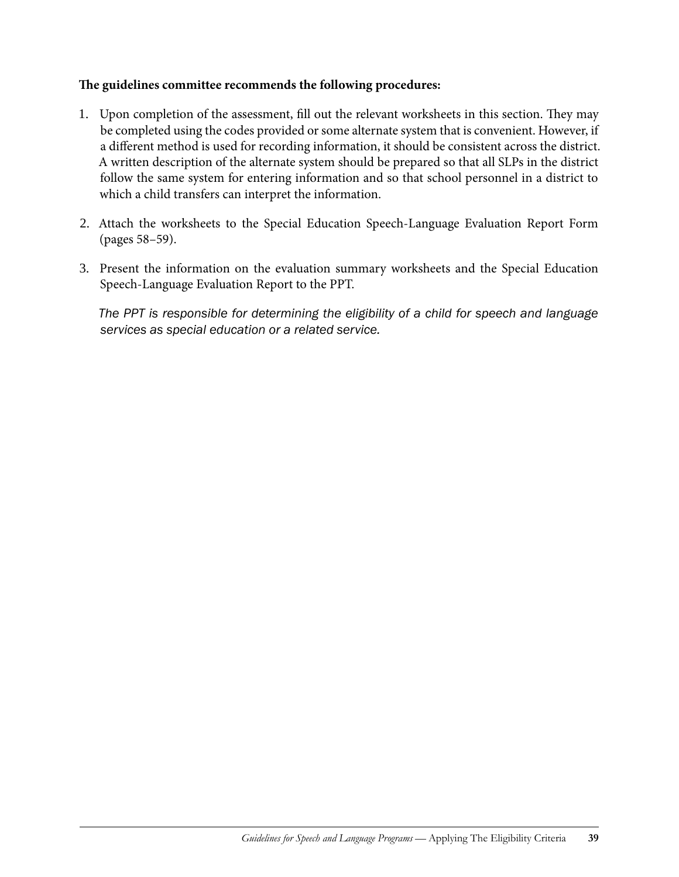#### **The guidelines committee recommends the following procedures:**

- 1. Upon completion of the assessment, fill out the relevant worksheets in this section. They may be completed using the codes provided or some alternate system that is convenient. However, if a different method is used for recording information, it should be consistent across the district. A written description of the alternate system should be prepared so that all SLPs in the district follow the same system for entering information and so that school personnel in a district to which a child transfers can interpret the information.
- 2. Attach the worksheets to the Special Education Speech-Language Evaluation Report Form (pages 58–59).
- 3. Present the information on the evaluation summary worksheets and the Special Education Speech-Language Evaluation Report to the PPT.

*The PPT is responsible for determining the eligibility of a child for speech and language services as special education or a related service.*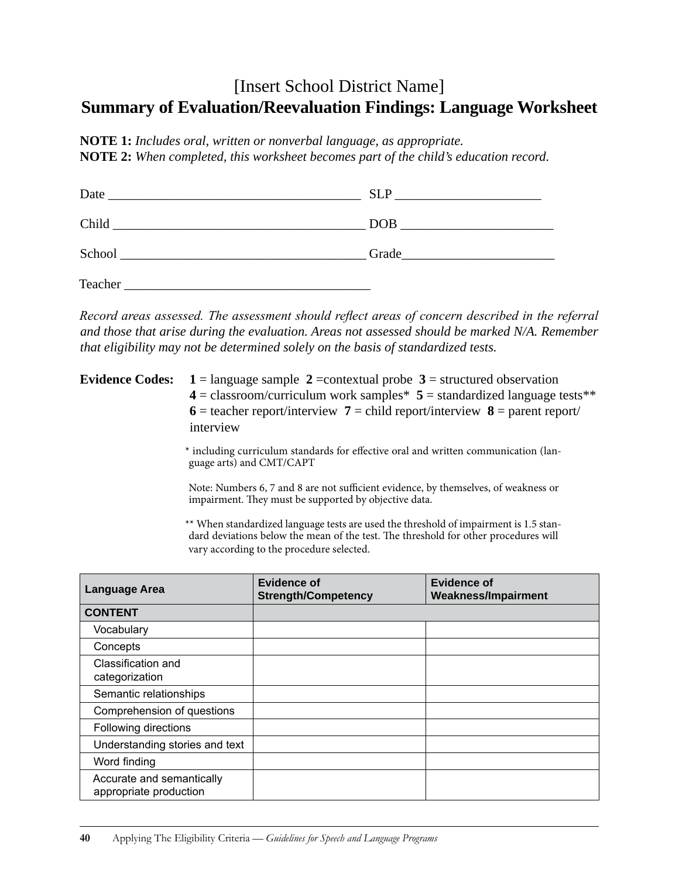### [Insert School District Name] **Summary of Evaluation/Reevaluation Findings: Language Worksheet**

**NOTE 1:** *Includes oral, written or nonverbal language, as appropriate.* **NOTE 2:** *When completed, this worksheet becomes part of the child's education record.*

| Date   | <b>SLP</b> |
|--------|------------|
| Child  | <b>DOB</b> |
| School | Grade      |

Teacher \_\_\_\_\_\_\_\_\_\_\_\_\_\_\_\_\_\_\_\_\_\_\_\_\_\_\_\_\_\_\_\_\_\_\_\_\_

*Record areas assessed. The assessment should reflect areas of concern described in the referral and those that arise during the evaluation. Areas not assessed should be marked N/A. Remember that eligibility may not be determined solely on the basis of standardized tests.*

**Evidence Codes:**  $1 =$ language sample  $2 =$ contextual probe  $3 =$ structured observation  $4 =$  classroom/curriculum work samples  $5 =$  standardized language tests  $**$ **6** = teacher report/interview **7** = child report/interview **8** = parent report/ interview

> \* including curriculum standards for effective oral and written communication (language arts) and CMT/CAPT

> Note: Numbers 6, 7 and 8 are not sufficient evidence, by themselves, of weakness or impairment. They must be supported by objective data.

> \*\* When standardized language tests are used the threshold of impairment is 1.5 standard deviations below the mean of the test. The threshold for other procedures will vary according to the procedure selected.

| <b>Language Area</b>                                | Evidence of<br><b>Strength/Competency</b> | Evidence of<br><b>Weakness/Impairment</b> |
|-----------------------------------------------------|-------------------------------------------|-------------------------------------------|
| <b>CONTENT</b>                                      |                                           |                                           |
| Vocabulary                                          |                                           |                                           |
| Concepts                                            |                                           |                                           |
| Classification and<br>categorization                |                                           |                                           |
| Semantic relationships                              |                                           |                                           |
| Comprehension of questions                          |                                           |                                           |
| Following directions                                |                                           |                                           |
| Understanding stories and text                      |                                           |                                           |
| Word finding                                        |                                           |                                           |
| Accurate and semantically<br>appropriate production |                                           |                                           |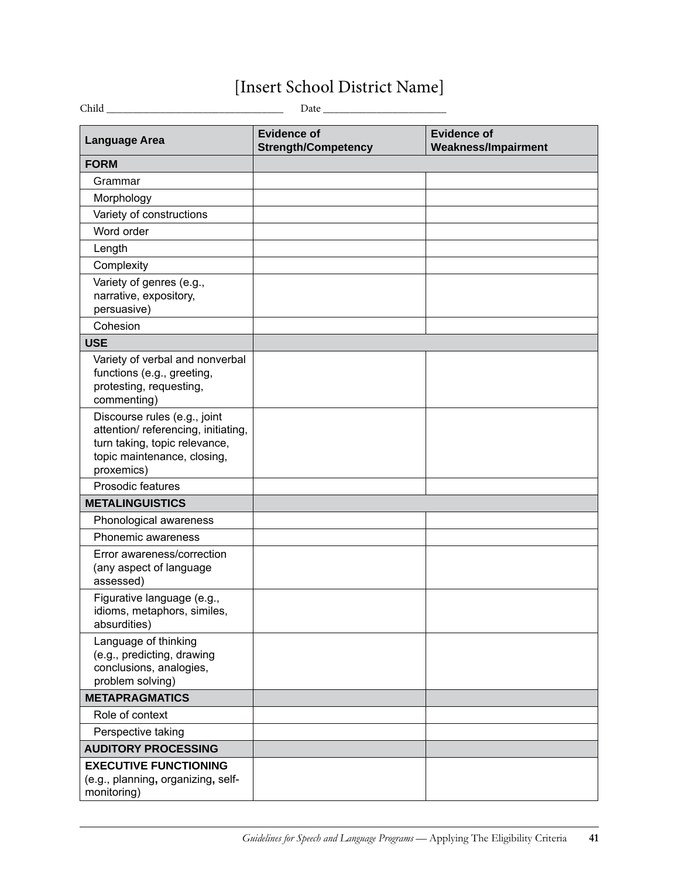## [Insert School District Name]

| <b>Language Area</b>                                                                                                                              | <b>Evidence of</b><br><b>Strength/Competency</b> | <b>Evidence of</b><br><b>Weakness/Impairment</b> |
|---------------------------------------------------------------------------------------------------------------------------------------------------|--------------------------------------------------|--------------------------------------------------|
| <b>FORM</b>                                                                                                                                       |                                                  |                                                  |
| Grammar                                                                                                                                           |                                                  |                                                  |
| Morphology                                                                                                                                        |                                                  |                                                  |
| Variety of constructions                                                                                                                          |                                                  |                                                  |
| Word order                                                                                                                                        |                                                  |                                                  |
| Length                                                                                                                                            |                                                  |                                                  |
| Complexity                                                                                                                                        |                                                  |                                                  |
| Variety of genres (e.g.,<br>narrative, expository,<br>persuasive)                                                                                 |                                                  |                                                  |
| Cohesion                                                                                                                                          |                                                  |                                                  |
| <b>USE</b>                                                                                                                                        |                                                  |                                                  |
| Variety of verbal and nonverbal<br>functions (e.g., greeting,<br>protesting, requesting,<br>commenting)                                           |                                                  |                                                  |
| Discourse rules (e.g., joint<br>attention/ referencing, initiating,<br>turn taking, topic relevance,<br>topic maintenance, closing,<br>proxemics) |                                                  |                                                  |
| Prosodic features                                                                                                                                 |                                                  |                                                  |
| <b>METALINGUISTICS</b>                                                                                                                            |                                                  |                                                  |
| Phonological awareness                                                                                                                            |                                                  |                                                  |
| Phonemic awareness                                                                                                                                |                                                  |                                                  |
| Error awareness/correction<br>(any aspect of language<br>assessed)                                                                                |                                                  |                                                  |
| Figurative language (e.g.,<br>idioms, metaphors, similes,<br>absurdities)                                                                         |                                                  |                                                  |
| Language of thinking<br>(e.g., predicting, drawing<br>conclusions, analogies,<br>problem solving)                                                 |                                                  |                                                  |
| <b>METAPRAGMATICS</b>                                                                                                                             |                                                  |                                                  |
| Role of context                                                                                                                                   |                                                  |                                                  |
| Perspective taking                                                                                                                                |                                                  |                                                  |
| <b>AUDITORY PROCESSING</b>                                                                                                                        |                                                  |                                                  |
| <b>EXECUTIVE FUNCTIONING</b><br>(e.g., planning, organizing, self-<br>monitoring)                                                                 |                                                  |                                                  |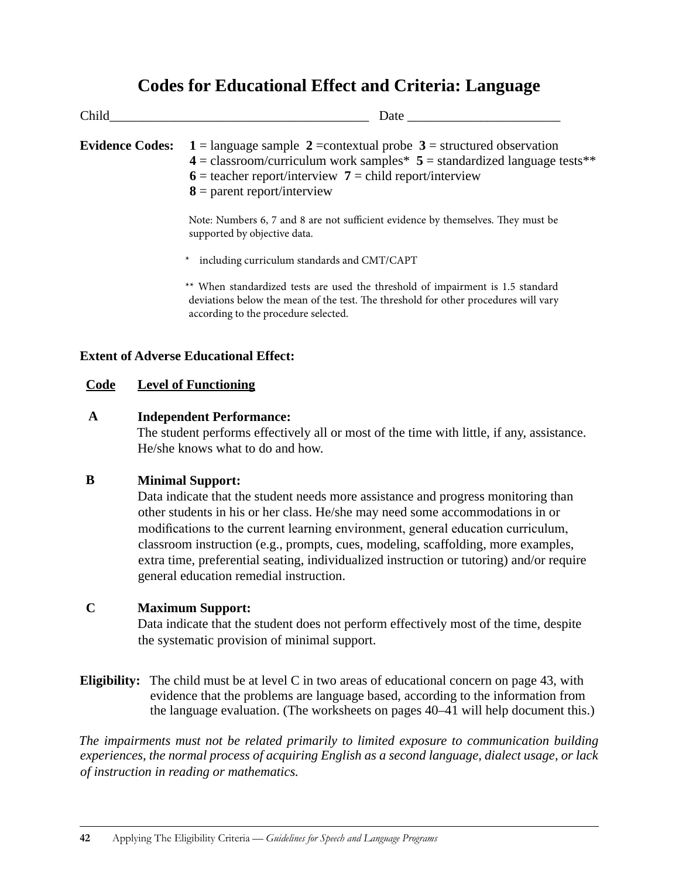### **Codes for Educational Effect and Criteria: Language**

| Child                  | Date                                                                                                                                                                                                                                                |  |  |
|------------------------|-----------------------------------------------------------------------------------------------------------------------------------------------------------------------------------------------------------------------------------------------------|--|--|
| <b>Evidence Codes:</b> | 1 = language sample 2 = contextual probe $3$ = structured observation<br>$4 =$ classroom/curriculum work samples $5 =$ standardized language tests **<br>$6$ = teacher report/interview 7 = child report/interview<br>$8 =$ parent report/interview |  |  |
|                        | Note: Numbers 6, 7 and 8 are not sufficient evidence by themselves. They must be<br>supported by objective data.                                                                                                                                    |  |  |
|                        | * including curriculum standards and CMT/CAPT                                                                                                                                                                                                       |  |  |
|                        | ** When standardized tests are used the threshold of impairment is 1.5 standard<br>deviations below the mean of the test. The threshold for other procedures will vary<br>according to the procedure selected.                                      |  |  |

#### **Extent of Adverse Educational Effect:**

#### **Code Level of Functioning**

#### **A Independent Performance:**

The student performs effectively all or most of the time with little, if any, assistance. He/she knows what to do and how.

#### **B Minimal Support:**

Data indicate that the student needs more assistance and progress monitoring than other students in his or her class. He/she may need some accommodations in or modifications to the current learning environment, general education curriculum, classroom instruction (e.g., prompts, cues, modeling, scaffolding, more examples, extra time, preferential seating, individualized instruction or tutoring) and/or require general education remedial instruction.

#### **C Maximum Support:**

Data indicate that the student does not perform effectively most of the time, despite the systematic provision of minimal support.

**Eligibility:** The child must be at level C in two areas of educational concern on page 43, with evidence that the problems are language based, according to the information from the language evaluation. (The worksheets on pages 40–41 will help document this.)

*The impairments must not be related primarily to limited exposure to communication building experiences, the normal process of acquiring English as a second language, dialect usage, or lack of instruction in reading or mathematics.*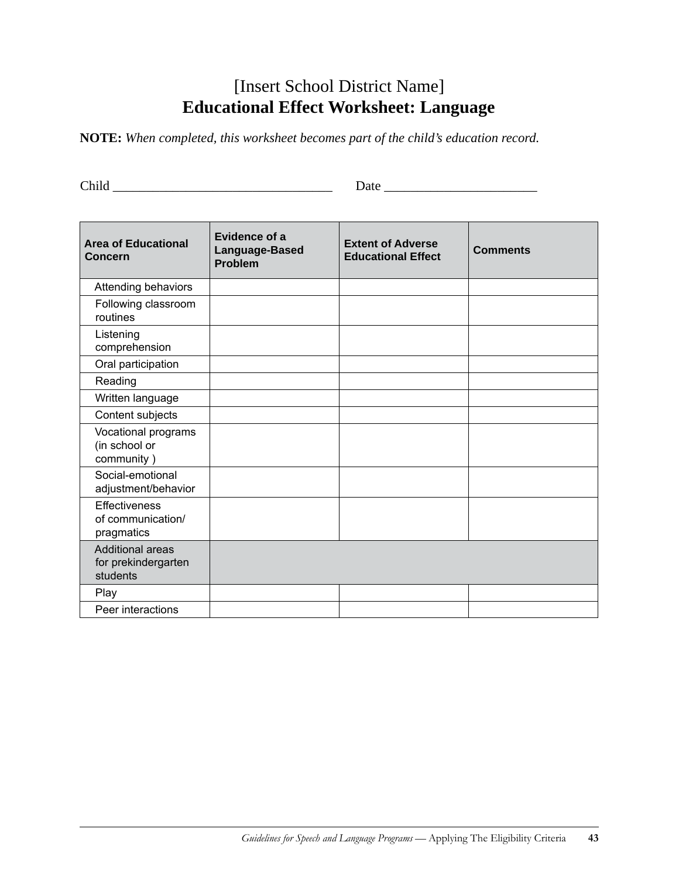### [Insert School District Name] **Educational Effect Worksheet: Language**

**NOTE:** *When completed, this worksheet becomes part of the child's education record.*

Child \_\_\_\_\_\_\_\_\_\_\_\_\_\_\_\_\_\_\_\_\_\_\_\_\_\_\_\_\_\_\_\_\_ Date \_\_\_\_\_\_\_\_\_\_\_\_\_\_\_\_\_\_\_\_\_\_\_

| <b>Area of Educational</b><br><b>Concern</b>               | Evidence of a<br>Language-Based<br><b>Problem</b> | <b>Extent of Adverse</b><br><b>Educational Effect</b> | <b>Comments</b> |
|------------------------------------------------------------|---------------------------------------------------|-------------------------------------------------------|-----------------|
| Attending behaviors                                        |                                                   |                                                       |                 |
| Following classroom<br>routines                            |                                                   |                                                       |                 |
| Listening<br>comprehension                                 |                                                   |                                                       |                 |
| Oral participation                                         |                                                   |                                                       |                 |
| Reading                                                    |                                                   |                                                       |                 |
| Written language                                           |                                                   |                                                       |                 |
| Content subjects                                           |                                                   |                                                       |                 |
| Vocational programs<br>(in school or<br>community)         |                                                   |                                                       |                 |
| Social-emotional<br>adjustment/behavior                    |                                                   |                                                       |                 |
| <b>Effectiveness</b><br>of communication/<br>pragmatics    |                                                   |                                                       |                 |
| <b>Additional areas</b><br>for prekindergarten<br>students |                                                   |                                                       |                 |
| Play                                                       |                                                   |                                                       |                 |
| Peer interactions                                          |                                                   |                                                       |                 |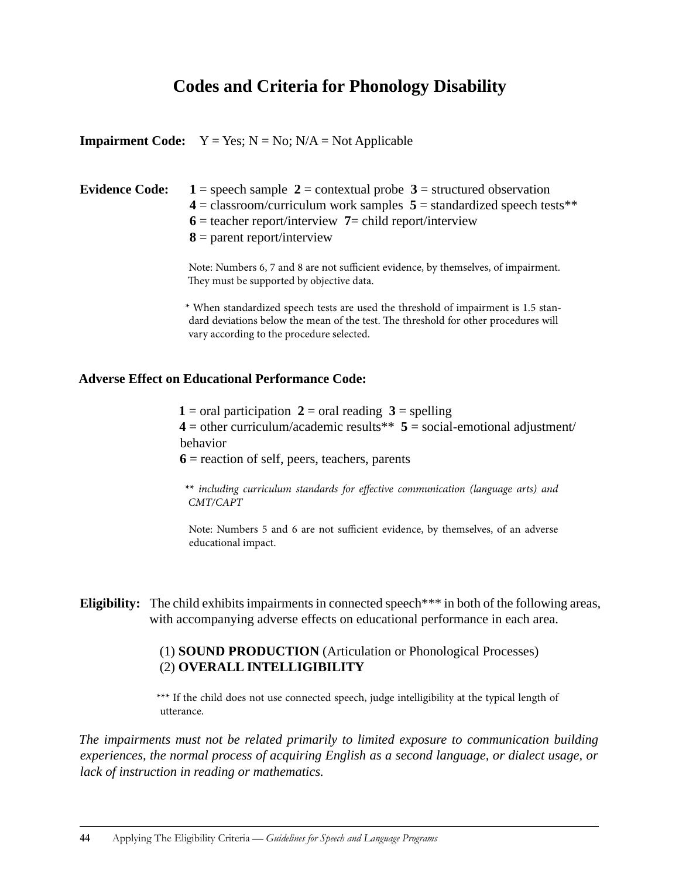### **Codes and Criteria for Phonology Disability**

|                       | <b>Impairment Code:</b> $Y = Yes$ ; $N = No$ ; $N/A = Not$ Applicable                                                                                                                                                                              |
|-----------------------|----------------------------------------------------------------------------------------------------------------------------------------------------------------------------------------------------------------------------------------------------|
| <b>Evidence Code:</b> | $1 =$ speech sample $2 =$ contextual probe $3 =$ structured observation<br>$4 =$ classroom/curriculum work samples $5 =$ standardized speech tests**<br>$6$ = teacher report/interview 7 = child report/interview<br>$8 =$ parent report/interview |
|                       | Note: Numbers 6, 7 and 8 are not sufficient evidence, by themselves, of impairment.<br>They must be supported by objective data.                                                                                                                   |
|                       | * When standardized speech tests are used the threshold of impairment is 1.5 stan-<br>dard deviations below the mean of the test. The threshold for other procedures will                                                                          |

#### **Adverse Effect on Educational Performance Code:**

vary according to the procedure selected.

**1** = oral participation **2** = oral reading **3** = spelling  $4 =$  other curriculum/academic results\*\*  $5 =$  social-emotional adjustment/ behavior  $6$  = reaction of self, peers, teachers, parents

**\*\*** *including curriculum standards for effective communication (language arts) and CMT/CAPT*

Note: Numbers 5 and 6 are not sufficient evidence, by themselves, of an adverse educational impact.

**Eligibility:** The child exhibits impairments in connected speech<sup>\*\*\*</sup> in both of the following areas, with accompanying adverse effects on educational performance in each area.

#### (1) **SOUND PRODUCTION** (Articulation or Phonological Processes) (2) **OVERALL INTELLIGIBILITY**

\*\*\* If the child does not use connected speech, judge intelligibility at the typical length of utterance.

*The impairments must not be related primarily to limited exposure to communication building experiences, the normal process of acquiring English as a second language, or dialect usage, or lack of instruction in reading or mathematics.*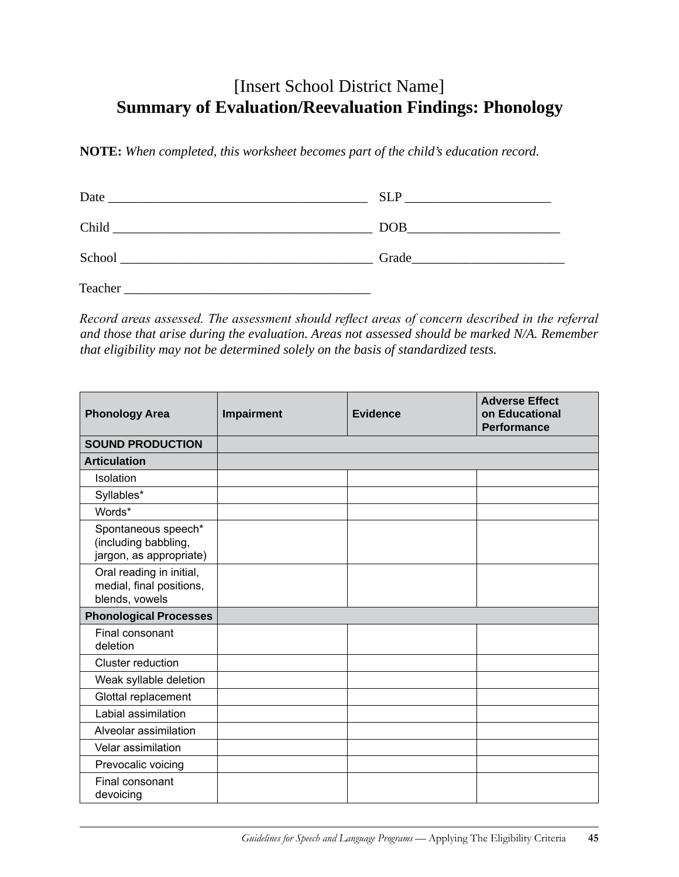### [Insert School District Name] **Summary of Evaluation/Reevaluation Findings: Phonology**

**NOTE:** *When completed, this worksheet becomes part of the child's education record.*

| Date                                                                 | <b>SLP</b><br>the control of the control of the control of the control of the control of                                                                                                                                       |
|----------------------------------------------------------------------|--------------------------------------------------------------------------------------------------------------------------------------------------------------------------------------------------------------------------------|
| Child<br><u> 1980 - Jan Sterling, amerikansk politiker (d. 1980)</u> | DOB and the same state of the state of the state of the state of the state of the state of the state of the state of the state of the state of the state of the state of the state of the state of the state of the state of t |
| School                                                               | Grade                                                                                                                                                                                                                          |
| Teacher                                                              |                                                                                                                                                                                                                                |

*Record areas assessed. The assessment should reflect areas of concern described in the referral and those that arise during the evaluation. Areas not assessed should be marked N/A. Remember that eligibility may not be determined solely on the basis of standardized tests.*

| <b>Phonology Area</b>                                                  | Impairment | <b>Evidence</b> | <b>Adverse Effect</b><br>on Educational<br><b>Performance</b> |
|------------------------------------------------------------------------|------------|-----------------|---------------------------------------------------------------|
| <b>SOUND PRODUCTION</b>                                                |            |                 |                                                               |
| <b>Articulation</b>                                                    |            |                 |                                                               |
| Isolation                                                              |            |                 |                                                               |
| Syllables*                                                             |            |                 |                                                               |
| Words*                                                                 |            |                 |                                                               |
| Spontaneous speech*<br>(including babbling,<br>jargon, as appropriate) |            |                 |                                                               |
| Oral reading in initial,<br>medial, final positions,<br>blends, vowels |            |                 |                                                               |
| <b>Phonological Processes</b>                                          |            |                 |                                                               |
| Final consonant<br>deletion                                            |            |                 |                                                               |
| Cluster reduction                                                      |            |                 |                                                               |
| Weak syllable deletion                                                 |            |                 |                                                               |
| Glottal replacement                                                    |            |                 |                                                               |
| Labial assimilation                                                    |            |                 |                                                               |
| Alveolar assimilation                                                  |            |                 |                                                               |
| Velar assimilation                                                     |            |                 |                                                               |
| Prevocalic voicing                                                     |            |                 |                                                               |
| Final consonant<br>devoicing                                           |            |                 |                                                               |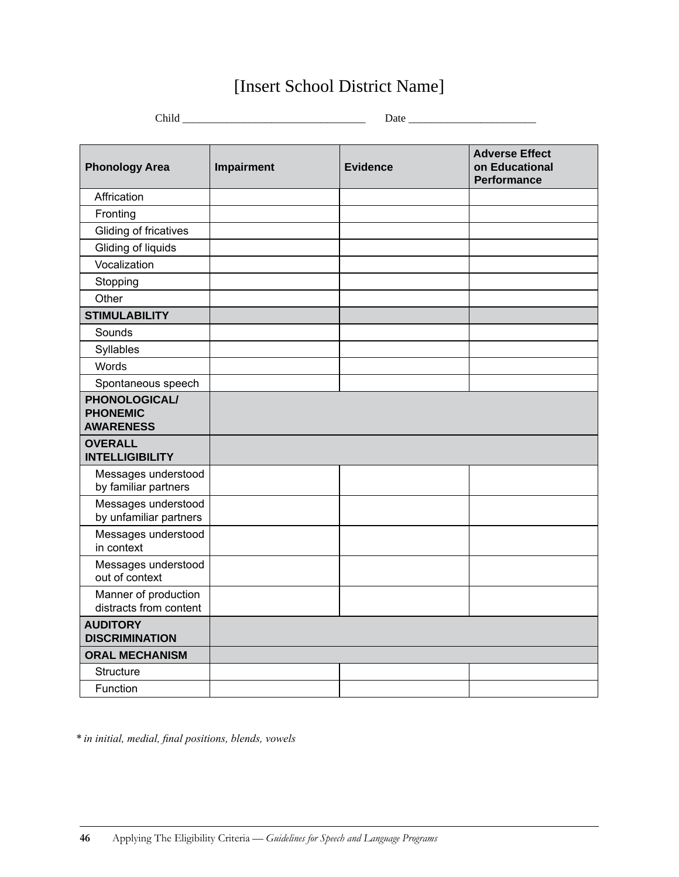## [Insert School District Name]

| $Child$ <sub>__</sub>                                |            |                 |                                                               |
|------------------------------------------------------|------------|-----------------|---------------------------------------------------------------|
|                                                      |            |                 |                                                               |
| <b>Phonology Area</b>                                | Impairment | <b>Evidence</b> | <b>Adverse Effect</b><br>on Educational<br><b>Performance</b> |
| Affrication                                          |            |                 |                                                               |
| Fronting                                             |            |                 |                                                               |
| Gliding of fricatives                                |            |                 |                                                               |
| Gliding of liquids                                   |            |                 |                                                               |
| Vocalization                                         |            |                 |                                                               |
| Stopping                                             |            |                 |                                                               |
| Other                                                |            |                 |                                                               |
| <b>STIMULABILITY</b>                                 |            |                 |                                                               |
| Sounds                                               |            |                 |                                                               |
| Syllables                                            |            |                 |                                                               |
| Words                                                |            |                 |                                                               |
| Spontaneous speech                                   |            |                 |                                                               |
| PHONOLOGICAL/<br><b>PHONEMIC</b><br><b>AWARENESS</b> |            |                 |                                                               |
| <b>OVERALL</b><br><b>INTELLIGIBILITY</b>             |            |                 |                                                               |
| Messages understood<br>by familiar partners          |            |                 |                                                               |
| Messages understood<br>by unfamiliar partners        |            |                 |                                                               |
| Messages understood<br>in context                    |            |                 |                                                               |
| Messages understood<br>out of context                |            |                 |                                                               |
| Manner of production<br>distracts from content       |            |                 |                                                               |
| <b>AUDITORY</b><br><b>DISCRIMINATION</b>             |            |                 |                                                               |
| <b>ORAL MECHANISM</b>                                |            |                 |                                                               |
| Structure                                            |            |                 |                                                               |
| Function                                             |            |                 |                                                               |

*\* in initial, medial, final positions, blends, vowels*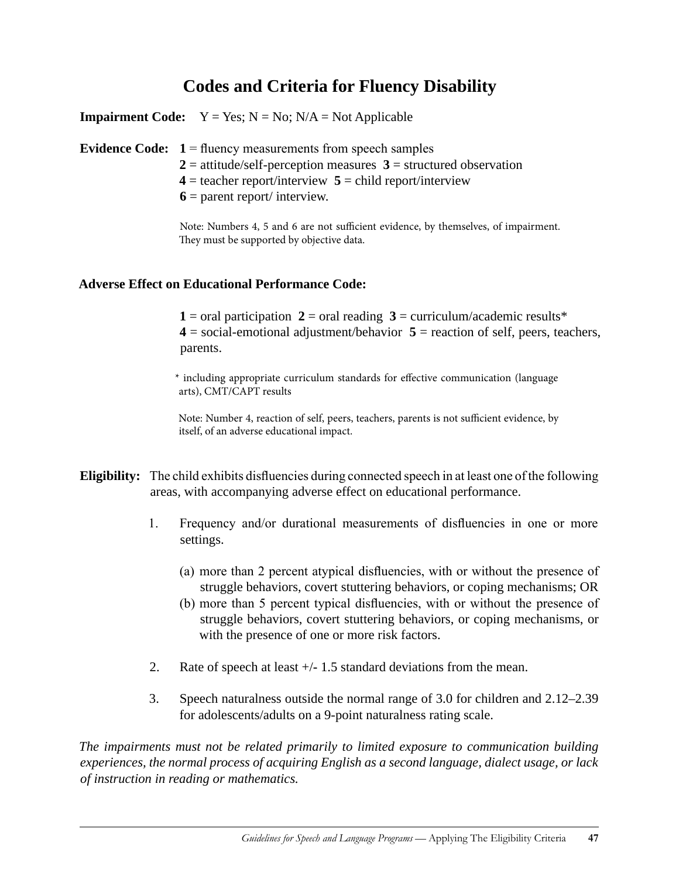### **Codes and Criteria for Fluency Disability**

**Impairment Code:**  $Y = Yes; N = No; N/A = Not Applied$ 

**Evidence Code: 1** = fluency measurements from speech samples

- $2 =$  attitude/self-perception measures  $3 =$  structured observation
- $4 = \text{teacher report/interview } 5 = \text{child report/interview } 1$
- $6$  = parent report/ interview.

Note: Numbers 4, 5 and 6 are not sufficient evidence, by themselves, of impairment. They must be supported by objective data.

#### **Adverse Effect on Educational Performance Code:**

**1** = oral participation **2** = oral reading **3** = curriculum/academic results\* **4** = social-emotional adjustment/behavior **5** = reaction of self, peers, teachers, parents.

\* including appropriate curriculum standards for effective communication (language arts), CMT/CAPT results

Note: Number 4, reaction of self, peers, teachers, parents is not sufficient evidence, by itself, of an adverse educational impact.

- **Eligibility:** The child exhibits disfluencies during connected speech in at least one of the following areas, with accompanying adverse effect on educational performance.
	- 1. Frequency and/or durational measurements of disfluencies in one or more settings.
		- (a) more than 2 percent atypical disfluencies, with or without the presence of struggle behaviors, covert stuttering behaviors, or coping mechanisms; OR
		- (b) more than 5 percent typical disfluencies, with or without the presence of struggle behaviors, covert stuttering behaviors, or coping mechanisms, or with the presence of one or more risk factors.
	- 2. Rate of speech at least +/1.5 standard deviations from the mean.
	- 3. Speech naturalness outside the normal range of 3.0 for children and 2.12–2.39 for adolescents/adults on a 9-point naturalness rating scale.

*The impairments must not be related primarily to limited exposure to communication building experiences, the normal process of acquiring English as a second language, dialect usage, or lack of instruction in reading or mathematics.*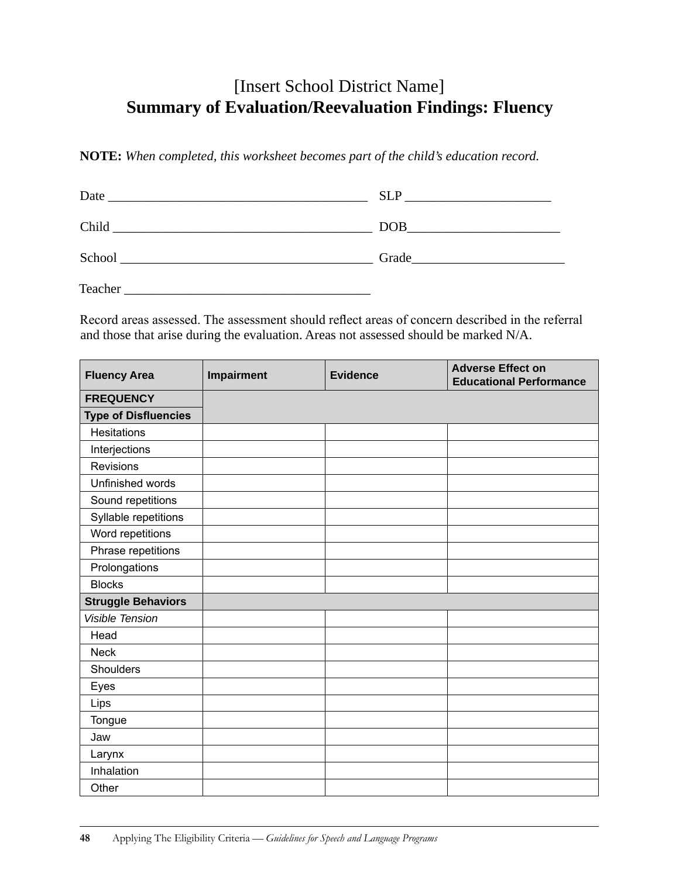### [Insert School District Name] **Summary of Evaluation/Reevaluation Findings: Fluency**

**NOTE:** *When completed, this worksheet becomes part of the child's education record.*

| Date<br><u> 1980 - Jan Sterling von Berling von Berling von Berling von Berling von Berling von Berling von Berling von B</u>                                                                                                 | <b>SLP</b><br><u> 1980 - Jan Samuel Barbara, martin a</u>                                                                                                                                                                           |
|-------------------------------------------------------------------------------------------------------------------------------------------------------------------------------------------------------------------------------|-------------------------------------------------------------------------------------------------------------------------------------------------------------------------------------------------------------------------------------|
| Child and the contract of the contract of the contract of the contract of the contract of the contract of the contract of the contract of the contract of the contract of the contract of the contract of the contract of the | $\boxed{DOB$                                                                                                                                                                                                                        |
|                                                                                                                                                                                                                               | Grade <b>Exercise Service Service</b> Service Service Service Service Service Service Service Service Service Service Service Service Service Service Service Service Service Service Service Service Service Service Service Servi |
| Teacher                                                                                                                                                                                                                       |                                                                                                                                                                                                                                     |

Record areas assessed. The assessment should reflect areas of concern described in the referral and those that arise during the evaluation. Areas not assessed should be marked N/A.

| <b>Fluency Area</b>         | Impairment | <b>Evidence</b> | <b>Adverse Effect on</b><br><b>Educational Performance</b> |
|-----------------------------|------------|-----------------|------------------------------------------------------------|
| <b>FREQUENCY</b>            |            |                 |                                                            |
| <b>Type of Disfluencies</b> |            |                 |                                                            |
| <b>Hesitations</b>          |            |                 |                                                            |
| Interjections               |            |                 |                                                            |
| <b>Revisions</b>            |            |                 |                                                            |
| Unfinished words            |            |                 |                                                            |
| Sound repetitions           |            |                 |                                                            |
| Syllable repetitions        |            |                 |                                                            |
| Word repetitions            |            |                 |                                                            |
| Phrase repetitions          |            |                 |                                                            |
| Prolongations               |            |                 |                                                            |
| <b>Blocks</b>               |            |                 |                                                            |
| <b>Struggle Behaviors</b>   |            |                 |                                                            |
| <b>Visible Tension</b>      |            |                 |                                                            |
| Head                        |            |                 |                                                            |
| <b>Neck</b>                 |            |                 |                                                            |
| Shoulders                   |            |                 |                                                            |
| Eyes                        |            |                 |                                                            |
| Lips                        |            |                 |                                                            |
| Tongue                      |            |                 |                                                            |
| Jaw                         |            |                 |                                                            |
| Larynx                      |            |                 |                                                            |
| Inhalation                  |            |                 |                                                            |
| Other                       |            |                 |                                                            |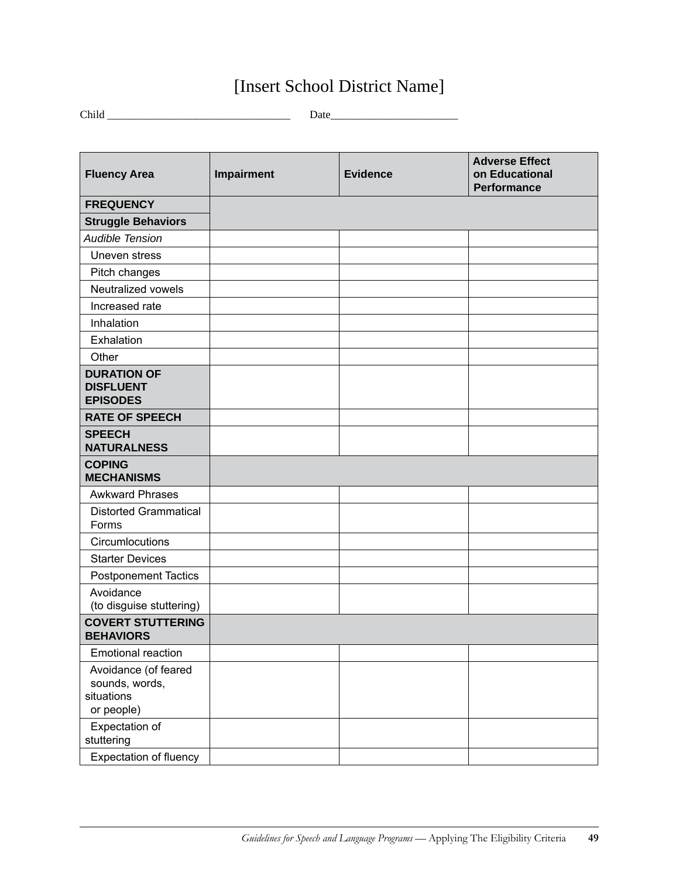## [Insert School District Name]

Child \_\_\_\_\_\_\_\_\_\_\_\_\_\_\_\_\_\_\_\_\_\_\_\_\_\_\_\_\_\_\_\_\_ Date\_\_\_\_\_\_\_\_\_\_\_\_\_\_\_\_\_\_\_\_\_\_\_

| <b>Fluency Area</b>                                                | Impairment | <b>Evidence</b> | <b>Adverse Effect</b><br>on Educational<br><b>Performance</b> |
|--------------------------------------------------------------------|------------|-----------------|---------------------------------------------------------------|
| <b>FREQUENCY</b>                                                   |            |                 |                                                               |
| <b>Struggle Behaviors</b>                                          |            |                 |                                                               |
| <b>Audible Tension</b>                                             |            |                 |                                                               |
| Uneven stress                                                      |            |                 |                                                               |
| Pitch changes                                                      |            |                 |                                                               |
| Neutralized vowels                                                 |            |                 |                                                               |
| Increased rate                                                     |            |                 |                                                               |
| Inhalation                                                         |            |                 |                                                               |
| Exhalation                                                         |            |                 |                                                               |
| Other                                                              |            |                 |                                                               |
| <b>DURATION OF</b><br><b>DISFLUENT</b><br><b>EPISODES</b>          |            |                 |                                                               |
| <b>RATE OF SPEECH</b>                                              |            |                 |                                                               |
| <b>SPEECH</b><br><b>NATURALNESS</b>                                |            |                 |                                                               |
| <b>COPING</b><br><b>MECHANISMS</b>                                 |            |                 |                                                               |
| <b>Awkward Phrases</b>                                             |            |                 |                                                               |
| <b>Distorted Grammatical</b><br>Forms                              |            |                 |                                                               |
| Circumlocutions                                                    |            |                 |                                                               |
| <b>Starter Devices</b>                                             |            |                 |                                                               |
| <b>Postponement Tactics</b>                                        |            |                 |                                                               |
| Avoidance<br>(to disguise stuttering)                              |            |                 |                                                               |
| <b>COVERT STUTTERING</b><br><b>BEHAVIORS</b>                       |            |                 |                                                               |
| <b>Emotional reaction</b>                                          |            |                 |                                                               |
| Avoidance (of feared<br>sounds, words,<br>situations<br>or people) |            |                 |                                                               |
| Expectation of<br>stuttering                                       |            |                 |                                                               |
| <b>Expectation of fluency</b>                                      |            |                 |                                                               |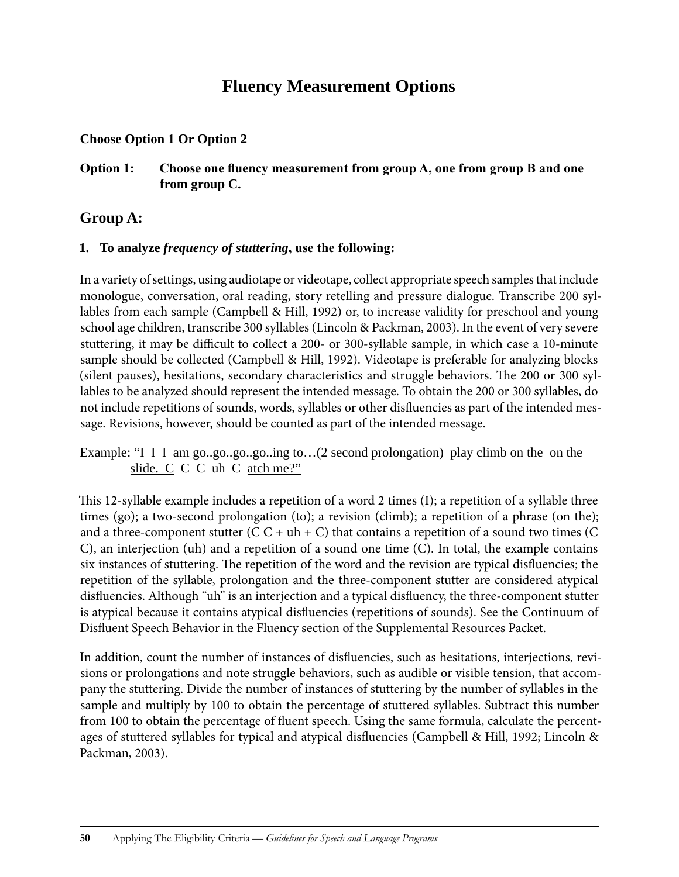### **Fluency Measurement Options**

#### **Choose Option 1 Or Option 2**

#### **Option 1: Choose one fluency measurement from group A, one from group B and one from group C.**

### **Group A:**

#### **1. To analyze** *frequency of stuttering***, use the following:**

In a variety of settings, using audiotape or videotape, collect appropriate speech samples that include monologue, conversation, oral reading, story retelling and pressure dialogue. Transcribe 200 syllables from each sample (Campbell & Hill, 1992) or, to increase validity for preschool and young school age children, transcribe 300 syllables (Lincoln & Packman, 2003). In the event of very severe stuttering, it may be difficult to collect a 200- or 300-syllable sample, in which case a 10-minute sample should be collected (Campbell & Hill, 1992). Videotape is preferable for analyzing blocks (silent pauses), hesitations, secondary characteristics and struggle behaviors. The 200 or 300 syllables to be analyzed should represent the intended message. To obtain the 200 or 300 syllables, do not include repetitions of sounds, words, syllables or other disfluencies as part of the intended message. Revisions, however, should be counted as part of the intended message.

Example: "I I I am go..go..go..go..ing to...(2 second prolongation) play climb on the on the slide. C C C uh C atch me?"

This 12-syllable example includes a repetition of a word 2 times (I); a repetition of a syllable three times (go); a two-second prolongation (to); a revision (climb); a repetition of a phrase (on the); and a three-component stutter  $(C C + uh + C)$  that contains a repetition of a sound two times  $(C$ C), an interjection (uh) and a repetition of a sound one time (C). In total, the example contains six instances of stuttering. The repetition of the word and the revision are typical disfluencies; the repetition of the syllable, prolongation and the three-component stutter are considered atypical disfluencies. Although "uh" is an interjection and a typical disfluency, the three-component stutter is atypical because it contains atypical disfluencies (repetitions of sounds). See the Continuum of Disfluent Speech Behavior in the Fluency section of the Supplemental Resources Packet.

In addition, count the number of instances of disfluencies, such as hesitations, interjections, revisions or prolongations and note struggle behaviors, such as audible or visible tension, that accompany the stuttering. Divide the number of instances of stuttering by the number of syllables in the sample and multiply by 100 to obtain the percentage of stuttered syllables. Subtract this number from 100 to obtain the percentage of fluent speech. Using the same formula, calculate the percentages of stuttered syllables for typical and atypical disfluencies (Campbell & Hill, 1992; Lincoln & Packman, 2003).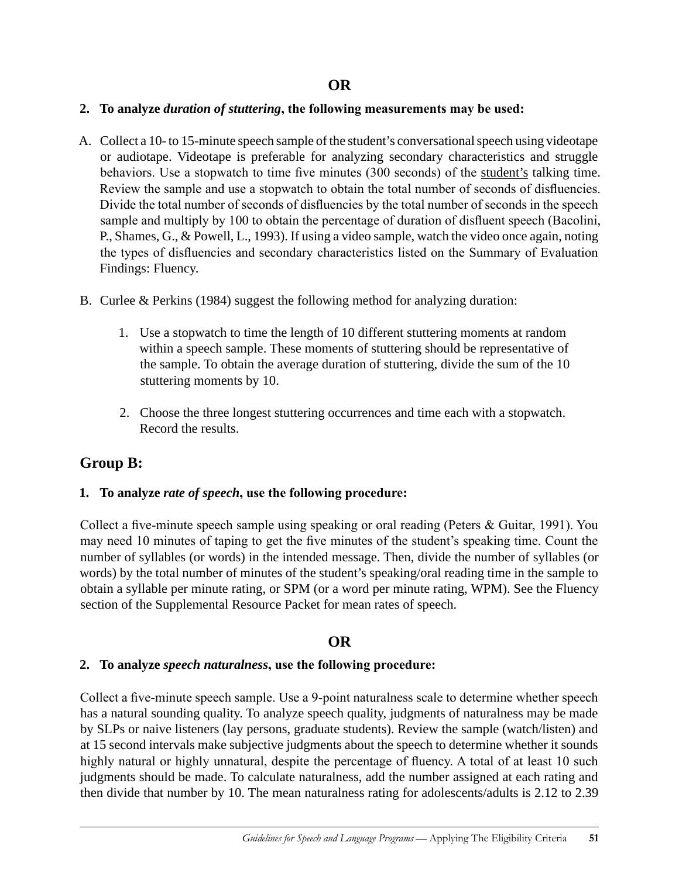#### **2. To analyze** *duration of stuttering***, the following measurements may be used:**

- A. Collect a 10- to 15-minute speech sample of the student's conversational speech using videotape or audiotape. Videotape is preferable for analyzing secondary characteristics and struggle behaviors. Use a stopwatch to time five minutes (300 seconds) of the student's talking time. Review the sample and use a stopwatch to obtain the total number of seconds of disfluencies. Divide the total number of seconds of disfluencies by the total number of seconds in the speech sample and multiply by 100 to obtain the percentage of duration of disfluent speech (Bacolini, P., Shames, G., & Powell, L., 1993). If using a video sample, watch the video once again, noting the types of disfluencies and secondary characteristics listed on the Summary of Evaluation Findings: Fluency.
- B. Curlee & Perkins (1984) suggest the following method for analyzing duration:
	- 1. Use a stopwatch to time the length of 10 different stuttering moments at random within a speech sample. These moments of stuttering should be representative of the sample. To obtain the average duration of stuttering, divide the sum of the 10 stuttering moments by 10.
	- 2. Choose the three longest stuttering occurrences and time each with a stopwatch. Record the results.

### **Group B:**

#### **1. To analyze** *rate of speech***, use the following procedure:**

Collect a five-minute speech sample using speaking or oral reading (Peters & Guitar, 1991). You may need 10 minutes of taping to get the five minutes of the student's speaking time. Count the number of syllables (or words) in the intended message. Then, divide the number of syllables (or words) by the total number of minutes of the student's speaking/oral reading time in the sample to obtain a syllable per minute rating, or SPM (or a word per minute rating, WPM). See the Fluency section of the Supplemental Resource Packet for mean rates of speech.

### **OR**

#### **2. To analyze** *speech naturalness***, use the following procedure:**

Collect a five-minute speech sample. Use a 9-point naturalness scale to determine whether speech has a natural sounding quality. To analyze speech quality, judgments of naturalness may be made by SLPs or naive listeners (lay persons, graduate students). Review the sample (watch/listen) and at 15 second intervals make subjective judgments about the speech to determine whether it sounds highly natural or highly unnatural, despite the percentage of fluency. A total of at least 10 such judgments should be made. To calculate naturalness, add the number assigned at each rating and then divide that number by 10. The mean naturalness rating for adolescents/adults is 2.12 to 2.39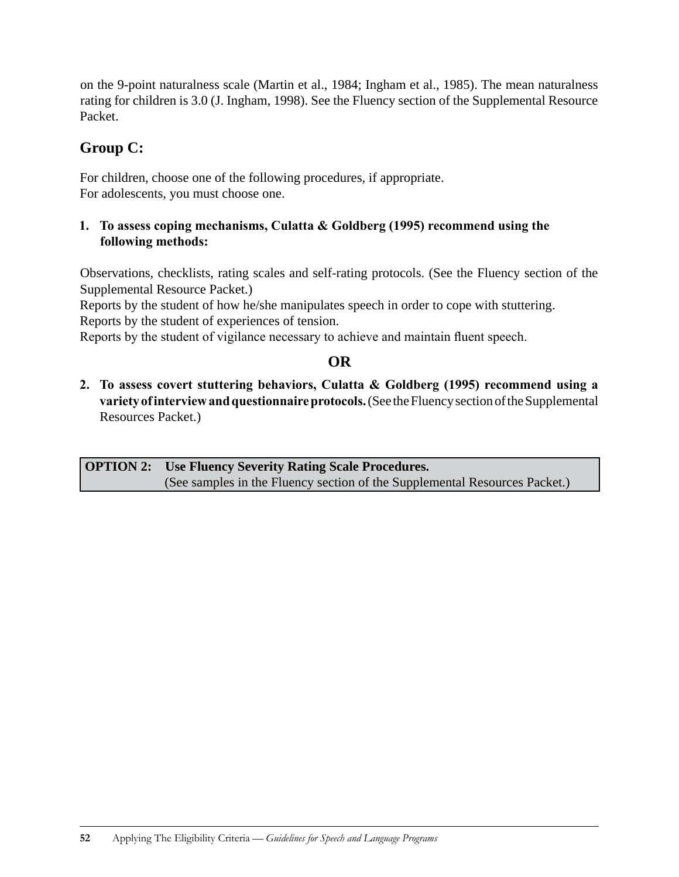on the 9-point naturalness scale (Martin et al., 1984; Ingham et al., 1985). The mean naturalness rating for children is 3.0 (J. Ingham, 1998). See the Fluency section of the Supplemental Resource Packet.

### **Group C:**

For children, choose one of the following procedures, if appropriate. For adolescents, you must choose one.

### **1. To assess coping mechanisms, Culatta & Goldberg (1995) recommend using the following methods:**

Observations, checklists, rating scales and self-rating protocols. (See the Fluency section of the Supplemental Resource Packet.)

Reports by the student of how he/she manipulates speech in order to cope with stuttering. Reports by the student of experiences of tension.

Reports by the student of vigilance necessary to achieve and maintain fluent speech.

### **OR**

**2. To assess covert stuttering behaviors, Culatta & Goldberg (1995) recommend using a variety of interview and questionnaire protocols.** (See the Fluency section of the Supplemental Resources Packet.)

**OPTION 2: Use Fluency Severity Rating Scale Procedures.**  (See samples in the Fluency section of the Supplemental Resources Packet.)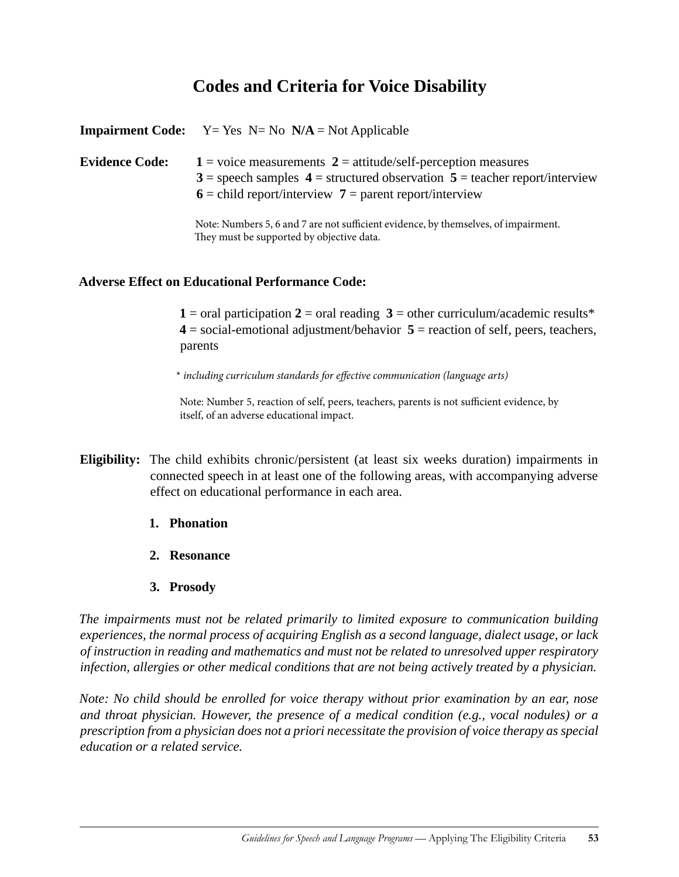### **Codes and Criteria for Voice Disability**

|                       | <b>Impairment Code:</b> $Y = Yes \ N = No \ N/A = Not Applicable$                                                                                                                                                                                                                                                 |
|-----------------------|-------------------------------------------------------------------------------------------------------------------------------------------------------------------------------------------------------------------------------------------------------------------------------------------------------------------|
| <b>Evidence Code:</b> | $1 =$ voice measurements $2 =$ attitude/self-perception measures<br>$3 =$ speech samples $4 =$ structured observation $5 =$ teacher report/interview<br>$6$ = child report/interview 7 = parent report/interview                                                                                                  |
|                       | $\mathcal{M}$ and $\mathcal{M}$ and $\mathcal{M}$ and $\mathcal{M}$ and $\mathcal{M}$ and $\mathcal{M}$ and $\mathcal{M}$ and $\mathcal{M}$ and $\mathcal{M}$ and $\mathcal{M}$ and $\mathcal{M}$ and $\mathcal{M}$ and $\mathcal{M}$ and $\mathcal{M}$ and $\mathcal{M}$ and $\mathcal{M}$ and $\mathcal{M}$ and |

Note: Numbers 5, 6 and 7 are not sufficient evidence, by themselves, of impairment. They must be supported by objective data.

#### **Adverse Effect on Educational Performance Code:**

**1** = oral participation **2** = oral reading **3** = other curriculum/academic results\* **4** = social-emotional adjustment/behavior **5** = reaction of self, peers, teachers, parents

\* *including curriculum standards for effective communication (language arts)*

Note: Number 5, reaction of self, peers, teachers, parents is not sufficient evidence, by itself, of an adverse educational impact.

- **Eligibility:** The child exhibits chronic/persistent (at least six weeks duration) impairments in connected speech in at least one of the following areas, with accompanying adverse effect on educational performance in each area.
	- **1. Phonation**
	- **2. Resonance**
	- **3. Prosody**

*The impairments must not be related primarily to limited exposure to communication building experiences, the normal process of acquiring English as a second language, dialect usage, or lack of instruction in reading and mathematics and must not be related to unresolved upper respiratory infection, allergies or other medical conditions that are not being actively treated by a physician.* 

*Note: No child should be enrolled for voice therapy without prior examination by an ear, nose and throat physician. However, the presence of a medical condition (e.g., vocal nodules) or a prescription from a physician does not a priori necessitate the provision of voice therapy as special education or a related service.*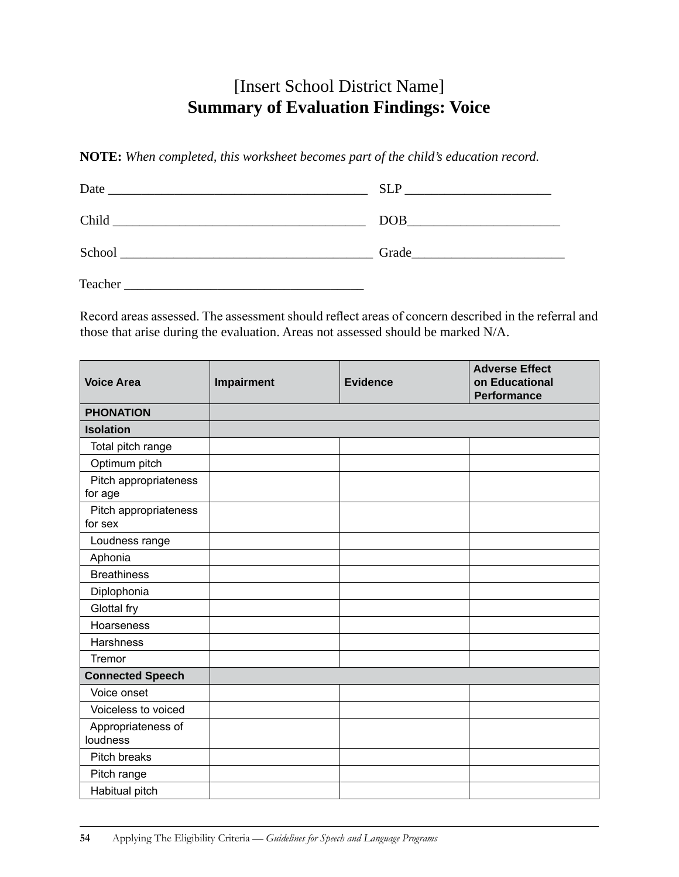### [Insert School District Name] **Summary of Evaluation Findings: Voice**

**NOTE:** *When completed, this worksheet becomes part of the child's education record.*

| Date<br><u> 1989 - Johann Stein, Amerikaansk politiker († 1958)</u> | SLP and the state of the state of the state of the state of the state of the state of the state of the state of the state of the state of the state of the state of the state of the state of the state of the state of the st |
|---------------------------------------------------------------------|--------------------------------------------------------------------------------------------------------------------------------------------------------------------------------------------------------------------------------|
| Child                                                               | DOB                                                                                                                                                                                                                            |
| School<br><u> 1980 - Andrea Andrew Maria (h. 1980).</u>             | Grade<br><u> 2001 - Jan Samuel Communication (m. 1958)</u>                                                                                                                                                                     |
| Teacher                                                             |                                                                                                                                                                                                                                |

Record areas assessed. The assessment should reflect areas of concern described in the referral and those that arise during the evaluation. Areas not assessed should be marked N/A.

| <b>Voice Area</b>                | Impairment | <b>Evidence</b> | <b>Adverse Effect</b><br>on Educational<br><b>Performance</b> |
|----------------------------------|------------|-----------------|---------------------------------------------------------------|
| <b>PHONATION</b>                 |            |                 |                                                               |
| <b>Isolation</b>                 |            |                 |                                                               |
| Total pitch range                |            |                 |                                                               |
| Optimum pitch                    |            |                 |                                                               |
| Pitch appropriateness<br>for age |            |                 |                                                               |
| Pitch appropriateness<br>for sex |            |                 |                                                               |
| Loudness range                   |            |                 |                                                               |
| Aphonia                          |            |                 |                                                               |
| <b>Breathiness</b>               |            |                 |                                                               |
| Diplophonia                      |            |                 |                                                               |
| Glottal fry                      |            |                 |                                                               |
| Hoarseness                       |            |                 |                                                               |
| Harshness                        |            |                 |                                                               |
| Tremor                           |            |                 |                                                               |
| <b>Connected Speech</b>          |            |                 |                                                               |
| Voice onset                      |            |                 |                                                               |
| Voiceless to voiced              |            |                 |                                                               |
| Appropriateness of<br>loudness   |            |                 |                                                               |
| Pitch breaks                     |            |                 |                                                               |
| Pitch range                      |            |                 |                                                               |
| Habitual pitch                   |            |                 |                                                               |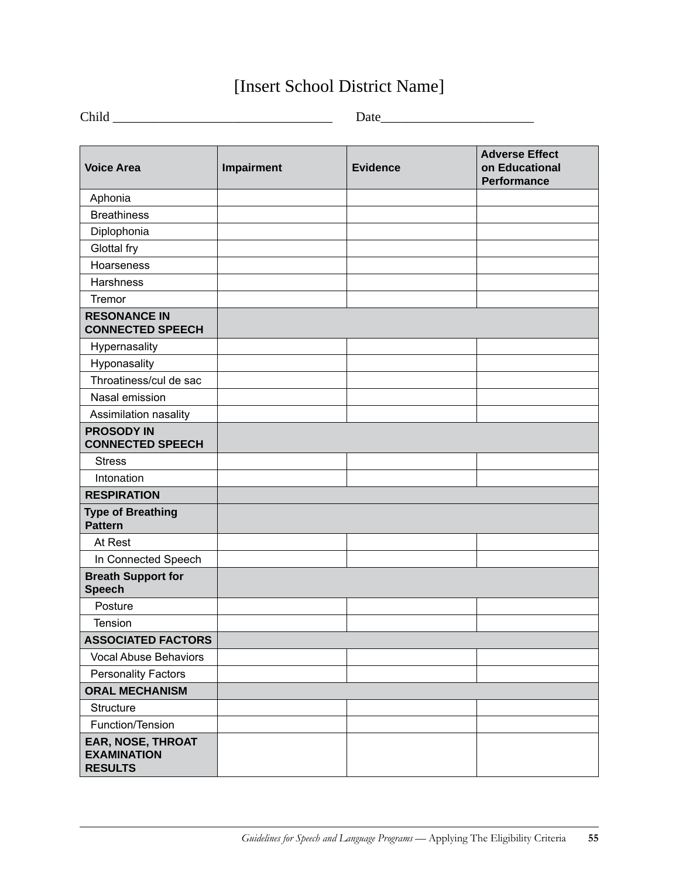## [Insert School District Name]

| $\sim$ |  |
|--------|--|
|        |  |

| <b>Voice Area</b>                                         | Impairment | <b>Evidence</b> | <b>Adverse Effect</b><br>on Educational<br><b>Performance</b> |
|-----------------------------------------------------------|------------|-----------------|---------------------------------------------------------------|
| Aphonia                                                   |            |                 |                                                               |
| <b>Breathiness</b>                                        |            |                 |                                                               |
| Diplophonia                                               |            |                 |                                                               |
| Glottal fry                                               |            |                 |                                                               |
| Hoarseness                                                |            |                 |                                                               |
| <b>Harshness</b>                                          |            |                 |                                                               |
| Tremor                                                    |            |                 |                                                               |
| <b>RESONANCE IN</b><br><b>CONNECTED SPEECH</b>            |            |                 |                                                               |
| Hypernasality                                             |            |                 |                                                               |
| Hyponasality                                              |            |                 |                                                               |
| Throatiness/cul de sac                                    |            |                 |                                                               |
| Nasal emission                                            |            |                 |                                                               |
| Assimilation nasality                                     |            |                 |                                                               |
| <b>PROSODY IN</b><br><b>CONNECTED SPEECH</b>              |            |                 |                                                               |
| <b>Stress</b>                                             |            |                 |                                                               |
| Intonation                                                |            |                 |                                                               |
| <b>RESPIRATION</b>                                        |            |                 |                                                               |
| <b>Type of Breathing</b><br><b>Pattern</b>                |            |                 |                                                               |
| At Rest                                                   |            |                 |                                                               |
| In Connected Speech                                       |            |                 |                                                               |
| <b>Breath Support for</b><br><b>Speech</b>                |            |                 |                                                               |
| Posture                                                   |            |                 |                                                               |
| Tension                                                   |            |                 |                                                               |
| <b>ASSOCIATED FACTORS</b>                                 |            |                 |                                                               |
| <b>Vocal Abuse Behaviors</b>                              |            |                 |                                                               |
| <b>Personality Factors</b>                                |            |                 |                                                               |
| <b>ORAL MECHANISM</b>                                     |            |                 |                                                               |
| Structure                                                 |            |                 |                                                               |
| Function/Tension                                          |            |                 |                                                               |
| EAR, NOSE, THROAT<br><b>EXAMINATION</b><br><b>RESULTS</b> |            |                 |                                                               |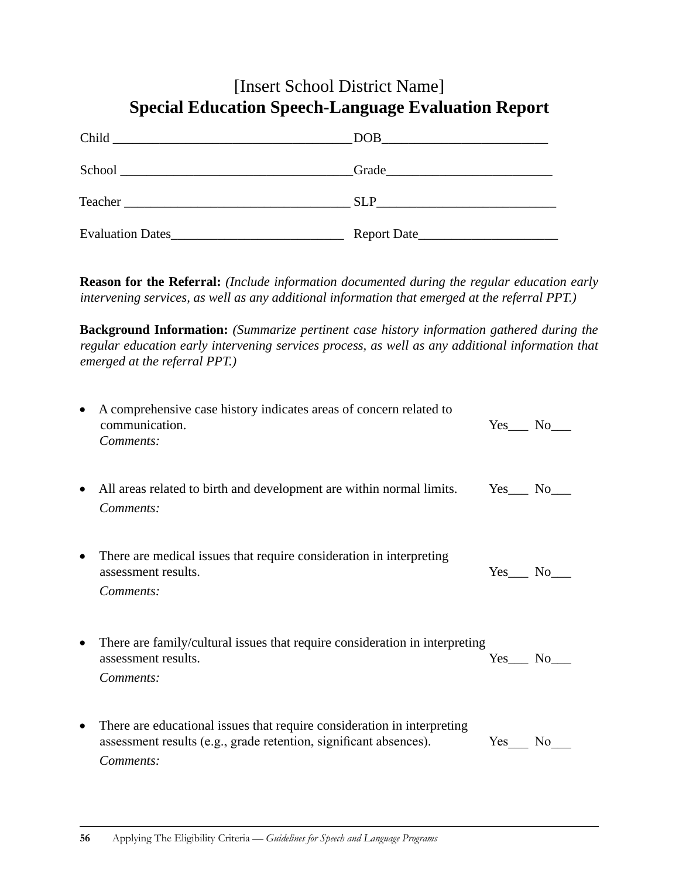### [Insert School District Name] **Special Education Speech-Language Evaluation Report**

| Child                   | <b>DOB</b>              |
|-------------------------|-------------------------|
|                         | $Grade$ $\qquad \qquad$ |
|                         | <b>SLP</b>              |
| <b>Evaluation Dates</b> | Report Date             |

**Reason for the Referral:** *(Include information documented during the regular education early intervening services, as well as any additional information that emerged at the referral PPT.)*

**Background Information:** *(Summarize pertinent case history information gathered during the regular education early intervening services process, as well as any additional information that emerged at the referral PPT.)*

|           | A comprehensive case history indicates areas of concern related to<br>communication.<br>Comments:                                                         | Yes No   |     |
|-----------|-----------------------------------------------------------------------------------------------------------------------------------------------------------|----------|-----|
|           | All areas related to birth and development are within normal limits.<br>Comments:                                                                         | Yes No   |     |
|           | There are medical issues that require consideration in interpreting<br>assessment results.<br>Comments:                                                   | Yes No   |     |
| $\bullet$ | There are family/cultural issues that require consideration in interpreting<br>assessment results.<br>Comments:                                           | Yes No   |     |
| $\bullet$ | There are educational issues that require consideration in interpreting<br>assessment results (e.g., grade retention, significant absences).<br>Comments: | $Yes \_$ | No. |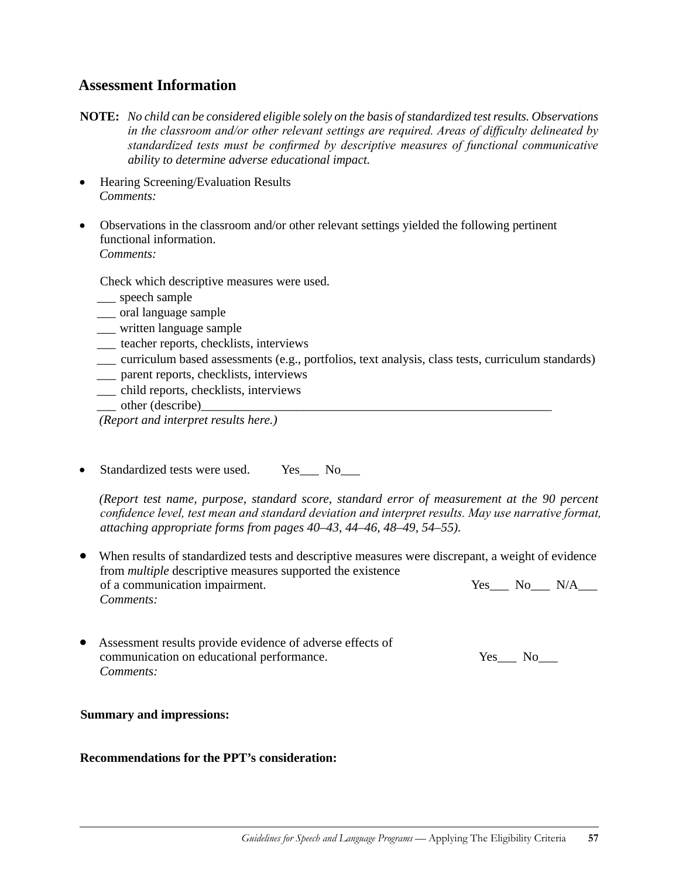#### **Assessment Information**

- **NOTE:** *No child can be considered eligible solely on the basis of standardized test results. Observations in the classroom and/or other relevant settings are required. Areas of difficulty delineated by standardized tests must be confirmed by descriptive measures of functional communicative ability to determine adverse educational impact.*
- Hearing Screening/Evaluation Results *Comments:*
- Observations in the classroom and/or other relevant settings yielded the following pertinent functional information. *Comments:*

Check which descriptive measures were used.

- \_\_\_ speech sample
- \_\_\_ oral language sample
- \_\_\_ written language sample
- \_\_\_ teacher reports, checklists, interviews
- \_\_\_ curriculum based assessments (e.g., portfolios, text analysis, class tests, curriculum standards)
- \_\_\_ parent reports, checklists, interviews
- \_\_\_ child reports, checklists, interviews
- other (describe)

*(Report and interpret results here.)*

Standardized tests were used. Yes No

*(Report test name, purpose, standard score, standard error of measurement at the 90 percent confidence level, test mean and standard deviation and interpret results. May use narrative format, attaching appropriate forms from pages 40–43, 44–46, 48–49, 54–55).*

- When results of standardized tests and descriptive measures were discrepant, a weight of evidence from *multiple* descriptive measures supported the existence of a communication impairment. Yes No N/A *Comments:*
- Assessment results provide evidence of adverse effects of communication on educational performance. Yes\_\_\_ No\_\_\_ *Comments:*

#### **Summary and impressions:**

#### **Recommendations for the PPT's consideration:**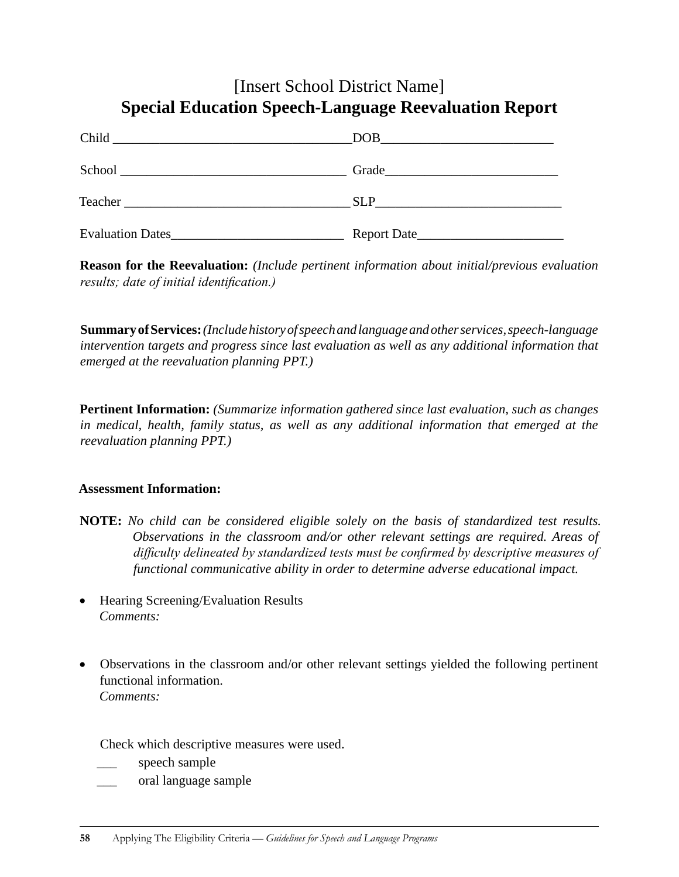### [Insert School District Name] **Special Education Speech-Language Reevaluation Report**

| Child                                                                       | DOB                                                                           |
|-----------------------------------------------------------------------------|-------------------------------------------------------------------------------|
|                                                                             |                                                                               |
| School                                                                      | Grade                                                                         |
| <u> 1989 - Johann Stein, mars an deus an deus Amerikaansk kommunister (</u> |                                                                               |
|                                                                             | <b>SLP</b><br>the contract of the contract of the contract of the contract of |
| <b>Evaluation Dates_</b>                                                    | Report Date                                                                   |

**Reason for the Reevaluation:** *(Include pertinent information about initial/previous evaluation results; date of initial identification.)*

**Summary ofServices:** *(Include history of speech and language and other services, speech-language intervention targets and progress since last evaluation as well as any additional information that emerged at the reevaluation planning PPT.)*

**Pertinent Information:** *(Summarize information gathered since last evaluation, such as changes in medical, health, family status, as well as any additional information that emerged at the reevaluation planning PPT.)*

#### **Assessment Information:**

- **NOTE:** *No child can be considered eligible solely on the basis of standardized test results. Observations in the classroom and/or other relevant settings are required. Areas of difficulty delineated by standardized tests must be confirmed by descriptive measures of functional communicative ability in order to determine adverse educational impact.*
- Hearing Screening/Evaluation Results *Comments:*
- Observations in the classroom and/or other relevant settings yielded the following pertinent functional information. *Comments:*

Check which descriptive measures were used.

speech sample

\_\_\_ oral language sample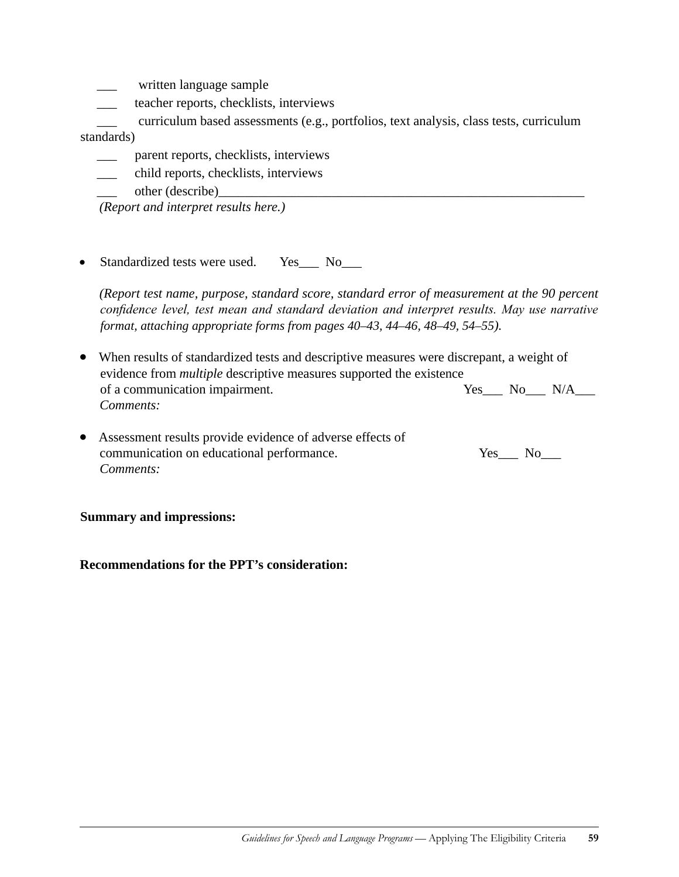- written language sample
- teacher reports, checklists, interviews

\_\_\_ curriculum based assessments (e.g., portfolios, text analysis, class tests, curriculum standards)

- \_\_\_ parent reports, checklists, interviews
- \_\_\_ child reports, checklists, interviews
- other (describe)

*(Report and interpret results here.)*

Standardized tests were used. Yes\_\_\_ No\_\_\_

*(Report test name, purpose, standard score, standard error of measurement at the 90 percent confidence level, test mean and standard deviation and interpret results. May use narrative format, attaching appropriate forms from pages 40–43, 44–46, 48–49, 54–55).*

- When results of standardized tests and descriptive measures were discrepant, a weight of evidence from *multiple* descriptive measures supported the existence of a communication impairment. Yes No N/A\_\_\_ *Comments:*
- Assessment results provide evidence of adverse effects of communication on educational performance. Yes No *Comments:*

#### **Summary and impressions:**

#### **Recommendations for the PPT's consideration:**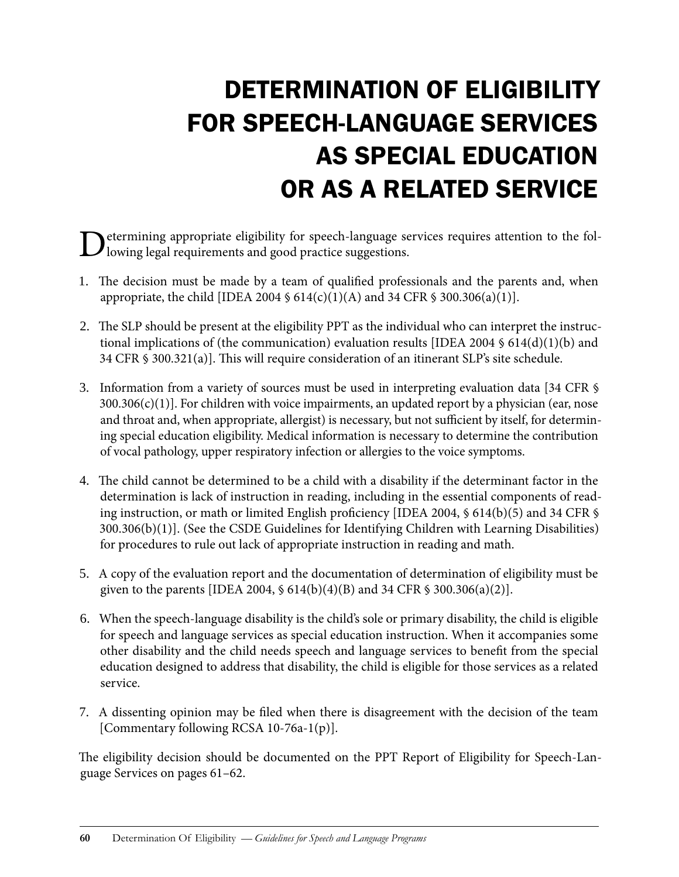# Determination of Eligibility for Speech-Language Services as Special Education or as a Related Service

Determining appropriate eligibility for speech-language services requires attention to the fol-lowing legal requirements and good practice suggestions.

- 1. The decision must be made by a team of qualified professionals and the parents and, when appropriate, the child [IDEA 2004 §  $614(c)(1)(A)$  and 34 CFR § 300.306(a)(1)].
- 2. The SLP should be present at the eligibility PPT as the individual who can interpret the instructional implications of (the communication) evaluation results [IDEA 2004 § 614(d)(1)(b) and 34 CFR § 300.321(a)]. This will require consideration of an itinerant SLP's site schedule.
- 3. Information from a variety of sources must be used in interpreting evaluation data [34 CFR §  $300.306(c)(1)$ ]. For children with voice impairments, an updated report by a physician (ear, nose and throat and, when appropriate, allergist) is necessary, but not sufficient by itself, for determining special education eligibility. Medical information is necessary to determine the contribution of vocal pathology, upper respiratory infection or allergies to the voice symptoms.
- 4. The child cannot be determined to be a child with a disability if the determinant factor in the determination is lack of instruction in reading, including in the essential components of reading instruction, or math or limited English proficiency [IDEA 2004, § 614(b)(5) and 34 CFR § 300.306(b)(1)]. (See the CSDE Guidelines for Identifying Children with Learning Disabilities) for procedures to rule out lack of appropriate instruction in reading and math.
- 5. A copy of the evaluation report and the documentation of determination of eligibility must be given to the parents [IDEA 2004,  $\frac{614(b)(4)(B)}{B}$  and 34 CFR  $\frac{6300.306(a)(2)}{B}$ .
- 6. When the speech-language disability is the child's sole or primary disability, the child is eligible for speech and language services as special education instruction. When it accompanies some other disability and the child needs speech and language services to benefit from the special education designed to address that disability, the child is eligible for those services as a related service.
- 7. A dissenting opinion may be filed when there is disagreement with the decision of the team [Commentary following RCSA 10-76a-1(p)].

The eligibility decision should be documented on the PPT Report of Eligibility for Speech-Language Services on pages 61–62.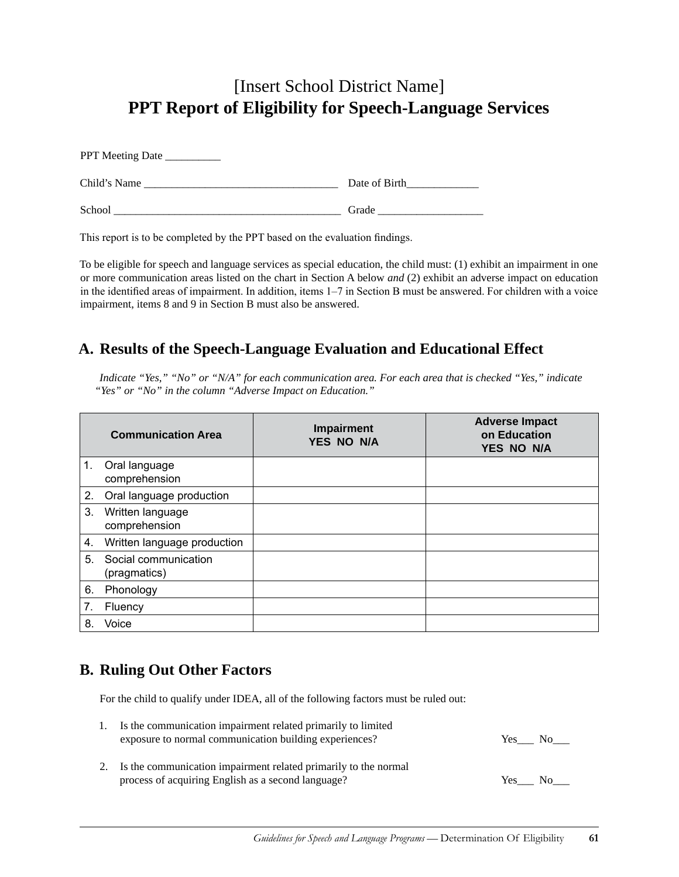### [Insert School District Name] **PPT Report of Eligibility for Speech-Language Services**

| Child's Name | Date of Birth |
|--------------|---------------|
| School       | Grade         |

This report is to be completed by the PPT based on the evaluation findings.

To be eligible for speech and language services as special education, the child must: (1) exhibit an impairment in one or more communication areas listed on the chart in Section A below *and* (2) exhibit an adverse impact on education in the identified areas of impairment. In addition, items 1–7 in Section B must be answered. For children with a voice impairment, items 8 and 9 in Section B must also be answered.

### **A. Results of the Speech-Language Evaluation and Educational Effect**

*Indicate "Yes," "No" or "N/A" for each communication area. For each area that is checked "Yes," indicate "Yes" or "No" in the column "Adverse Impact on Education."* 

|             | <b>Communication Area</b>            | Impairment<br>YES NO N/A | <b>Adverse Impact</b><br>on Education<br><b>YES NO N/A</b> |
|-------------|--------------------------------------|--------------------------|------------------------------------------------------------|
| $1_{\cdot}$ | Oral language<br>comprehension       |                          |                                                            |
| 2.          | Oral language production             |                          |                                                            |
| 3.          | Written language<br>comprehension    |                          |                                                            |
| 4.          | Written language production          |                          |                                                            |
| 5.          | Social communication<br>(pragmatics) |                          |                                                            |
| 6.          | Phonology                            |                          |                                                            |
| 7.          | Fluency                              |                          |                                                            |
| 8.          | Voice                                |                          |                                                            |

### **B. Ruling Out Other Factors**

For the child to qualify under IDEA, all of the following factors must be ruled out:

| 1. Is the communication impairment related primarily to limited |      |                |
|-----------------------------------------------------------------|------|----------------|
| exposure to normal communication building experiences?          | Yes. | N <sub>0</sub> |

2. Is the communication impairment related primarily to the normal process of acquiring English as a second language? Yes No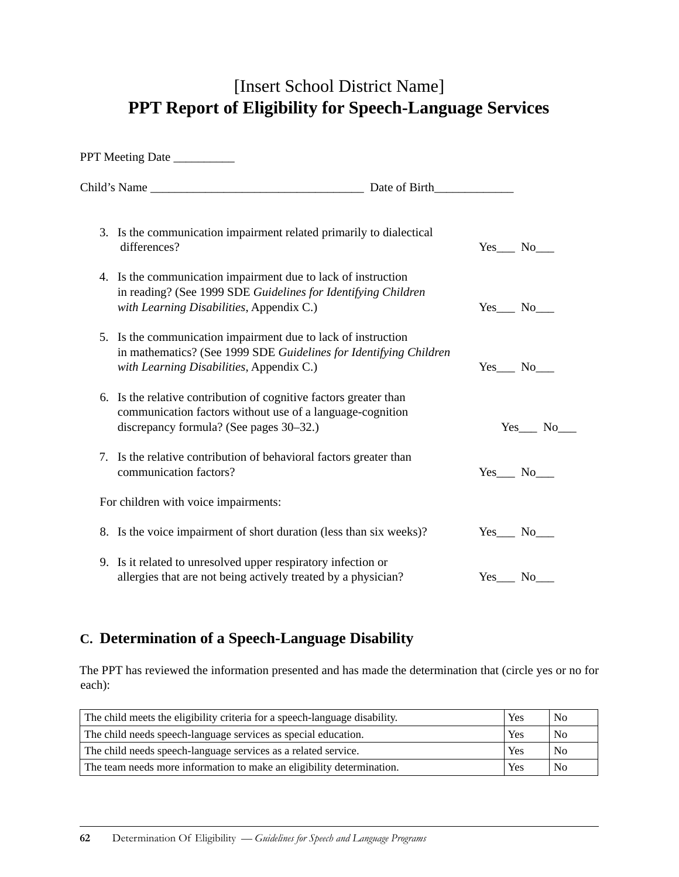### [Insert School District Name] **PPT Report of Eligibility for Speech-Language Services**

| PPT Meeting Date                                                                                                                                                               |                   |
|--------------------------------------------------------------------------------------------------------------------------------------------------------------------------------|-------------------|
| Child's Name Date of Birth                                                                                                                                                     |                   |
| 3. Is the communication impairment related primarily to dialectical<br>differences?                                                                                            | $Yes$ No $\qquad$ |
| 4. Is the communication impairment due to lack of instruction<br>in reading? (See 1999 SDE Guidelines for Identifying Children<br>with Learning Disabilities, Appendix C.)     | $Yes$ No $\_\_$   |
| 5. Is the communication impairment due to lack of instruction<br>in mathematics? (See 1999 SDE Guidelines for Identifying Children<br>with Learning Disabilities, Appendix C.) | Yes No            |
| 6. Is the relative contribution of cognitive factors greater than<br>communication factors without use of a language-cognition<br>discrepancy formula? (See pages 30–32.)      | Yes No            |
| 7. Is the relative contribution of behavioral factors greater than<br>communication factors?                                                                                   | $Yes$ No $\_\_$   |
| For children with voice impairments:                                                                                                                                           |                   |
| 8. Is the voice impairment of short duration (less than six weeks)?                                                                                                            | Yes No            |
| 9. Is it related to unresolved upper respiratory infection or<br>allergies that are not being actively treated by a physician?                                                 | Yes No            |

### **C. Determination of a Speech-Language Disability**

The PPT has reviewed the information presented and has made the determination that (circle yes or no for each):

| The child meets the eligibility criteria for a speech-language disability. | Yes | N <sub>o</sub> |
|----------------------------------------------------------------------------|-----|----------------|
| The child needs speech-language services as special education.             | Yes | N <sub>0</sub> |
| The child needs speech-language services as a related service.             | Yes | N <sub>0</sub> |
| The team needs more information to make an eligibility determination.      | Yes | N <sub>0</sub> |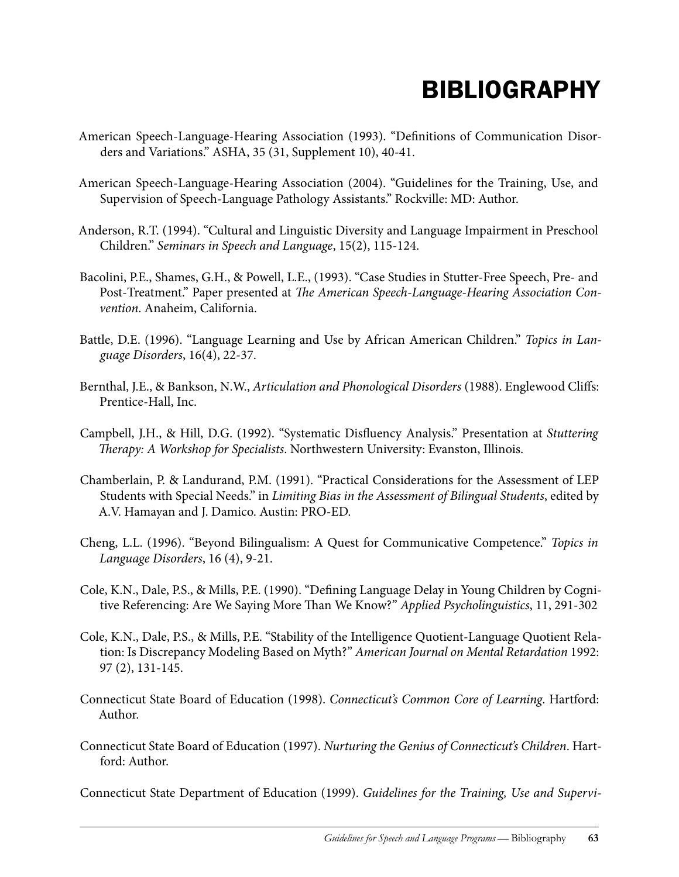# **BIBLIOGRAPHY**

- American Speech-Language-Hearing Association (1993). "Definitions of Communication Disorders and Variations." ASHA, 35 (31, Supplement 10), 40-41.
- American Speech-Language-Hearing Association (2004). "Guidelines for the Training, Use, and Supervision of Speech-Language Pathology Assistants." Rockville: MD: Author.
- Anderson, R.T. (1994). "Cultural and Linguistic Diversity and Language Impairment in Preschool Children." *Seminars in Speech and Language*, 15(2), 115-124.
- Bacolini, P.E., Shames, G.H., & Powell, L.E., (1993). "Case Studies in Stutter-Free Speech, Pre- and Post-Treatment." Paper presented at *The American Speech-Language-Hearing Association Convention*. Anaheim, California.
- Battle, D.E. (1996). "Language Learning and Use by African American Children." *Topics in Language Disorders*, 16(4), 22-37.
- Bernthal, J.E., & Bankson, N.W., *Articulation and Phonological Disorders* (1988). Englewood Cliffs: Prentice-Hall, Inc.
- Campbell, J.H., & Hill, D.G. (1992). "Systematic Disfluency Analysis." Presentation at *Stuttering Therapy: A Workshop for Specialists*. Northwestern University: Evanston, Illinois.
- Chamberlain, P. & Landurand, P.M. (1991). "Practical Considerations for the Assessment of LEP Students with Special Needs." in *Limiting Bias in the Assessment of Bilingual Students*, edited by A.V. Hamayan and J. Damico. Austin: PRO-ED.
- Cheng, L.L. (1996). "Beyond Bilingualism: A Quest for Communicative Competence." *Topics in Language Disorders*, 16 (4), 9-21.
- Cole, K.N., Dale, P.S., & Mills, P.E. (1990). "Defining Language Delay in Young Children by Cognitive Referencing: Are We Saying More Than We Know?" *Applied Psycholinguistics*, 11, 291-302
- Cole, K.N., Dale, P.S., & Mills, P.E. "Stability of the Intelligence Quotient-Language Quotient Relation: Is Discrepancy Modeling Based on Myth?" *American Journal on Mental Retardation* 1992: 97 (2), 131-145.
- Connecticut State Board of Education (1998). *Connecticut's Common Core of Learning*. Hartford: Author.
- Connecticut State Board of Education (1997). *Nurturing the Genius of Connecticut's Children*. Hartford: Author.

Connecticut State Department of Education (1999). *Guidelines for the Training, Use and Supervi-*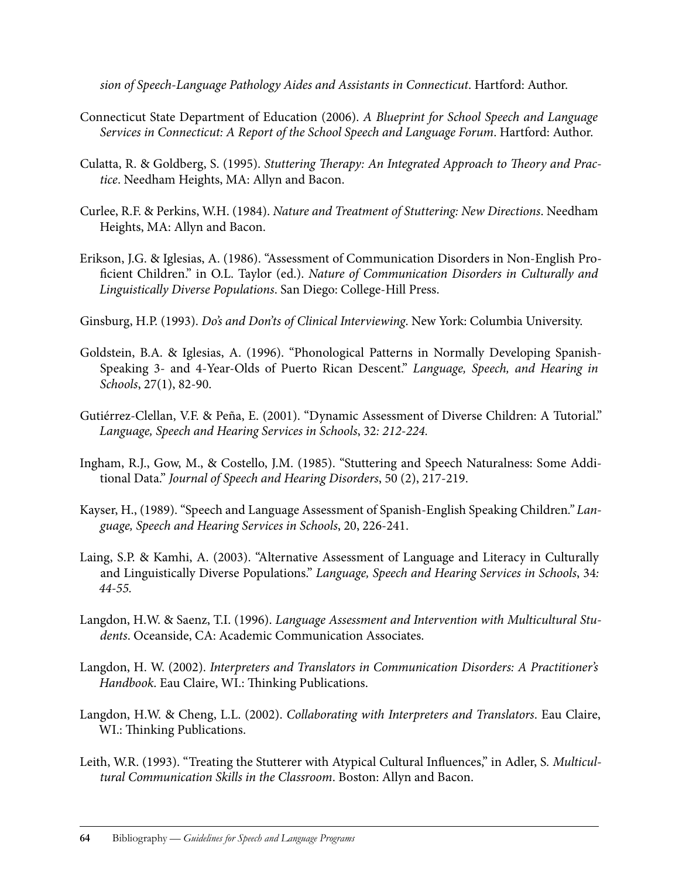*sion of Speech-Language Pathology Aides and Assistants in Connecticut*. Hartford: Author.

- Connecticut State Department of Education (2006). *A Blueprint for School Speech and Language Services in Connecticut: A Report of the School Speech and Language Forum*. Hartford: Author.
- Culatta, R. & Goldberg, S. (1995). *Stuttering Therapy: An Integrated Approach to Theory and Practice*. Needham Heights, MA: Allyn and Bacon.
- Curlee, R.F. & Perkins, W.H. (1984). *Nature and Treatment of Stuttering: New Directions*. Needham Heights, MA: Allyn and Bacon.
- Erikson, J.G. & Iglesias, A. (1986). "Assessment of Communication Disorders in Non-English Proficient Children." in O.L. Taylor (ed.). *Nature of Communication Disorders in Culturally and Linguistically Diverse Populations*. San Diego: College-Hill Press.
- Ginsburg, H.P. (1993). *Do's and Don'ts of Clinical Interviewing*. New York: Columbia University.
- Goldstein, B.A. & Iglesias, A. (1996). "Phonological Patterns in Normally Developing Spanish-Speaking 3- and 4-Year-Olds of Puerto Rican Descent." *Language, Speech, and Hearing in Schools*, 27(1), 82-90.
- Gutiérrez-Clellan, V.F. & Peña, E. (2001). "Dynamic Assessment of Diverse Children: A Tutorial." *Language, Speech and Hearing Services in Schools*, 32*: 212-224.*
- Ingham, R.J., Gow, M., & Costello, J.M. (1985). "Stuttering and Speech Naturalness: Some Additional Data." *Journal of Speech and Hearing Disorders*, 50 (2), 217-219.
- Kayser, H., (1989). "Speech and Language Assessment of Spanish-English Speaking Children*." Language, Speech and Hearing Services in Schools*, 20, 226-241.
- Laing, S.P. & Kamhi, A. (2003). "Alternative Assessment of Language and Literacy in Culturally and Linguistically Diverse Populations." *Language, Speech and Hearing Services in Schools*, 34*: 44-55.*
- Langdon, H.W. & Saenz, T.I. (1996). *Language Assessment and Intervention with Multicultural Students*. Oceanside, CA: Academic Communication Associates.
- Langdon, H. W. (2002). *Interpreters and Translators in Communication Disorders: A Practitioner's Handbook*. Eau Claire, WI.: Thinking Publications.
- Langdon, H.W. & Cheng, L.L. (2002). *Collaborating with Interpreters and Translators*. Eau Claire, WI.: Thinking Publications.
- Leith, W.R. (1993). "Treating the Stutterer with Atypical Cultural Influences," in Adler, S*. Multicultural Communication Skills in the Classroom*. Boston: Allyn and Bacon.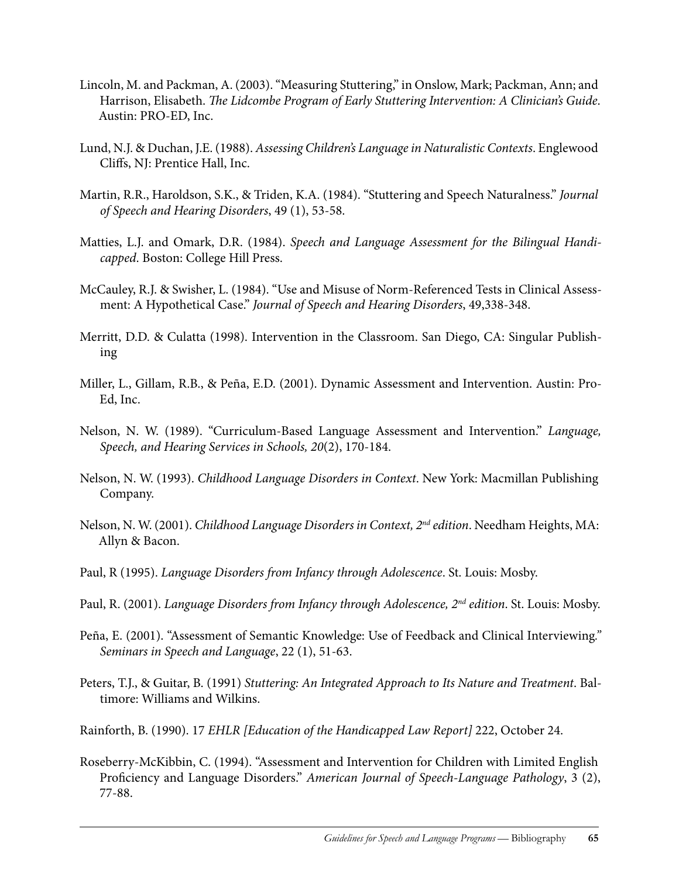- Lincoln, M. and Packman, A. (2003). "Measuring Stuttering," in Onslow, Mark; Packman, Ann; and Harrison, Elisabeth. *The Lidcombe Program of Early Stuttering Intervention: A Clinician's Guide*. Austin: PRO-ED, Inc.
- Lund, N.J. & Duchan, J.E. (1988). *Assessing Children's Language in Naturalistic Contexts*. Englewood Cliffs, NJ: Prentice Hall, Inc.
- Martin, R.R., Haroldson, S.K., & Triden, K.A. (1984). "Stuttering and Speech Naturalness." *Journal of Speech and Hearing Disorders*, 49 (1), 53-58.
- Matties, L.J. and Omark, D.R. (1984). *Speech and Language Assessment for the Bilingual Handicapped*. Boston: College Hill Press.
- McCauley, R.J. & Swisher, L. (1984). "Use and Misuse of Norm-Referenced Tests in Clinical Assessment: A Hypothetical Case." *Journal of Speech and Hearing Disorders*, 49,338-348.
- Merritt, D.D. & Culatta (1998). Intervention in the Classroom. San Diego, CA: Singular Publishing
- Miller, L., Gillam, R.B., & Peña, E.D. (2001). Dynamic Assessment and Intervention. Austin: Pro-Ed, Inc.
- Nelson, N. W. (1989). "Curriculum-Based Language Assessment and Intervention." *Language, Speech, and Hearing Services in Schools, 20*(2), 170-184.
- Nelson, N. W. (1993). *Childhood Language Disorders in Context*. New York: Macmillan Publishing Company.
- Nelson, N. W. (2001). *Childhood Language Disorders in Context, 2nd edition*. Needham Heights, MA: Allyn & Bacon.
- Paul, R (1995). *Language Disorders from Infancy through Adolescence*. St. Louis: Mosby.
- Paul, R. (2001). *Language Disorders from Infancy through Adolescence, 2nd edition*. St. Louis: Mosby.
- Peña, E. (2001). "Assessment of Semantic Knowledge: Use of Feedback and Clinical Interviewing*." Seminars in Speech and Language*, 22 (1), 51-63.
- Peters, T.J., & Guitar, B. (1991) *Stuttering: An Integrated Approach to Its Nature and Treatment*. Baltimore: Williams and Wilkins.
- Rainforth, B. (1990). 17 *EHLR [Education of the Handicapped Law Report]* 222, October 24.
- Roseberry-McKibbin, C. (1994). "Assessment and Intervention for Children with Limited English Proficiency and Language Disorders." *American Journal of Speech-Language Pathology*, 3 (2), 77-88.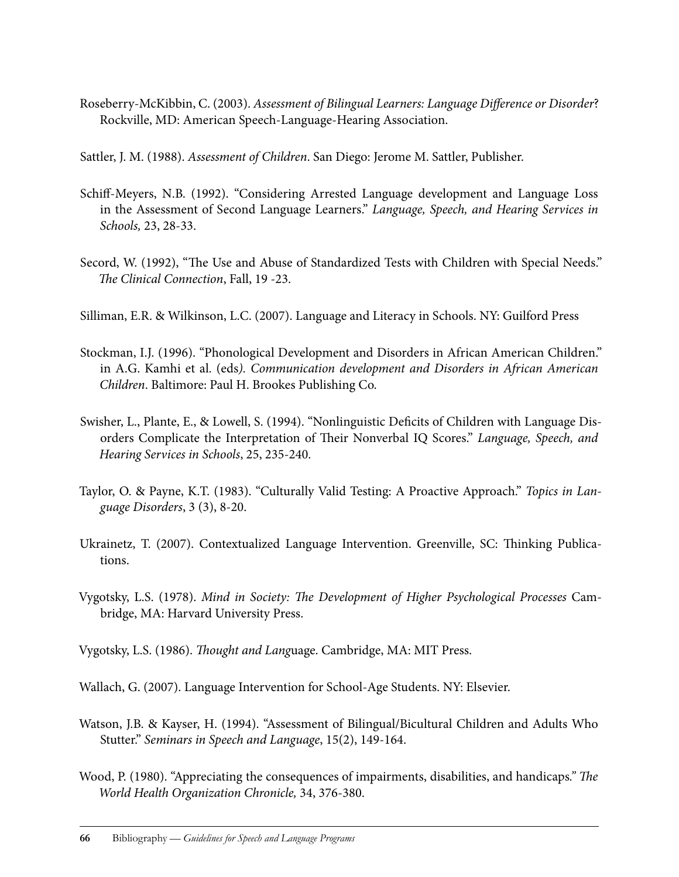Roseberry-McKibbin, C. (2003). *Assessment of Bilingual Learners: Language Difference or Disorder*? Rockville, MD: American Speech-Language-Hearing Association.

Sattler, J. M. (1988). *Assessment of Children*. San Diego: Jerome M. Sattler, Publisher.

- Schiff-Meyers, N.B. (1992). "Considering Arrested Language development and Language Loss in the Assessment of Second Language Learners." *Language, Speech, and Hearing Services in Schools,* 23, 28-33.
- Secord, W. (1992), "The Use and Abuse of Standardized Tests with Children with Special Needs." *The Clinical Connection*, Fall, 19 -23.
- Silliman, E.R. & Wilkinson, L.C. (2007). Language and Literacy in Schools. NY: Guilford Press
- Stockman, I.J. (1996). "Phonological Development and Disorders in African American Children." in A.G. Kamhi et al. (eds*). Communication development and Disorders in African American Children*. Baltimore: Paul H. Brookes Publishing Co.
- Swisher, L., Plante, E., & Lowell, S. (1994). "Nonlinguistic Deficits of Children with Language Disorders Complicate the Interpretation of Their Nonverbal IQ Scores." *Language, Speech, and Hearing Services in Schools*, 25, 235-240.
- Taylor, O. & Payne, K.T. (1983). "Culturally Valid Testing: A Proactive Approach." *Topics in Language Disorders*, 3 (3), 8-20.
- Ukrainetz, T. (2007). Contextualized Language Intervention. Greenville, SC: Thinking Publications.
- Vygotsky, L.S. (1978). *Mind in Society: The Development of Higher Psychological Processes* Cambridge, MA: Harvard University Press.
- Vygotsky, L.S. (1986). *Thought and Lang*uage. Cambridge, MA: MIT Press.
- Wallach, G. (2007). Language Intervention for School-Age Students. NY: Elsevier.
- Watson, J.B. & Kayser, H. (1994). "Assessment of Bilingual/Bicultural Children and Adults Who Stutter." *Seminars in Speech and Language*, 15(2), 149-164.
- Wood, P. (1980). "Appreciating the consequences of impairments, disabilities, and handicaps*." The World Health Organization Chronicle,* 34, 376-380.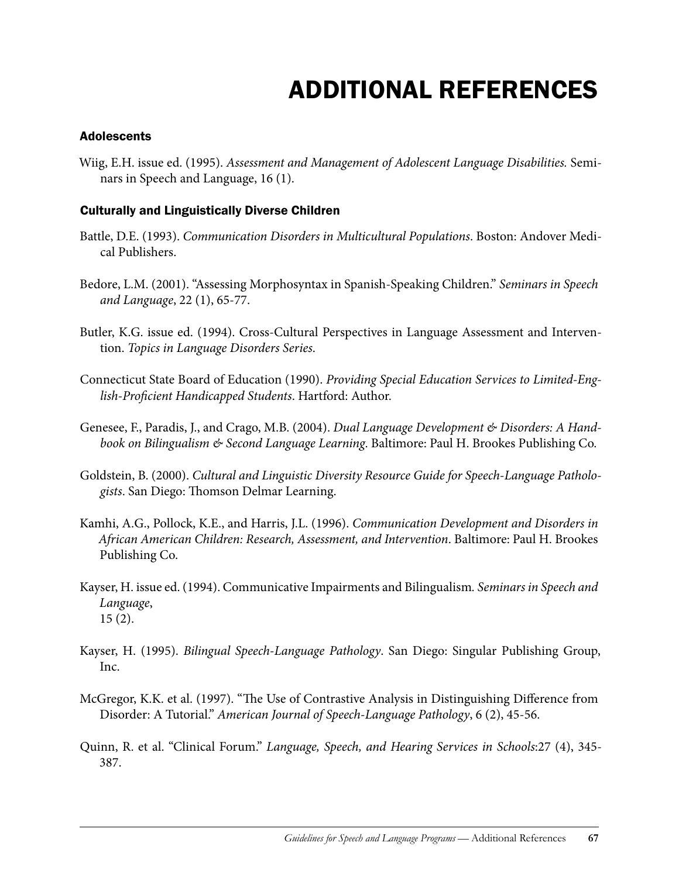# Additional References

#### **Adolescents**

Wiig, E.H. issue ed. (1995). *Assessment and Management of Adolescent Language Disabilities.* Seminars in Speech and Language, 16 (1).

#### Culturally and Linguistically Diverse Children

- Battle, D.E. (1993). *Communication Disorders in Multicultural Populations*. Boston: Andover Medical Publishers.
- Bedore, L.M. (2001). "Assessing Morphosyntax in Spanish-Speaking Children." *Seminars in Speech and Language*, 22 (1), 65-77.
- Butler, K.G. issue ed. (1994). Cross-Cultural Perspectives in Language Assessment and Intervention. *Topics in Language Disorders Series*.
- Connecticut State Board of Education (1990). *Providing Special Education Services to Limited-English-Proficient Handicapped Students*. Hartford: Author.
- Genesee, F., Paradis, J., and Crago, M.B. (2004). *Dual Language Development & Disorders: A Handbook on Bilingualism & Second Language Learning*. Baltimore: Paul H. Brookes Publishing Co.
- Goldstein, B. (2000). *Cultural and Linguistic Diversity Resource Guide for Speech-Language Pathologists*. San Diego: Thomson Delmar Learning.
- Kamhi, A.G., Pollock, K.E., and Harris, J.L. (1996). *Communication Development and Disorders in African American Children: Research, Assessment, and Intervention*. Baltimore: Paul H. Brookes Publishing Co.
- Kayser, H. issue ed. (1994). Communicative Impairments and Bilingualism*. Seminars in Speech and Language*, 15 (2).
- Kayser, H. (1995). *Bilingual Speech-Language Pathology*. San Diego: Singular Publishing Group, Inc.
- McGregor, K.K. et al. (1997). "The Use of Contrastive Analysis in Distinguishing Difference from Disorder: A Tutorial." *American Journal of Speech-Language Pathology*, 6 (2), 45-56.
- Quinn, R. et al. "Clinical Forum." *Language, Speech, and Hearing Services in Schools*:27 (4), 345- 387.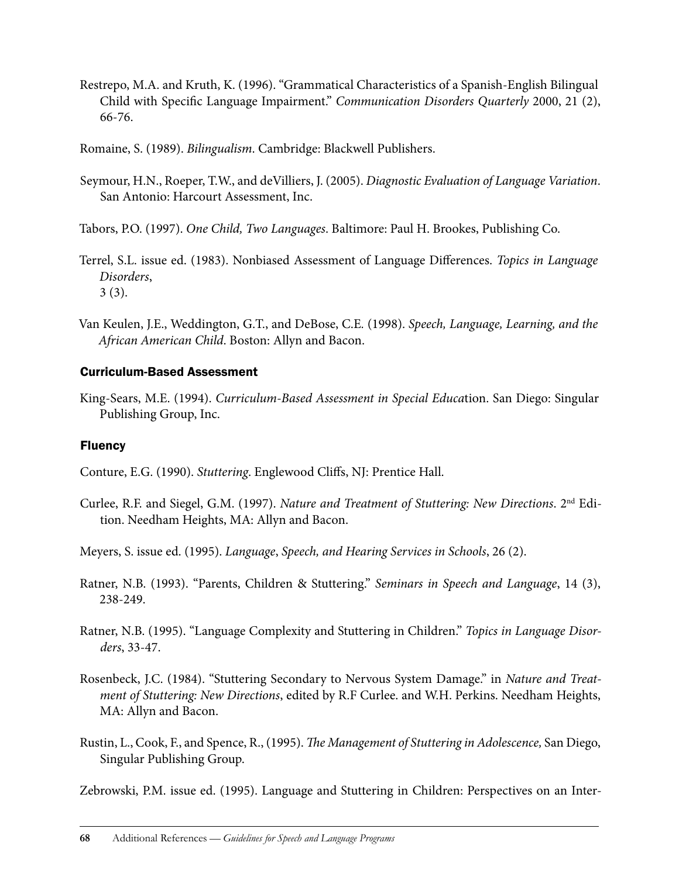Restrepo, M.A. and Kruth, K. (1996). "Grammatical Characteristics of a Spanish-English Bilingual Child with Specific Language Impairment." *Communication Disorders Quarterly* 2000, 21 (2), 66-76.

Romaine, S. (1989). *Bilingualism*. Cambridge: Blackwell Publishers.

Seymour, H.N., Roeper, T.W., and deVilliers, J. (2005). *Diagnostic Evaluation of Language Variation*. San Antonio: Harcourt Assessment, Inc.

Tabors, P.O. (1997). *One Child, Two Languages*. Baltimore: Paul H. Brookes, Publishing Co.

- Terrel, S.L. issue ed. (1983). Nonbiased Assessment of Language Differences. *Topics in Language Disorders*, 3 (3).
- Van Keulen, J.E., Weddington, G.T., and DeBose, C.E*.* (1998). *Speech, Language, Learning, and the African American Child*. Boston: Allyn and Bacon.

## Curriculum-Based Assessment

King-Sears, M.E. (1994). *Curriculum-Based Assessment in Special Educa*tion. San Diego: Singular Publishing Group, Inc.

## Fluency

Conture, E.G. (1990). *Stuttering*. Englewood Cliffs, NJ: Prentice Hall.

Curlee, R.F. and Siegel, G.M. (1997). *Nature and Treatment of Stuttering: New Directions*. 2nd Edition. Needham Heights, MA: Allyn and Bacon.

Meyers, S. issue ed. (1995). *Language*, *Speech, and Hearing Services in Schools*, 26 (2).

- Ratner, N.B. (1993). "Parents, Children & Stuttering." *Seminars in Speech and Language*, 14 (3), 238-249.
- Ratner, N.B. (1995). "Language Complexity and Stuttering in Children." *Topics in Language Disorders*, 33-47.
- Rosenbeck, J.C. (1984). "Stuttering Secondary to Nervous System Damage." in *Nature and Treatment of Stuttering: New Directions*, edited by R.F Curlee. and W.H. Perkins. Needham Heights, MA: Allyn and Bacon.
- Rustin, L., Cook, F., and Spence, R., (1995). *The Management of Stuttering in Adolescence,* San Diego, Singular Publishing Group.

Zebrowski, P.M. issue ed. (1995). Language and Stuttering in Children: Perspectives on an Inter-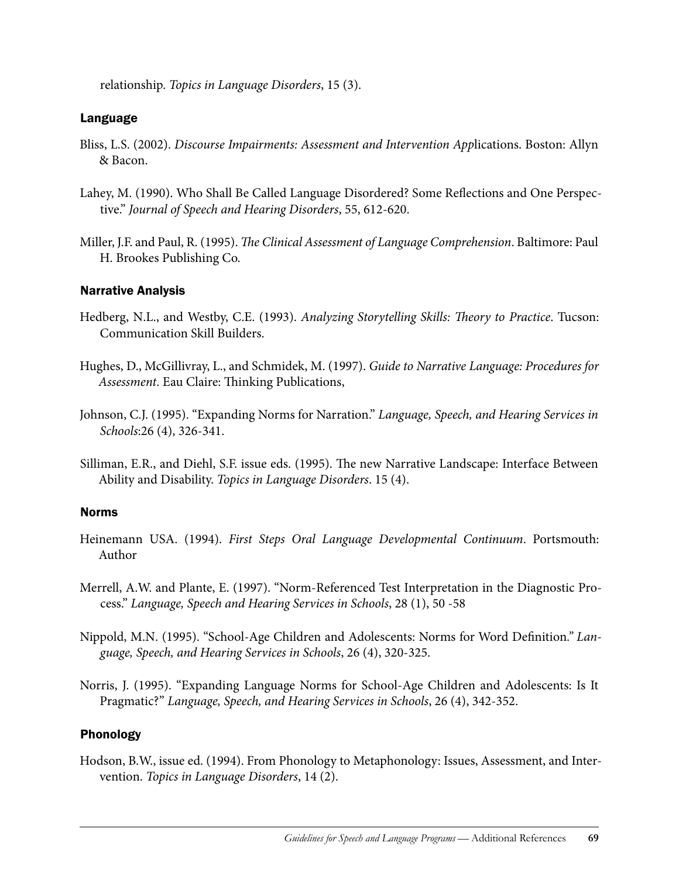relationship. *Topics in Language Disorders*, 15 (3).

#### Language

- Bliss, L.S. (2002). *Discourse Impairments: Assessment and Intervention App*lications. Boston: Allyn & Bacon.
- Lahey, M. (1990). Who Shall Be Called Language Disordered? Some Reflections and One Perspective." *Journal of Speech and Hearing Disorders*, 55, 612-620.
- Miller, J.F. and Paul, R. (1995). *The Clinical Assessment of Language Comprehension*. Baltimore: Paul H. Brookes Publishing Co.

#### Narrative Analysis

- Hedberg, N.L., and Westby, C.E. (1993). *Analyzing Storytelling Skills: Theory to Practice*. Tucson: Communication Skill Builders.
- Hughes, D., McGillivray, L., and Schmidek, M. (1997). *Guide to Narrative Language: Procedures for Assessment*. Eau Claire: Thinking Publications,
- Johnson, C.J. (1995). "Expanding Norms for Narration." *Language, Speech, and Hearing Services in Schools*:26 (4), 326-341.
- Silliman, E.R., and Diehl, S.F. issue eds. (1995). The new Narrative Landscape: Interface Between Ability and Disability. *Topics in Language Disorders*. 15 (4).

#### Norms

- Heinemann USA. (1994). *First Steps Oral Language Developmental Continuum*. Portsmouth: Author
- Merrell, A.W. and Plante, E. (1997). "Norm-Referenced Test Interpretation in the Diagnostic Process." *Language, Speech and Hearing Services in Schools*, 28 (1), 50 -58
- Nippold, M.N. (1995). "School-Age Children and Adolescents: Norms for Word Definition*." Language, Speech, and Hearing Services in Schools*, 26 (4), 320-325.
- Norris, J. (1995). "Expanding Language Norms for School-Age Children and Adolescents: Is It Pragmatic?" *Language, Speech, and Hearing Services in Schools*, 26 (4), 342-352.

### Phonology

Hodson, B.W., issue ed. (1994). From Phonology to Metaphonology: Issues, Assessment, and Intervention. *Topics in Language Disorders*, 14 (2).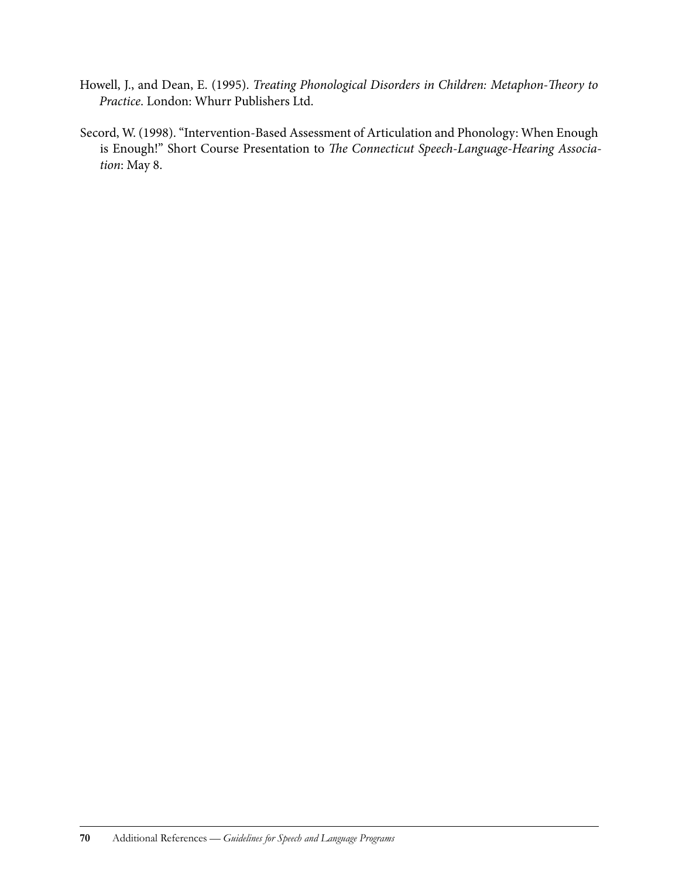- Howell, J., and Dean, E. (1995). *Treating Phonological Disorders in Children: Metaphon-Theory to Practice*. London: Whurr Publishers Ltd.
- Secord, W. (1998). "Intervention-Based Assessment of Articulation and Phonology: When Enough is Enough!" Short Course Presentation to *The Connecticut Speech-Language-Hearing Association*: May 8.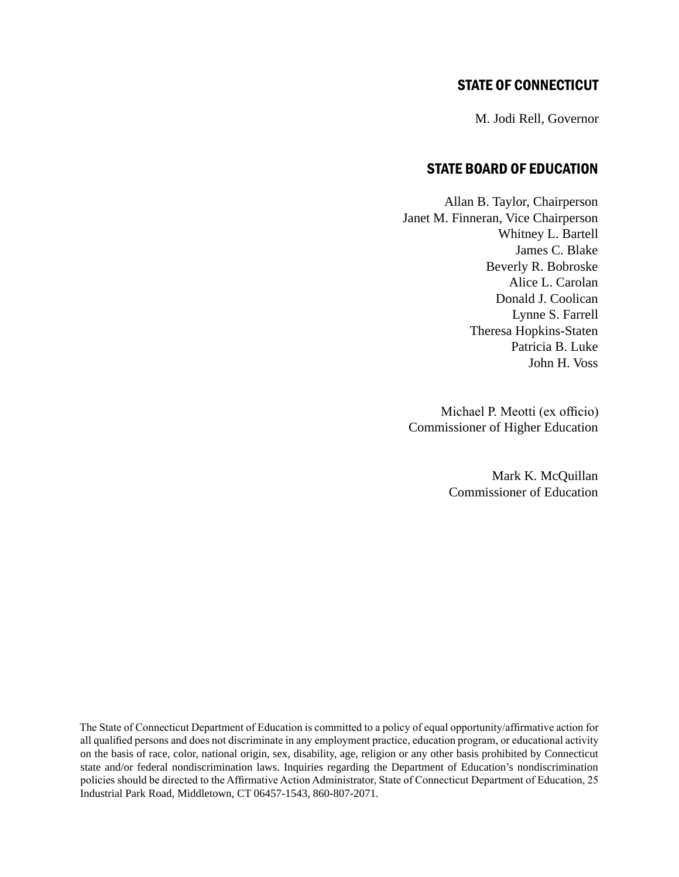## STATE OF CONNECTICUT

M. Jodi Rell, Governor

## State Board of Education

Allan B. Taylor, Chairperson Janet M. Finneran, Vice Chairperson Whitney L. Bartell James C. Blake Beverly R. Bobroske Alice L. Carolan Donald J. Coolican Lynne S. Farrell Theresa Hopkins-Staten Patricia B. Luke John H. Voss

Michael P. Meotti (ex officio) Commissioner of Higher Education

> Mark K. McQuillan Commissioner of Education

The State of Connecticut Department of Education is committed to a policy of equal opportunity/affirmative action for all qualified persons and does not discriminate in any employment practice, education program, or educational activity on the basis of race, color, national origin, sex, disability, age, religion or any other basis prohibited by Connecticut state and/or federal nondiscrimination laws. Inquiries regarding the Department of Education's nondiscrimination policies should be directed to the Affirmative Action Administrator, State of Connecticut Department of Education, 25 Industrial Park Road, Middletown, CT 06457-1543, 860-807-2071.